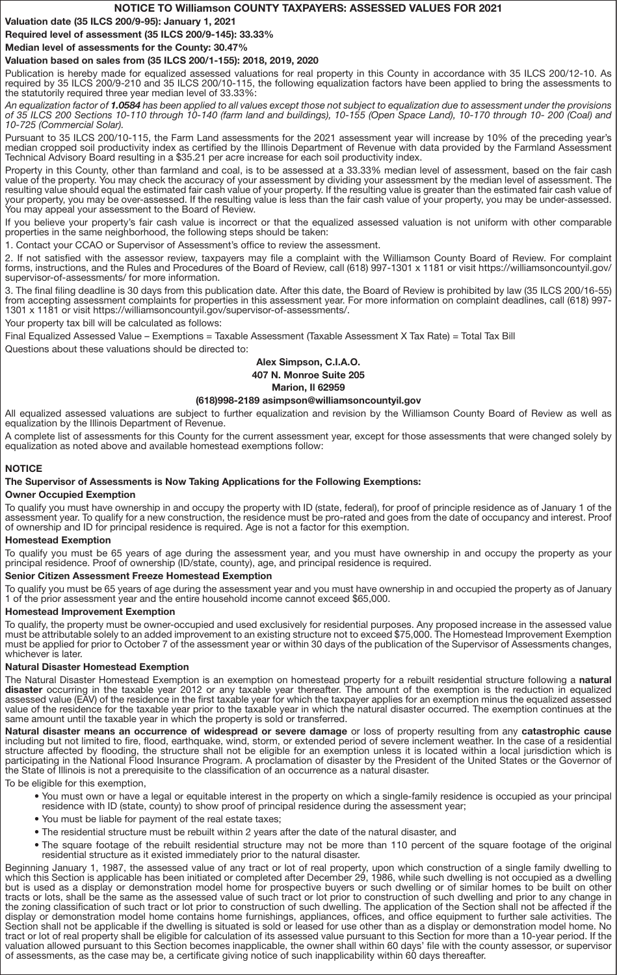## NOTICE TO Williamson COUNTY TAXPAYERS: ASSESSED VALUES FOR 2021

Valuation date (35 ILCS 200/9-95): January 1, 2021

Required level of assessment (35 ILCS 200/9-145): 33.33%

Median level of assessments for the County: 30.47%

## Valuation based on sales from (35 ILCS 200/1-155): 2018, 2019, 2020

Publication is hereby made for equalized assessed valuations for real property in this County in accordance with 35 ILCS 200/12-10. As required by 35 ILCS 200/9-210 and 35 ILCS 200/10-115, the following equalization factors have been applied to bring the assessments to the statutorily required three year median level of 33.33%:

An equalization factor of 1.0584 has been applied to all values except those not subject to equalization due to assessment under the provisions of 35 ILCS 200 Sections 10-110 through 10-140 (farm land and buildings), 10-155 (Open Space Land), 10-170 through 10- 200 (Coal) and 10-725 (Commercial Solar).

Pursuant to 35 ILCS 200/10-115, the Farm Land assessments for the 2021 assessment year will increase by 10% of the preceding year's median cropped soil productivity index as certified by the Illinois Department of Revenue with data provided by the Farmland Assessment Technical Advisory Board resulting in a \$35.21 per acre increase for each soil productivity index.

Property in this County, other than farmland and coal, is to be assessed at a 33.33% median level of assessment, based on the fair cash value of the property. You may check the accuracy of your assessment by dividing your assessment by the median level of assessment. The resulting value should equal the estimated fair cash value of your property. If the resulting value is greater than the estimated fair cash value of your property, you may be over-assessed. If the resulting value is less than the fair cash value of your property, you may be under-assessed. You may appeal your assessment to the Board of Review.

If you believe your property's fair cash value is incorrect or that the equalized assessed valuation is not uniform with other comparable properties in the same neighborhood, the following steps should be taken:

1. Contact your CCAO or Supervisor of Assessment's office to review the assessment.

2. If not satisfied with the assessor review, taxpayers may file a complaint with the Williamson County Board of Review. For complaint forms, instructions, and the Rules and Procedures of the Board of Review, call (618) 997-1301 x 1181 or visit https://williamsoncountyil.gov/ supervisor-of-assessments/ for more information.

3. The final filing deadline is 30 days from this publication date. After this date, the Board of Review is prohibited by law (35 ILCS 200/16-55) from accepting assessment complaints for properties in this assessment year. For more information on complaint deadlines, call (618) 997- 1301 x 1181 or visit https://williamsoncountyil.gov/supervisor-of-assessments/.

Your property tax bill will be calculated as follows:

Final Equalized Assessed Value – Exemptions = Taxable Assessment (Taxable Assessment X Tax Rate) = Total Tax Bill

Questions about these valuations should be directed to:

## Alex Simpson, C.I.A.O. 407 N. Monroe Suite 205

#### Marion, Il 62959

## (618)998-2189 asimpson@williamsoncountyil.gov

All equalized assessed valuations are subject to further equalization and revision by the Williamson County Board of Review as well as equalization by the Illinois Department of Revenue.

A complete list of assessments for this County for the current assessment year, except for those assessments that were changed solely by equalization as noted above and available homestead exemptions follow:

## **NOTICE**

### The Supervisor of Assessments is Now Taking Applications for the Following Exemptions:

### Owner Occupied Exemption

To qualify you must have ownership in and occupy the property with ID (state, federal), for proof of principle residence as of January 1 of the assessment year. To qualify for a new construction, the residence must be pro-rated and goes from the date of occupancy and interest. Proof of ownership and ID for principal residence is required. Age is not a factor for this exemption.

### Homestead Exemption

To qualify you must be 65 years of age during the assessment year, and you must have ownership in and occupy the property as your principal residence. Proof of ownership (ID/state, county), age, and principal residence is required.

### Senior Citizen Assessment Freeze Homestead Exemption

To qualify you must be 65 years of age during the assessment year and you must have ownership in and occupied the property as of January 1 of the prior assessment year and the entire household income cannot exceed \$65,000.

### Homestead Improvement Exemption

To qualify, the property must be owner-occupied and used exclusively for residential purposes. Any proposed increase in the assessed value must be attributable solely to an added improvement to an existing structure not to exceed \$75,000. The Homestead Improvement Exemption must be applied for prior to October 7 of the assessment year or within 30 days of the publication of the Supervisor of Assessments changes, whichever is later.

### Natural Disaster Homestead Exemption

The Natural Disaster Homestead Exemption is an exemption on homestead property for a rebuilt residential structure following a natural disaster occurring in the taxable year 2012 or any taxable year thereafter. The amount of the exemption is the reduction in equalized assessed value (EAV) of the residence in the first taxable year for which the taxpayer applies for an exemption minus the equalized assessed value of the residence for the taxable year prior to the taxable year in which the natural disaster occurred. The exemption continues at the same amount until the taxable year in which the property is sold or transferred.

Natural disaster means an occurrence of widespread or severe damage or loss of property resulting from any catastrophic cause including but not limited to fire, flood, earthquake, wind, storm, or extended period of severe inclement weather. In the case of a residential structure affected by flooding, the structure shall not be eligible for an exemption unless it is located within a local jurisdiction which is participating in the National Flood Insurance Program. A proclamation of disaster by the President of the United States or the Governor of the State of Illinois is not a prerequisite to the classification of an occurrence as a natural disaster.

To be eligible for this exemption,

- You must own or have a legal or equitable interest in the property on which a single-family residence is occupied as your principal residence with ID (state, county) to show proof of principal residence during the assessment year;
- You must be liable for payment of the real estate taxes;
- The residential structure must be rebuilt within 2 years after the date of the natural disaster, and
- The square footage of the rebuilt residential structure may not be more than 110 percent of the square footage of the original residential structure as it existed immediately prior to the natural disaster.

Beginning January 1, 1987, the assessed value of any tract or lot of real property, upon which construction of a single family dwelling to which this Section is applicable has been initiated or completed after December 29, 1986, while such dwelling is not occupied as a dwelling but is used as a display or demonstration model home for prospective buyers or such dwelling or of similar homes to be built on other tracts or lots, shall be the same as the assessed value of such tract or lot prior to construction of such dwelling and prior to any change in the zoning classification of such tract or lot prior to construction of such dwelling. The application of the Section shall not be affected if the display or demonstration model home contains home furnishings, appliances, offices, and office equipment to further sale activities. The Section shall not be applicable if the dwelling is situated is sold or leased for use other than as a display or demonstration model home. No tract or lot of real property shall be eligible for calculation of its assessed value pursuant to this Section for more than a 10-year period. If the valuation allowed pursuant to this Section becomes inapplicable, the owner shall within 60 days' file with the county assessor, or supervisor of assessments, as the case may be, a certificate giving notice of such inapplicability within 60 days thereafter.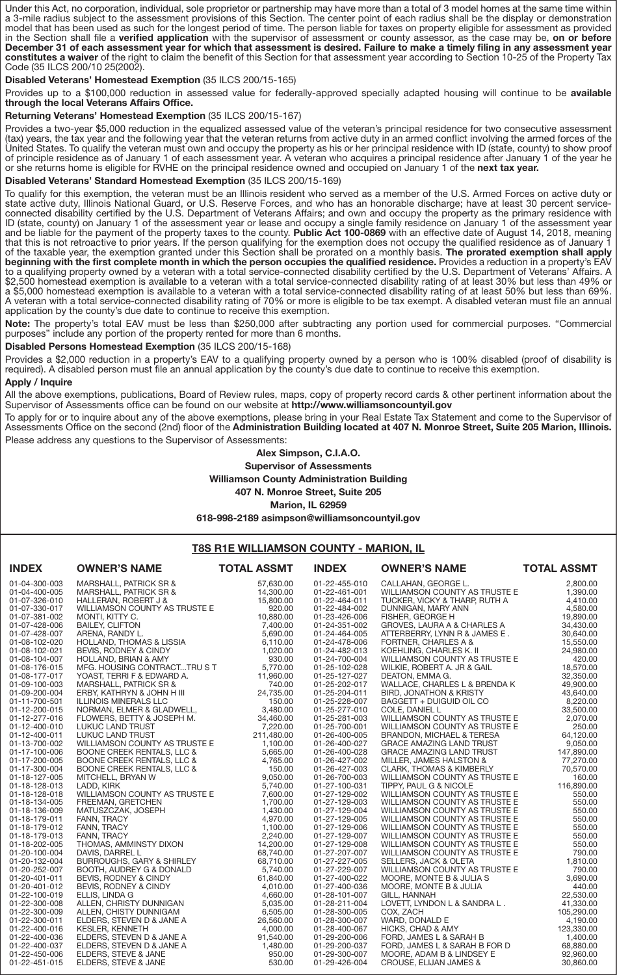Under this Act, no corporation, individual, sole proprietor or partnership may have more than a total of 3 model homes at the same time within a 3-mile radius subject to the assessment provisions of this Section. The center point of each radius shall be the display or demonstration model that has been used as such for the longest period of time. The person liable for taxes on property eligible for assessment as provided in the Section shall file a verified application with the supervisor of assessment or county assessor, as the case may be, on or before December 31 of each assessment year for which that assessment is desired. Failure to make a timely filing in any assessment year constitutes a waiver of the right to claim the benefit of this Section for that assessment year according to Section 10-25 of the Property Tax Code (35 ILCS 200/10 25(2002).

Disabled Veterans' Homestead Exemption (35 ILCS 200/15-165)

Provides up to a \$100,000 reduction in assessed value for federally-approved specially adapted housing will continue to be available through the local Veterans Affairs Office.

Returning Veterans' Homestead Exemption (35 ILCS 200/15-167)

Provides a two-year \$5,000 reduction in the equalized assessed value of the veteran's principal residence for two consecutive assessment (tax) years, the tax year and the following year that the veteran returns from active duty in an armed conflict involving the armed forces of the United States. To qualify the veteran must own and occupy the property as his or her principal residence with ID (state, county) to show proof of principle residence as of January 1 of each assessment year. A veteran who acquires a principal residence after January 1 of the year he or she returns home is eligible for RVHE on the principal residence owned and occupied on January 1 of the next tax year.

Disabled Veterans' Standard Homestead Exemption (35 ILCS 200/15-169)

To qualify for this exemption, the veteran must be an Illinois resident who served as a member of the U.S. Armed Forces on active duty or state active duty, Illinois National Guard, or U.S. Reserve Forces, and who has an honorable discharge; have at least 30 percent serviceconnected disability certified by the U.S. Department of Veterans Affairs; and own and occupy the property as the primary residence with ID (state, county) on January 1 of the assessment year or lease and occupy a single family residence on January 1 of the assessment year and be liable for the payment of the property taxes to the county. Public Act 100-0869 with an effective date of August 14, 2018, meaning that this is not retroactive to prior years. If the person qualifying for the exemption does not occupy the qualified residence as of January 1 of the taxable year, the exemption granted under this Section shall be prorated on a monthly basis. The prorated exemption shall apply beginning with the first complete month in which the person occupies the qualified residence. Provides a reduction in a property's EAV to a qualifying property owned by a veteran with a total service-connected disability certified by the U.S. Department of Veterans' Affairs. A \$2,500 homestead exemption is available to a veteran with a total service-connected disability rating of at least 30% but less than 49% or a \$5,000 homestead exemption is available to a veteran with a total service-connected disability rating of at least 50% but less than 69%. A veteran with a total service-connected disability rating of 70% or more is eligible to be tax exempt. A disabled veteran must file an annual application by the county's due date to continue to receive this exemption.

Note: The property's total EAV must be less than \$250,000 after subtracting any portion used for commercial purposes. "Commercial purposes" include any portion of the property rented for more than 6 months.

Disabled Persons Homestead Exemption (35 ILCS 200/15-168)

Provides a \$2,000 reduction in a property's EAV to a qualifying property owned by a person who is 100% disabled (proof of disability is required). A disabled person must file an annual application by the county's due date to continue to receive this exemption. Apply / Inquire

All the above exemptions, publications, Board of Review rules, maps, copy of property record cards & other pertinent information about the Supervisor of Assessments office can be found on our website at http://www.williamsoncountyil.gov

To apply for or to inquire about any of the above exemptions, please bring in your Real Estate Tax Statement and come to the Supervisor of Assessments Office on the second (2nd) floor of the Administration Building located at 407 N. Monroe Street, Suite 205 Marion, Illinois. Please address any questions to the Supervisor of Assessments:

> Alex Simpson, C.I.A.O. Supervisor of Assessments Williamson County Administration Building 407 N. Monroe Street, Suite 205 Marion, IL 62959 618-998-2189 asimpson@williamsoncountyil.gov

## T8S R1E WILLIAMSON COUNTY - MARION, IL

| 57,630.00<br>01-04-300-003<br>MARSHALL, PATRICK SR &<br>01-22-455-010<br>CALLAHAN, GEORGE L.<br>14,300.00<br>01-04-400-005<br>01-22-461-001<br>WILLIAMSON COUNTY AS TRUSTE E<br>MARSHALL, PATRICK SR &<br>15,800.00<br>01-07-326-010<br>HALLERAN, ROBERT J &<br>01-22-464-011<br>TUCKER, VICKY & THARP, RUTH A<br>WILLIAMSON COUNTY AS TRUSTE E<br>920.00<br>01-07-330-017<br>01-22-484-002<br>DUNNIGAN, MARY ANN<br>01-07-381-002<br>MONTI, KITTY C.<br>10,880.00<br>01-23-426-006<br>FISHER, GEORGE H<br>19,890.00<br>7,400.00<br>01-07-428-006<br><b>BAILEY, CLIFTON</b><br>01-24-351-002<br>GROVES, LAURA A & CHARLES A<br>5,690.00<br>01-07-428-007<br>ARENA, RANDY L.<br>01-24-464-005<br>ATTERBERRY, LYNN R & JAMES E.<br>30,640.00<br>HOLLAND, THOMAS & LISSIA<br>6,110.00<br>01-08-102-020<br>01-24-478-006<br>FORTNER, CHARLES A &<br>1,020.00<br>01-08-102-021<br>BEVIS, RODNEY & CINDY<br>01-24-482-013<br>KOEHLING, CHARLES K. II<br>24,980.00<br>930.00<br>01-08-104-007<br>HOLLAND, BRIAN & AMY<br>01-24-700-004<br>WILLIAMSON COUNTY AS TRUSTE E<br>MFG. HOUSING CONTRACTTRU S T<br>5,770.00<br>01-08-176-015<br>01-25-102-028<br>WILKIE, ROBERT A. JR & GAIL<br>YOAST, TERRI F & EDWARD A.<br>11,960.00<br>01-08-177-017<br>01-25-127-027<br>DEATON, EMMA G.<br>740.00<br>01-09-100-003<br>MARSHALL, PATRICK SR &<br>01-25-202-017<br>WALLACE, CHARLES L & BRENDA K<br>49,900.00<br>24,735.00<br>01-25-204-011<br>43,640.00<br>01-09-200-004<br>ERBY, KATHRYN & JOHN H III<br>BIRD, JONATHON & KRISTY<br>150.00<br>01-11-700-501<br>ILLINOIS MINERALS LLC<br>01-25-228-007<br>BAGGETT + DUIGUID OIL CO<br>NORMAN, ELMER & GLADWELL,<br>3,480.00<br>01-25-277-010<br>01-12-200-015<br>COLE, DANIEL L<br>34,460.00<br>WILLIAMSON COUNTY AS TRUSTE E<br>01-12-277-016<br>FLOWERS, BETTY & JOSEPH M.<br>01-25-281-003<br>01-12-400-010<br>7,220.00<br>LUKUC LAND TRUST<br>01-25-700-001<br>WILLIAMSON COUNTY AS TRUSTE E<br>211,480.00<br>01-12-400-011<br>LUKUC LAND TRUST<br>01-26-400-005<br><b>BRANDON, MICHAEL &amp; TERESA</b><br>01-13-700-002<br>WILLIAMSON COUNTY AS TRUSTE E<br>1,100.00<br>01-26-400-027<br><b>GRACE AMAZING LAND TRUST</b><br>01-17-100-006<br>BOONE CREEK RENTALS, LLC &<br>5,665.00<br><b>GRACE AMAZING LAND TRUST</b><br>01-26-400-028<br>01-17-200-005<br><b>BOONE CREEK RENTALS, LLC &amp;</b><br>4,765.00<br>01-26-427-002<br>MILLER, JAMES HALSTON &<br>77,270.00<br>01-17-300-004<br>150.00<br>BOONE CREEK RENTALS, LLC &<br>01-26-427-003<br><b>CLARK, THOMAS &amp; KIMBERLY</b><br>01-18-127-005<br>MITCHELL, BRYAN W<br>9,050.00<br>01-26-700-003<br>WILLIAMSON COUNTY AS TRUSTE E<br>5,740.00<br>01-18-128-013<br>LADD, KIRK<br>01-27-100-031<br>TIPPY, PAUL G & NICOLE<br>WILLIAMSON COUNTY AS TRUSTE E<br>7,600.00<br>01-18-128-018<br>01-27-129-002<br>WILLIAMSON COUNTY AS TRUSTE E<br>1,700.00<br>FREEMAN, GRETCHEN<br>01-27-129-003<br>550.00<br>01-18-134-005<br>WILLIAMSON COUNTY AS TRUSTE E<br>1,430.00<br>01-18-136-009<br>MATUSZCZAK, JOSEPH<br>01-27-129-004<br>WILLIAMSON COUNTY AS TRUSTE E<br>FANN, TRACY<br>4,970.00<br>01-27-129-005<br>01-18-179-011<br>WILLIAMSON COUNTY AS TRUSTE E<br>01-18-179-012<br>FANN, TRACY<br>1,100.00<br>01-27-129-006<br>WILLIAMSON COUNTY AS TRUSTE E<br>FANN, TRACY<br>2,240.00<br>01-27-129-007<br>01-18-179-013<br>WILLIAMSON COUNTY AS TRUSTE E<br>THOMAS, AMMINSTY DIXON<br>14,200.00<br>01-18-202-005<br>01-27-129-008<br>WILLIAMSON COUNTY AS TRUSTE E<br>68,740.00<br>01-20-100-004<br>DAVIS, DARREL L<br>01-27-207-007<br>WILLIAMSON COUNTY AS TRUSTE E<br>BURROUGHS, GARY & SHIRLEY<br>68,710.00<br>01-27-227-005<br>SELLERS, JACK & OLETA<br>01-20-132-004<br>01-20-252-007<br>BOOTH, AUDREY G & DONALD<br>5,740.00<br>01-27-229-007<br>WILLIAMSON COUNTY AS TRUSTE E<br>790.00<br>61,840.00<br>01-20-401-011<br>BEVIS, RODNEY & CINDY<br>01-27-400-022<br>MOORE, MONTE B & JULIA S<br>01-20-401-012<br>BEVIS, RODNEY & CINDY<br>4,010.00<br>01-27-400-036<br>MOORE, MONTE B & JULIA<br>4,660.00<br>22,530.00<br>01-22-100-019<br>ELLIS, LINDA G<br>01-28-101-007<br>GILL, HANNAH<br>5,035.00<br>01-22-300-008<br>ALLEN, CHRISTY DUNNIGAN<br>01-28-211-004<br>LOVETT, LYNDON L & SANDRA L.<br>41,330.00<br>6,505.00<br>01-22-300-009<br>ALLEN, CHISTY DUNNIGAM<br>01-28-300-005<br>COX, ZACH<br>26,560.00<br>01-22-300-011<br>ELDERS, STEVEN D & JANE A<br>01-28-300-007<br>WARD, DONALD E<br>4,190.00<br>01-22-400-016<br><b>KESLER, KENNETH</b><br>4,000.00<br>01-28-400-067<br>HICKS, CHAD & AMY<br>01-22-400-036<br>ELDERS, STEVEN D & JANE A<br>91,540.00<br>01-29-200-006<br>FORD, JAMES L & SARAH B<br>1,480.00<br>01-22-400-037<br>ELDERS, STEVEN D & JANE A<br>01-29-200-037<br>FORD, JAMES L & SARAH B FOR D<br>950.00<br>01-22-450-006<br>ELDERS, STEVE & JANE<br>01-29-300-007<br>MOORE, ADAM B & LINDSEY E<br>01-22-451-015<br>530.00<br>ELDERS, STEVE & JANE<br>01-29-426-004<br>CROUSE, ELIJAN JAMES & | <b>INDEX</b> | <b>OWNER'S NAME</b> | <b>TOTAL ASSMT</b> | <b>INDEX</b> | <b>OWNER'S NAME</b> | <b>TOTAL ASSMT</b> |
|----------------------------------------------------------------------------------------------------------------------------------------------------------------------------------------------------------------------------------------------------------------------------------------------------------------------------------------------------------------------------------------------------------------------------------------------------------------------------------------------------------------------------------------------------------------------------------------------------------------------------------------------------------------------------------------------------------------------------------------------------------------------------------------------------------------------------------------------------------------------------------------------------------------------------------------------------------------------------------------------------------------------------------------------------------------------------------------------------------------------------------------------------------------------------------------------------------------------------------------------------------------------------------------------------------------------------------------------------------------------------------------------------------------------------------------------------------------------------------------------------------------------------------------------------------------------------------------------------------------------------------------------------------------------------------------------------------------------------------------------------------------------------------------------------------------------------------------------------------------------------------------------------------------------------------------------------------------------------------------------------------------------------------------------------------------------------------------------------------------------------------------------------------------------------------------------------------------------------------------------------------------------------------------------------------------------------------------------------------------------------------------------------------------------------------------------------------------------------------------------------------------------------------------------------------------------------------------------------------------------------------------------------------------------------------------------------------------------------------------------------------------------------------------------------------------------------------------------------------------------------------------------------------------------------------------------------------------------------------------------------------------------------------------------------------------------------------------------------------------------------------------------------------------------------------------------------------------------------------------------------------------------------------------------------------------------------------------------------------------------------------------------------------------------------------------------------------------------------------------------------------------------------------------------------------------------------------------------------------------------------------------------------------------------------------------------------------------------------------------------------------------------------------------------------------------------------------------------------------------------------------------------------------------------------------------------------------------------------------------------------------------------------------------------------------------------------------------------------------------------------------------------------------------------------------------------------------------------------------------------------------------------------------------------------------------------------------------------------------------------------------------------------------------------------------------------------------------------------------------------------------------------------------------------------------------------------------------------------------------------------------------------------------------------------------------------------------------------------------------------------------------------------------------------------------------------------------------------------------------------------------------------------------------------------------------|--------------|---------------------|--------------------|--------------|---------------------|--------------------|
|                                                                                                                                                                                                                                                                                                                                                                                                                                                                                                                                                                                                                                                                                                                                                                                                                                                                                                                                                                                                                                                                                                                                                                                                                                                                                                                                                                                                                                                                                                                                                                                                                                                                                                                                                                                                                                                                                                                                                                                                                                                                                                                                                                                                                                                                                                                                                                                                                                                                                                                                                                                                                                                                                                                                                                                                                                                                                                                                                                                                                                                                                                                                                                                                                                                                                                                                                                                                                                                                                                                                                                                                                                                                                                                                                                                                                                                                                                                                                                                                                                                                                                                                                                                                                                                                                                                                                                                                                                                                                                                                                                                                                                                                                                                                                                                                                                                                                                                                        |              |                     |                    |              |                     | 2,800.00           |
|                                                                                                                                                                                                                                                                                                                                                                                                                                                                                                                                                                                                                                                                                                                                                                                                                                                                                                                                                                                                                                                                                                                                                                                                                                                                                                                                                                                                                                                                                                                                                                                                                                                                                                                                                                                                                                                                                                                                                                                                                                                                                                                                                                                                                                                                                                                                                                                                                                                                                                                                                                                                                                                                                                                                                                                                                                                                                                                                                                                                                                                                                                                                                                                                                                                                                                                                                                                                                                                                                                                                                                                                                                                                                                                                                                                                                                                                                                                                                                                                                                                                                                                                                                                                                                                                                                                                                                                                                                                                                                                                                                                                                                                                                                                                                                                                                                                                                                                                        |              |                     |                    |              |                     | 1,390.00           |
|                                                                                                                                                                                                                                                                                                                                                                                                                                                                                                                                                                                                                                                                                                                                                                                                                                                                                                                                                                                                                                                                                                                                                                                                                                                                                                                                                                                                                                                                                                                                                                                                                                                                                                                                                                                                                                                                                                                                                                                                                                                                                                                                                                                                                                                                                                                                                                                                                                                                                                                                                                                                                                                                                                                                                                                                                                                                                                                                                                                                                                                                                                                                                                                                                                                                                                                                                                                                                                                                                                                                                                                                                                                                                                                                                                                                                                                                                                                                                                                                                                                                                                                                                                                                                                                                                                                                                                                                                                                                                                                                                                                                                                                                                                                                                                                                                                                                                                                                        |              |                     |                    |              |                     | 4,410.00           |
|                                                                                                                                                                                                                                                                                                                                                                                                                                                                                                                                                                                                                                                                                                                                                                                                                                                                                                                                                                                                                                                                                                                                                                                                                                                                                                                                                                                                                                                                                                                                                                                                                                                                                                                                                                                                                                                                                                                                                                                                                                                                                                                                                                                                                                                                                                                                                                                                                                                                                                                                                                                                                                                                                                                                                                                                                                                                                                                                                                                                                                                                                                                                                                                                                                                                                                                                                                                                                                                                                                                                                                                                                                                                                                                                                                                                                                                                                                                                                                                                                                                                                                                                                                                                                                                                                                                                                                                                                                                                                                                                                                                                                                                                                                                                                                                                                                                                                                                                        |              |                     |                    |              |                     | 4,580.00           |
|                                                                                                                                                                                                                                                                                                                                                                                                                                                                                                                                                                                                                                                                                                                                                                                                                                                                                                                                                                                                                                                                                                                                                                                                                                                                                                                                                                                                                                                                                                                                                                                                                                                                                                                                                                                                                                                                                                                                                                                                                                                                                                                                                                                                                                                                                                                                                                                                                                                                                                                                                                                                                                                                                                                                                                                                                                                                                                                                                                                                                                                                                                                                                                                                                                                                                                                                                                                                                                                                                                                                                                                                                                                                                                                                                                                                                                                                                                                                                                                                                                                                                                                                                                                                                                                                                                                                                                                                                                                                                                                                                                                                                                                                                                                                                                                                                                                                                                                                        |              |                     |                    |              |                     |                    |
|                                                                                                                                                                                                                                                                                                                                                                                                                                                                                                                                                                                                                                                                                                                                                                                                                                                                                                                                                                                                                                                                                                                                                                                                                                                                                                                                                                                                                                                                                                                                                                                                                                                                                                                                                                                                                                                                                                                                                                                                                                                                                                                                                                                                                                                                                                                                                                                                                                                                                                                                                                                                                                                                                                                                                                                                                                                                                                                                                                                                                                                                                                                                                                                                                                                                                                                                                                                                                                                                                                                                                                                                                                                                                                                                                                                                                                                                                                                                                                                                                                                                                                                                                                                                                                                                                                                                                                                                                                                                                                                                                                                                                                                                                                                                                                                                                                                                                                                                        |              |                     |                    |              |                     | 34,430.00          |
|                                                                                                                                                                                                                                                                                                                                                                                                                                                                                                                                                                                                                                                                                                                                                                                                                                                                                                                                                                                                                                                                                                                                                                                                                                                                                                                                                                                                                                                                                                                                                                                                                                                                                                                                                                                                                                                                                                                                                                                                                                                                                                                                                                                                                                                                                                                                                                                                                                                                                                                                                                                                                                                                                                                                                                                                                                                                                                                                                                                                                                                                                                                                                                                                                                                                                                                                                                                                                                                                                                                                                                                                                                                                                                                                                                                                                                                                                                                                                                                                                                                                                                                                                                                                                                                                                                                                                                                                                                                                                                                                                                                                                                                                                                                                                                                                                                                                                                                                        |              |                     |                    |              |                     |                    |
|                                                                                                                                                                                                                                                                                                                                                                                                                                                                                                                                                                                                                                                                                                                                                                                                                                                                                                                                                                                                                                                                                                                                                                                                                                                                                                                                                                                                                                                                                                                                                                                                                                                                                                                                                                                                                                                                                                                                                                                                                                                                                                                                                                                                                                                                                                                                                                                                                                                                                                                                                                                                                                                                                                                                                                                                                                                                                                                                                                                                                                                                                                                                                                                                                                                                                                                                                                                                                                                                                                                                                                                                                                                                                                                                                                                                                                                                                                                                                                                                                                                                                                                                                                                                                                                                                                                                                                                                                                                                                                                                                                                                                                                                                                                                                                                                                                                                                                                                        |              |                     |                    |              |                     | 15,550.00          |
|                                                                                                                                                                                                                                                                                                                                                                                                                                                                                                                                                                                                                                                                                                                                                                                                                                                                                                                                                                                                                                                                                                                                                                                                                                                                                                                                                                                                                                                                                                                                                                                                                                                                                                                                                                                                                                                                                                                                                                                                                                                                                                                                                                                                                                                                                                                                                                                                                                                                                                                                                                                                                                                                                                                                                                                                                                                                                                                                                                                                                                                                                                                                                                                                                                                                                                                                                                                                                                                                                                                                                                                                                                                                                                                                                                                                                                                                                                                                                                                                                                                                                                                                                                                                                                                                                                                                                                                                                                                                                                                                                                                                                                                                                                                                                                                                                                                                                                                                        |              |                     |                    |              |                     |                    |
|                                                                                                                                                                                                                                                                                                                                                                                                                                                                                                                                                                                                                                                                                                                                                                                                                                                                                                                                                                                                                                                                                                                                                                                                                                                                                                                                                                                                                                                                                                                                                                                                                                                                                                                                                                                                                                                                                                                                                                                                                                                                                                                                                                                                                                                                                                                                                                                                                                                                                                                                                                                                                                                                                                                                                                                                                                                                                                                                                                                                                                                                                                                                                                                                                                                                                                                                                                                                                                                                                                                                                                                                                                                                                                                                                                                                                                                                                                                                                                                                                                                                                                                                                                                                                                                                                                                                                                                                                                                                                                                                                                                                                                                                                                                                                                                                                                                                                                                                        |              |                     |                    |              |                     | 420.00             |
|                                                                                                                                                                                                                                                                                                                                                                                                                                                                                                                                                                                                                                                                                                                                                                                                                                                                                                                                                                                                                                                                                                                                                                                                                                                                                                                                                                                                                                                                                                                                                                                                                                                                                                                                                                                                                                                                                                                                                                                                                                                                                                                                                                                                                                                                                                                                                                                                                                                                                                                                                                                                                                                                                                                                                                                                                                                                                                                                                                                                                                                                                                                                                                                                                                                                                                                                                                                                                                                                                                                                                                                                                                                                                                                                                                                                                                                                                                                                                                                                                                                                                                                                                                                                                                                                                                                                                                                                                                                                                                                                                                                                                                                                                                                                                                                                                                                                                                                                        |              |                     |                    |              |                     | 18,570.00          |
|                                                                                                                                                                                                                                                                                                                                                                                                                                                                                                                                                                                                                                                                                                                                                                                                                                                                                                                                                                                                                                                                                                                                                                                                                                                                                                                                                                                                                                                                                                                                                                                                                                                                                                                                                                                                                                                                                                                                                                                                                                                                                                                                                                                                                                                                                                                                                                                                                                                                                                                                                                                                                                                                                                                                                                                                                                                                                                                                                                                                                                                                                                                                                                                                                                                                                                                                                                                                                                                                                                                                                                                                                                                                                                                                                                                                                                                                                                                                                                                                                                                                                                                                                                                                                                                                                                                                                                                                                                                                                                                                                                                                                                                                                                                                                                                                                                                                                                                                        |              |                     |                    |              |                     | 32,350.00          |
|                                                                                                                                                                                                                                                                                                                                                                                                                                                                                                                                                                                                                                                                                                                                                                                                                                                                                                                                                                                                                                                                                                                                                                                                                                                                                                                                                                                                                                                                                                                                                                                                                                                                                                                                                                                                                                                                                                                                                                                                                                                                                                                                                                                                                                                                                                                                                                                                                                                                                                                                                                                                                                                                                                                                                                                                                                                                                                                                                                                                                                                                                                                                                                                                                                                                                                                                                                                                                                                                                                                                                                                                                                                                                                                                                                                                                                                                                                                                                                                                                                                                                                                                                                                                                                                                                                                                                                                                                                                                                                                                                                                                                                                                                                                                                                                                                                                                                                                                        |              |                     |                    |              |                     |                    |
|                                                                                                                                                                                                                                                                                                                                                                                                                                                                                                                                                                                                                                                                                                                                                                                                                                                                                                                                                                                                                                                                                                                                                                                                                                                                                                                                                                                                                                                                                                                                                                                                                                                                                                                                                                                                                                                                                                                                                                                                                                                                                                                                                                                                                                                                                                                                                                                                                                                                                                                                                                                                                                                                                                                                                                                                                                                                                                                                                                                                                                                                                                                                                                                                                                                                                                                                                                                                                                                                                                                                                                                                                                                                                                                                                                                                                                                                                                                                                                                                                                                                                                                                                                                                                                                                                                                                                                                                                                                                                                                                                                                                                                                                                                                                                                                                                                                                                                                                        |              |                     |                    |              |                     |                    |
|                                                                                                                                                                                                                                                                                                                                                                                                                                                                                                                                                                                                                                                                                                                                                                                                                                                                                                                                                                                                                                                                                                                                                                                                                                                                                                                                                                                                                                                                                                                                                                                                                                                                                                                                                                                                                                                                                                                                                                                                                                                                                                                                                                                                                                                                                                                                                                                                                                                                                                                                                                                                                                                                                                                                                                                                                                                                                                                                                                                                                                                                                                                                                                                                                                                                                                                                                                                                                                                                                                                                                                                                                                                                                                                                                                                                                                                                                                                                                                                                                                                                                                                                                                                                                                                                                                                                                                                                                                                                                                                                                                                                                                                                                                                                                                                                                                                                                                                                        |              |                     |                    |              |                     | 8,220.00           |
|                                                                                                                                                                                                                                                                                                                                                                                                                                                                                                                                                                                                                                                                                                                                                                                                                                                                                                                                                                                                                                                                                                                                                                                                                                                                                                                                                                                                                                                                                                                                                                                                                                                                                                                                                                                                                                                                                                                                                                                                                                                                                                                                                                                                                                                                                                                                                                                                                                                                                                                                                                                                                                                                                                                                                                                                                                                                                                                                                                                                                                                                                                                                                                                                                                                                                                                                                                                                                                                                                                                                                                                                                                                                                                                                                                                                                                                                                                                                                                                                                                                                                                                                                                                                                                                                                                                                                                                                                                                                                                                                                                                                                                                                                                                                                                                                                                                                                                                                        |              |                     |                    |              |                     | 33,500.00          |
|                                                                                                                                                                                                                                                                                                                                                                                                                                                                                                                                                                                                                                                                                                                                                                                                                                                                                                                                                                                                                                                                                                                                                                                                                                                                                                                                                                                                                                                                                                                                                                                                                                                                                                                                                                                                                                                                                                                                                                                                                                                                                                                                                                                                                                                                                                                                                                                                                                                                                                                                                                                                                                                                                                                                                                                                                                                                                                                                                                                                                                                                                                                                                                                                                                                                                                                                                                                                                                                                                                                                                                                                                                                                                                                                                                                                                                                                                                                                                                                                                                                                                                                                                                                                                                                                                                                                                                                                                                                                                                                                                                                                                                                                                                                                                                                                                                                                                                                                        |              |                     |                    |              |                     | 2,070.00           |
|                                                                                                                                                                                                                                                                                                                                                                                                                                                                                                                                                                                                                                                                                                                                                                                                                                                                                                                                                                                                                                                                                                                                                                                                                                                                                                                                                                                                                                                                                                                                                                                                                                                                                                                                                                                                                                                                                                                                                                                                                                                                                                                                                                                                                                                                                                                                                                                                                                                                                                                                                                                                                                                                                                                                                                                                                                                                                                                                                                                                                                                                                                                                                                                                                                                                                                                                                                                                                                                                                                                                                                                                                                                                                                                                                                                                                                                                                                                                                                                                                                                                                                                                                                                                                                                                                                                                                                                                                                                                                                                                                                                                                                                                                                                                                                                                                                                                                                                                        |              |                     |                    |              |                     | 250.00             |
|                                                                                                                                                                                                                                                                                                                                                                                                                                                                                                                                                                                                                                                                                                                                                                                                                                                                                                                                                                                                                                                                                                                                                                                                                                                                                                                                                                                                                                                                                                                                                                                                                                                                                                                                                                                                                                                                                                                                                                                                                                                                                                                                                                                                                                                                                                                                                                                                                                                                                                                                                                                                                                                                                                                                                                                                                                                                                                                                                                                                                                                                                                                                                                                                                                                                                                                                                                                                                                                                                                                                                                                                                                                                                                                                                                                                                                                                                                                                                                                                                                                                                                                                                                                                                                                                                                                                                                                                                                                                                                                                                                                                                                                                                                                                                                                                                                                                                                                                        |              |                     |                    |              |                     | 64,120.00          |
|                                                                                                                                                                                                                                                                                                                                                                                                                                                                                                                                                                                                                                                                                                                                                                                                                                                                                                                                                                                                                                                                                                                                                                                                                                                                                                                                                                                                                                                                                                                                                                                                                                                                                                                                                                                                                                                                                                                                                                                                                                                                                                                                                                                                                                                                                                                                                                                                                                                                                                                                                                                                                                                                                                                                                                                                                                                                                                                                                                                                                                                                                                                                                                                                                                                                                                                                                                                                                                                                                                                                                                                                                                                                                                                                                                                                                                                                                                                                                                                                                                                                                                                                                                                                                                                                                                                                                                                                                                                                                                                                                                                                                                                                                                                                                                                                                                                                                                                                        |              |                     |                    |              |                     | 9,050.00           |
|                                                                                                                                                                                                                                                                                                                                                                                                                                                                                                                                                                                                                                                                                                                                                                                                                                                                                                                                                                                                                                                                                                                                                                                                                                                                                                                                                                                                                                                                                                                                                                                                                                                                                                                                                                                                                                                                                                                                                                                                                                                                                                                                                                                                                                                                                                                                                                                                                                                                                                                                                                                                                                                                                                                                                                                                                                                                                                                                                                                                                                                                                                                                                                                                                                                                                                                                                                                                                                                                                                                                                                                                                                                                                                                                                                                                                                                                                                                                                                                                                                                                                                                                                                                                                                                                                                                                                                                                                                                                                                                                                                                                                                                                                                                                                                                                                                                                                                                                        |              |                     |                    |              |                     | 147,890.00         |
|                                                                                                                                                                                                                                                                                                                                                                                                                                                                                                                                                                                                                                                                                                                                                                                                                                                                                                                                                                                                                                                                                                                                                                                                                                                                                                                                                                                                                                                                                                                                                                                                                                                                                                                                                                                                                                                                                                                                                                                                                                                                                                                                                                                                                                                                                                                                                                                                                                                                                                                                                                                                                                                                                                                                                                                                                                                                                                                                                                                                                                                                                                                                                                                                                                                                                                                                                                                                                                                                                                                                                                                                                                                                                                                                                                                                                                                                                                                                                                                                                                                                                                                                                                                                                                                                                                                                                                                                                                                                                                                                                                                                                                                                                                                                                                                                                                                                                                                                        |              |                     |                    |              |                     |                    |
|                                                                                                                                                                                                                                                                                                                                                                                                                                                                                                                                                                                                                                                                                                                                                                                                                                                                                                                                                                                                                                                                                                                                                                                                                                                                                                                                                                                                                                                                                                                                                                                                                                                                                                                                                                                                                                                                                                                                                                                                                                                                                                                                                                                                                                                                                                                                                                                                                                                                                                                                                                                                                                                                                                                                                                                                                                                                                                                                                                                                                                                                                                                                                                                                                                                                                                                                                                                                                                                                                                                                                                                                                                                                                                                                                                                                                                                                                                                                                                                                                                                                                                                                                                                                                                                                                                                                                                                                                                                                                                                                                                                                                                                                                                                                                                                                                                                                                                                                        |              |                     |                    |              |                     | 70,570.00          |
|                                                                                                                                                                                                                                                                                                                                                                                                                                                                                                                                                                                                                                                                                                                                                                                                                                                                                                                                                                                                                                                                                                                                                                                                                                                                                                                                                                                                                                                                                                                                                                                                                                                                                                                                                                                                                                                                                                                                                                                                                                                                                                                                                                                                                                                                                                                                                                                                                                                                                                                                                                                                                                                                                                                                                                                                                                                                                                                                                                                                                                                                                                                                                                                                                                                                                                                                                                                                                                                                                                                                                                                                                                                                                                                                                                                                                                                                                                                                                                                                                                                                                                                                                                                                                                                                                                                                                                                                                                                                                                                                                                                                                                                                                                                                                                                                                                                                                                                                        |              |                     |                    |              |                     | 160.00             |
|                                                                                                                                                                                                                                                                                                                                                                                                                                                                                                                                                                                                                                                                                                                                                                                                                                                                                                                                                                                                                                                                                                                                                                                                                                                                                                                                                                                                                                                                                                                                                                                                                                                                                                                                                                                                                                                                                                                                                                                                                                                                                                                                                                                                                                                                                                                                                                                                                                                                                                                                                                                                                                                                                                                                                                                                                                                                                                                                                                                                                                                                                                                                                                                                                                                                                                                                                                                                                                                                                                                                                                                                                                                                                                                                                                                                                                                                                                                                                                                                                                                                                                                                                                                                                                                                                                                                                                                                                                                                                                                                                                                                                                                                                                                                                                                                                                                                                                                                        |              |                     |                    |              |                     | 116,890.00         |
|                                                                                                                                                                                                                                                                                                                                                                                                                                                                                                                                                                                                                                                                                                                                                                                                                                                                                                                                                                                                                                                                                                                                                                                                                                                                                                                                                                                                                                                                                                                                                                                                                                                                                                                                                                                                                                                                                                                                                                                                                                                                                                                                                                                                                                                                                                                                                                                                                                                                                                                                                                                                                                                                                                                                                                                                                                                                                                                                                                                                                                                                                                                                                                                                                                                                                                                                                                                                                                                                                                                                                                                                                                                                                                                                                                                                                                                                                                                                                                                                                                                                                                                                                                                                                                                                                                                                                                                                                                                                                                                                                                                                                                                                                                                                                                                                                                                                                                                                        |              |                     |                    |              |                     | 550.00             |
|                                                                                                                                                                                                                                                                                                                                                                                                                                                                                                                                                                                                                                                                                                                                                                                                                                                                                                                                                                                                                                                                                                                                                                                                                                                                                                                                                                                                                                                                                                                                                                                                                                                                                                                                                                                                                                                                                                                                                                                                                                                                                                                                                                                                                                                                                                                                                                                                                                                                                                                                                                                                                                                                                                                                                                                                                                                                                                                                                                                                                                                                                                                                                                                                                                                                                                                                                                                                                                                                                                                                                                                                                                                                                                                                                                                                                                                                                                                                                                                                                                                                                                                                                                                                                                                                                                                                                                                                                                                                                                                                                                                                                                                                                                                                                                                                                                                                                                                                        |              |                     |                    |              |                     |                    |
|                                                                                                                                                                                                                                                                                                                                                                                                                                                                                                                                                                                                                                                                                                                                                                                                                                                                                                                                                                                                                                                                                                                                                                                                                                                                                                                                                                                                                                                                                                                                                                                                                                                                                                                                                                                                                                                                                                                                                                                                                                                                                                                                                                                                                                                                                                                                                                                                                                                                                                                                                                                                                                                                                                                                                                                                                                                                                                                                                                                                                                                                                                                                                                                                                                                                                                                                                                                                                                                                                                                                                                                                                                                                                                                                                                                                                                                                                                                                                                                                                                                                                                                                                                                                                                                                                                                                                                                                                                                                                                                                                                                                                                                                                                                                                                                                                                                                                                                                        |              |                     |                    |              |                     | 550.00             |
|                                                                                                                                                                                                                                                                                                                                                                                                                                                                                                                                                                                                                                                                                                                                                                                                                                                                                                                                                                                                                                                                                                                                                                                                                                                                                                                                                                                                                                                                                                                                                                                                                                                                                                                                                                                                                                                                                                                                                                                                                                                                                                                                                                                                                                                                                                                                                                                                                                                                                                                                                                                                                                                                                                                                                                                                                                                                                                                                                                                                                                                                                                                                                                                                                                                                                                                                                                                                                                                                                                                                                                                                                                                                                                                                                                                                                                                                                                                                                                                                                                                                                                                                                                                                                                                                                                                                                                                                                                                                                                                                                                                                                                                                                                                                                                                                                                                                                                                                        |              |                     |                    |              |                     | 550.00             |
|                                                                                                                                                                                                                                                                                                                                                                                                                                                                                                                                                                                                                                                                                                                                                                                                                                                                                                                                                                                                                                                                                                                                                                                                                                                                                                                                                                                                                                                                                                                                                                                                                                                                                                                                                                                                                                                                                                                                                                                                                                                                                                                                                                                                                                                                                                                                                                                                                                                                                                                                                                                                                                                                                                                                                                                                                                                                                                                                                                                                                                                                                                                                                                                                                                                                                                                                                                                                                                                                                                                                                                                                                                                                                                                                                                                                                                                                                                                                                                                                                                                                                                                                                                                                                                                                                                                                                                                                                                                                                                                                                                                                                                                                                                                                                                                                                                                                                                                                        |              |                     |                    |              |                     | 550.00             |
|                                                                                                                                                                                                                                                                                                                                                                                                                                                                                                                                                                                                                                                                                                                                                                                                                                                                                                                                                                                                                                                                                                                                                                                                                                                                                                                                                                                                                                                                                                                                                                                                                                                                                                                                                                                                                                                                                                                                                                                                                                                                                                                                                                                                                                                                                                                                                                                                                                                                                                                                                                                                                                                                                                                                                                                                                                                                                                                                                                                                                                                                                                                                                                                                                                                                                                                                                                                                                                                                                                                                                                                                                                                                                                                                                                                                                                                                                                                                                                                                                                                                                                                                                                                                                                                                                                                                                                                                                                                                                                                                                                                                                                                                                                                                                                                                                                                                                                                                        |              |                     |                    |              |                     | 550.00             |
|                                                                                                                                                                                                                                                                                                                                                                                                                                                                                                                                                                                                                                                                                                                                                                                                                                                                                                                                                                                                                                                                                                                                                                                                                                                                                                                                                                                                                                                                                                                                                                                                                                                                                                                                                                                                                                                                                                                                                                                                                                                                                                                                                                                                                                                                                                                                                                                                                                                                                                                                                                                                                                                                                                                                                                                                                                                                                                                                                                                                                                                                                                                                                                                                                                                                                                                                                                                                                                                                                                                                                                                                                                                                                                                                                                                                                                                                                                                                                                                                                                                                                                                                                                                                                                                                                                                                                                                                                                                                                                                                                                                                                                                                                                                                                                                                                                                                                                                                        |              |                     |                    |              |                     | 550.00             |
|                                                                                                                                                                                                                                                                                                                                                                                                                                                                                                                                                                                                                                                                                                                                                                                                                                                                                                                                                                                                                                                                                                                                                                                                                                                                                                                                                                                                                                                                                                                                                                                                                                                                                                                                                                                                                                                                                                                                                                                                                                                                                                                                                                                                                                                                                                                                                                                                                                                                                                                                                                                                                                                                                                                                                                                                                                                                                                                                                                                                                                                                                                                                                                                                                                                                                                                                                                                                                                                                                                                                                                                                                                                                                                                                                                                                                                                                                                                                                                                                                                                                                                                                                                                                                                                                                                                                                                                                                                                                                                                                                                                                                                                                                                                                                                                                                                                                                                                                        |              |                     |                    |              |                     | 790.00             |
|                                                                                                                                                                                                                                                                                                                                                                                                                                                                                                                                                                                                                                                                                                                                                                                                                                                                                                                                                                                                                                                                                                                                                                                                                                                                                                                                                                                                                                                                                                                                                                                                                                                                                                                                                                                                                                                                                                                                                                                                                                                                                                                                                                                                                                                                                                                                                                                                                                                                                                                                                                                                                                                                                                                                                                                                                                                                                                                                                                                                                                                                                                                                                                                                                                                                                                                                                                                                                                                                                                                                                                                                                                                                                                                                                                                                                                                                                                                                                                                                                                                                                                                                                                                                                                                                                                                                                                                                                                                                                                                                                                                                                                                                                                                                                                                                                                                                                                                                        |              |                     |                    |              |                     | 1,810.00           |
|                                                                                                                                                                                                                                                                                                                                                                                                                                                                                                                                                                                                                                                                                                                                                                                                                                                                                                                                                                                                                                                                                                                                                                                                                                                                                                                                                                                                                                                                                                                                                                                                                                                                                                                                                                                                                                                                                                                                                                                                                                                                                                                                                                                                                                                                                                                                                                                                                                                                                                                                                                                                                                                                                                                                                                                                                                                                                                                                                                                                                                                                                                                                                                                                                                                                                                                                                                                                                                                                                                                                                                                                                                                                                                                                                                                                                                                                                                                                                                                                                                                                                                                                                                                                                                                                                                                                                                                                                                                                                                                                                                                                                                                                                                                                                                                                                                                                                                                                        |              |                     |                    |              |                     |                    |
|                                                                                                                                                                                                                                                                                                                                                                                                                                                                                                                                                                                                                                                                                                                                                                                                                                                                                                                                                                                                                                                                                                                                                                                                                                                                                                                                                                                                                                                                                                                                                                                                                                                                                                                                                                                                                                                                                                                                                                                                                                                                                                                                                                                                                                                                                                                                                                                                                                                                                                                                                                                                                                                                                                                                                                                                                                                                                                                                                                                                                                                                                                                                                                                                                                                                                                                                                                                                                                                                                                                                                                                                                                                                                                                                                                                                                                                                                                                                                                                                                                                                                                                                                                                                                                                                                                                                                                                                                                                                                                                                                                                                                                                                                                                                                                                                                                                                                                                                        |              |                     |                    |              |                     | 3,690.00           |
|                                                                                                                                                                                                                                                                                                                                                                                                                                                                                                                                                                                                                                                                                                                                                                                                                                                                                                                                                                                                                                                                                                                                                                                                                                                                                                                                                                                                                                                                                                                                                                                                                                                                                                                                                                                                                                                                                                                                                                                                                                                                                                                                                                                                                                                                                                                                                                                                                                                                                                                                                                                                                                                                                                                                                                                                                                                                                                                                                                                                                                                                                                                                                                                                                                                                                                                                                                                                                                                                                                                                                                                                                                                                                                                                                                                                                                                                                                                                                                                                                                                                                                                                                                                                                                                                                                                                                                                                                                                                                                                                                                                                                                                                                                                                                                                                                                                                                                                                        |              |                     |                    |              |                     | 440.00             |
|                                                                                                                                                                                                                                                                                                                                                                                                                                                                                                                                                                                                                                                                                                                                                                                                                                                                                                                                                                                                                                                                                                                                                                                                                                                                                                                                                                                                                                                                                                                                                                                                                                                                                                                                                                                                                                                                                                                                                                                                                                                                                                                                                                                                                                                                                                                                                                                                                                                                                                                                                                                                                                                                                                                                                                                                                                                                                                                                                                                                                                                                                                                                                                                                                                                                                                                                                                                                                                                                                                                                                                                                                                                                                                                                                                                                                                                                                                                                                                                                                                                                                                                                                                                                                                                                                                                                                                                                                                                                                                                                                                                                                                                                                                                                                                                                                                                                                                                                        |              |                     |                    |              |                     |                    |
|                                                                                                                                                                                                                                                                                                                                                                                                                                                                                                                                                                                                                                                                                                                                                                                                                                                                                                                                                                                                                                                                                                                                                                                                                                                                                                                                                                                                                                                                                                                                                                                                                                                                                                                                                                                                                                                                                                                                                                                                                                                                                                                                                                                                                                                                                                                                                                                                                                                                                                                                                                                                                                                                                                                                                                                                                                                                                                                                                                                                                                                                                                                                                                                                                                                                                                                                                                                                                                                                                                                                                                                                                                                                                                                                                                                                                                                                                                                                                                                                                                                                                                                                                                                                                                                                                                                                                                                                                                                                                                                                                                                                                                                                                                                                                                                                                                                                                                                                        |              |                     |                    |              |                     |                    |
|                                                                                                                                                                                                                                                                                                                                                                                                                                                                                                                                                                                                                                                                                                                                                                                                                                                                                                                                                                                                                                                                                                                                                                                                                                                                                                                                                                                                                                                                                                                                                                                                                                                                                                                                                                                                                                                                                                                                                                                                                                                                                                                                                                                                                                                                                                                                                                                                                                                                                                                                                                                                                                                                                                                                                                                                                                                                                                                                                                                                                                                                                                                                                                                                                                                                                                                                                                                                                                                                                                                                                                                                                                                                                                                                                                                                                                                                                                                                                                                                                                                                                                                                                                                                                                                                                                                                                                                                                                                                                                                                                                                                                                                                                                                                                                                                                                                                                                                                        |              |                     |                    |              |                     | 105,290.00         |
|                                                                                                                                                                                                                                                                                                                                                                                                                                                                                                                                                                                                                                                                                                                                                                                                                                                                                                                                                                                                                                                                                                                                                                                                                                                                                                                                                                                                                                                                                                                                                                                                                                                                                                                                                                                                                                                                                                                                                                                                                                                                                                                                                                                                                                                                                                                                                                                                                                                                                                                                                                                                                                                                                                                                                                                                                                                                                                                                                                                                                                                                                                                                                                                                                                                                                                                                                                                                                                                                                                                                                                                                                                                                                                                                                                                                                                                                                                                                                                                                                                                                                                                                                                                                                                                                                                                                                                                                                                                                                                                                                                                                                                                                                                                                                                                                                                                                                                                                        |              |                     |                    |              |                     |                    |
|                                                                                                                                                                                                                                                                                                                                                                                                                                                                                                                                                                                                                                                                                                                                                                                                                                                                                                                                                                                                                                                                                                                                                                                                                                                                                                                                                                                                                                                                                                                                                                                                                                                                                                                                                                                                                                                                                                                                                                                                                                                                                                                                                                                                                                                                                                                                                                                                                                                                                                                                                                                                                                                                                                                                                                                                                                                                                                                                                                                                                                                                                                                                                                                                                                                                                                                                                                                                                                                                                                                                                                                                                                                                                                                                                                                                                                                                                                                                                                                                                                                                                                                                                                                                                                                                                                                                                                                                                                                                                                                                                                                                                                                                                                                                                                                                                                                                                                                                        |              |                     |                    |              |                     | 123,330.00         |
|                                                                                                                                                                                                                                                                                                                                                                                                                                                                                                                                                                                                                                                                                                                                                                                                                                                                                                                                                                                                                                                                                                                                                                                                                                                                                                                                                                                                                                                                                                                                                                                                                                                                                                                                                                                                                                                                                                                                                                                                                                                                                                                                                                                                                                                                                                                                                                                                                                                                                                                                                                                                                                                                                                                                                                                                                                                                                                                                                                                                                                                                                                                                                                                                                                                                                                                                                                                                                                                                                                                                                                                                                                                                                                                                                                                                                                                                                                                                                                                                                                                                                                                                                                                                                                                                                                                                                                                                                                                                                                                                                                                                                                                                                                                                                                                                                                                                                                                                        |              |                     |                    |              |                     | 1,400.00           |
|                                                                                                                                                                                                                                                                                                                                                                                                                                                                                                                                                                                                                                                                                                                                                                                                                                                                                                                                                                                                                                                                                                                                                                                                                                                                                                                                                                                                                                                                                                                                                                                                                                                                                                                                                                                                                                                                                                                                                                                                                                                                                                                                                                                                                                                                                                                                                                                                                                                                                                                                                                                                                                                                                                                                                                                                                                                                                                                                                                                                                                                                                                                                                                                                                                                                                                                                                                                                                                                                                                                                                                                                                                                                                                                                                                                                                                                                                                                                                                                                                                                                                                                                                                                                                                                                                                                                                                                                                                                                                                                                                                                                                                                                                                                                                                                                                                                                                                                                        |              |                     |                    |              |                     | 68,880.00          |
|                                                                                                                                                                                                                                                                                                                                                                                                                                                                                                                                                                                                                                                                                                                                                                                                                                                                                                                                                                                                                                                                                                                                                                                                                                                                                                                                                                                                                                                                                                                                                                                                                                                                                                                                                                                                                                                                                                                                                                                                                                                                                                                                                                                                                                                                                                                                                                                                                                                                                                                                                                                                                                                                                                                                                                                                                                                                                                                                                                                                                                                                                                                                                                                                                                                                                                                                                                                                                                                                                                                                                                                                                                                                                                                                                                                                                                                                                                                                                                                                                                                                                                                                                                                                                                                                                                                                                                                                                                                                                                                                                                                                                                                                                                                                                                                                                                                                                                                                        |              |                     |                    |              |                     | 92,960.00          |
|                                                                                                                                                                                                                                                                                                                                                                                                                                                                                                                                                                                                                                                                                                                                                                                                                                                                                                                                                                                                                                                                                                                                                                                                                                                                                                                                                                                                                                                                                                                                                                                                                                                                                                                                                                                                                                                                                                                                                                                                                                                                                                                                                                                                                                                                                                                                                                                                                                                                                                                                                                                                                                                                                                                                                                                                                                                                                                                                                                                                                                                                                                                                                                                                                                                                                                                                                                                                                                                                                                                                                                                                                                                                                                                                                                                                                                                                                                                                                                                                                                                                                                                                                                                                                                                                                                                                                                                                                                                                                                                                                                                                                                                                                                                                                                                                                                                                                                                                        |              |                     |                    |              |                     | 30,860.00          |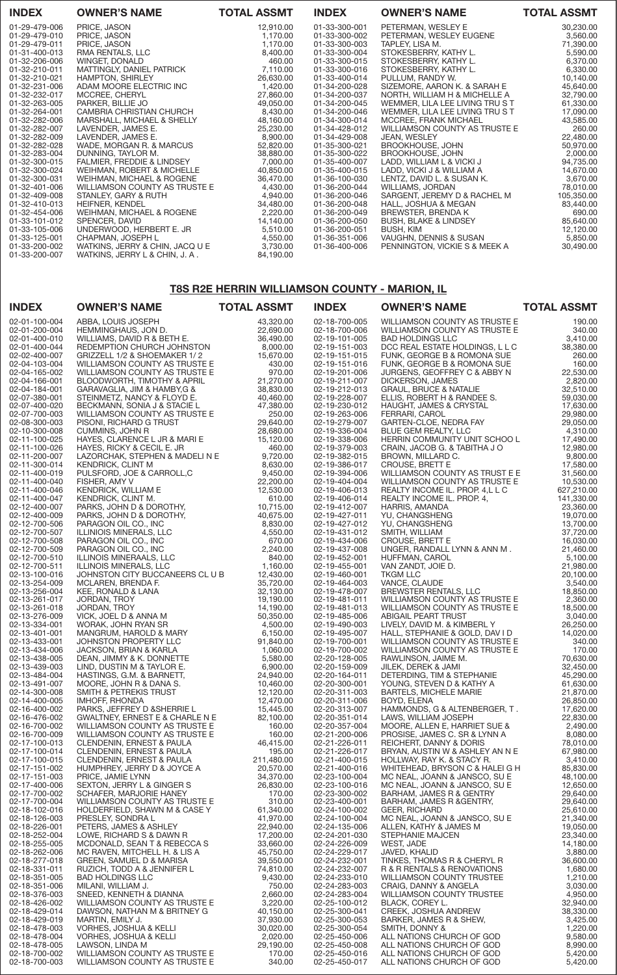| <b>INDEX</b>  | <b>OWNER'S NAME</b>             | <b>TOTAL ASSMT</b> | <b>INDEX</b>  | <b>OWNER'S NAME</b>              | <b>TOTAL ASSMT</b> |
|---------------|---------------------------------|--------------------|---------------|----------------------------------|--------------------|
| 01-29-479-006 | PRICE, JASON                    | 12,910.00          | 01-33-300-001 | PETERMAN, WESLEY E               | 30,230.00          |
| 01-29-479-010 | PRICE, JASON                    | 1.170.00           | 01-33-300-002 | PETERMAN, WESLEY EUGENE          | 3,560.00           |
| 01-29-479-011 | PRICE, JASON                    | 1.170.00           | 01-33-300-003 | TAPLEY, LISA M.                  | 71,390.00          |
| 01-31-400-013 | RMA RENTALS, LLC                | 8,400.00           | 01-33-300-004 | STOKESBERRY, KATHY L.            | 5,590.00           |
| 01-32-206-006 | WINGET, DONALD                  | 460.00             | 01-33-300-015 | STOKESBERRY, KATHY L.            | 6,370.00           |
| 01-32-210-011 | MATTINGLY, DANIEL PATRICK       | 7,110.00           | 01-33-300-016 | STOKESBERRY, KATHY L.            | 6,330.00           |
| 01-32-210-021 | <b>HAMPTON, SHIRLEY</b>         | 26,630.00          | 01-33-400-014 | PULLUM, RANDY W.                 | 10,140.00          |
| 01-32-231-006 | ADAM MOORE ELECTRIC INC         | 1,420.00           | 01-34-200-028 | SIZEMORE, AARON K. & SARAH E     | 45,640.00          |
| 01-32-232-017 | MCCREE, CHERYL                  | 27,860,00          | 01-34-200-037 | NORTH, WILLIAM H & MICHELLE A    | 32,790.00          |
| 01-32-263-005 | PARKER, BILLIE JO               | 49,050.00          | 01-34-200-045 | WEMMER, LILA LEE LIVING TRU S T  | 61,330.00          |
| 01-32-264-001 | CAMBRIA CHRISTIAN CHURCH        | 8,430.00           | 01-34-200-046 | WEMMER, LILA LEE LIVING TRU S T  | 17,090.00          |
| 01-32-282-006 | MARSHALL, MICHAEL & SHELLY      | 48,160.00          | 01-34-300-014 | MCCREE, FRANK MICHAEL            | 43,585.00          |
| 01-32-282-007 | LAVENDER, JAMES E.              | 25,230.00          | 01-34-428-012 | WILLIAMSON COUNTY AS TRUSTE E    | 260.00             |
| 01-32-282-009 | LAVENDER, JAMES E.              | 8,900.00           | 01-34-429-008 | <b>JEAN, WESLEY</b>              | 22,480.00          |
| 01-32-282-028 | WADE, MORGAN R. & MARCUS        | 52,820.00          | 01-35-300-021 | BROOKHOUSE, JOHN                 | 50,970.00          |
| 01-32-283-004 | DUNNING, TAYLOR M.              | 38,880.00          | 01-35-300-022 | BROOKHOUSE, JOHN                 | 2,000.00           |
| 01-32-300-015 | FALMIER, FREDDIE & LINDSEY      | 7.000.00           | 01-35-400-007 | LADD, WILLIAM L & VICKI J        | 94,735.00          |
| 01-32-300-024 | WEIHMAN, ROBERT & MICHELLE      | 40,850.00          | 01-35-400-015 | LADD, VICKI J & WILLIAM A        | 14,670.00          |
| 01-32-300-031 | WEIHMAN, MICHAEL & ROGENE       | 36,470.00          | 01-36-100-030 | LENTZ, DAVID L. & SUSAN K.       | 3,670.00           |
| 01-32-401-006 | WILLIAMSON COUNTY AS TRUSTE E   | 4,430.00           | 01-36-200-044 | WILLIAMS, JORDAN                 | 78,010.00          |
| 01-32-409-008 | STANLEY, GARY & RUTH            | 4.940.00           | 01-36-200-046 | SARGENT, JEREMY D & RACHEL M     | 105,350.00         |
| 01-32-410-013 | HEIFNER, KENDEL                 | 34,480.00          | 01-36-200-048 | HALL, JOSHUA & MEGAN             | 83,440.00          |
| 01-32-454-006 | WEIHMAN, MICHAEL & ROGENE       | 2,220.00           | 01-36-200-049 | BREWSTER, BRENDA K               | 690.00             |
| 01-33-101-012 | SPENCER, DAVID                  | 14,140.00          | 01-36-200-050 | <b>BUSH, BLAKE &amp; LINDSEY</b> | 85,640.00          |
| 01-33-105-006 | UNDERWOOD, HERBERT E. JR        | 5,510.00           | 01-36-200-051 | <b>BUSH, KIM</b>                 | 12,120.00          |
| 01-33-125-001 | CHAPMAN, JOSEPH L               | 4,550.00           | 01-36-351-006 | VAUGHN, DENNIS & SUSAN           | 5,850.00           |
| 01-33-200-002 | WATKINS, JERRY & CHIN, JACQ U E | 3,730.00           | 01-36-400-006 | PENNINGTON, VICKIE S & MEEK A    | 30,490.00          |
| 01-33-200-007 | WATKINS, JERRY L & CHIN, J. A.  | 84,190.00          |               |                                  |                    |

# T8S R2E HERRIN WILLIAMSON COUNTY - MARION, IL

| <b>INDEX</b>                   | <b>OWNER'S NAME</b>                                            | <b>TOTAL ASSMT</b>     | <b>INDEX</b>                   | <b>OWNER'S NAME</b>                                              | <b>TOTAL ASSMT</b>     |
|--------------------------------|----------------------------------------------------------------|------------------------|--------------------------------|------------------------------------------------------------------|------------------------|
| 02-01-100-004                  | ABBA, LOUIS JOSEPH                                             | 43,320.00              | 02-18-700-005                  | WILLIAMSON COUNTY AS TRUSTE E                                    | 190.00                 |
| 02-01-200-004                  | HEMMINGHAUS, JON D.                                            | 22,690.00              | 02-18-700-006                  | WILLIAMSON COUNTY AS TRUSTE E                                    | 340.00                 |
| 02-01-400-010<br>02-01-400-044 | WILLIAMS, DAVID R & BETH E.<br>REDEMPTION CHURCH JOHNSTON      | 36,490.00<br>8,000.00  | 02-19-101-005<br>02-19-151-003 | <b>BAD HOLDINGS LLC</b><br>DCC REAL ESTATE HOLDINGS, L L C       | 3,410.00<br>38,380.00  |
| 02-02-400-007                  | GRIZZELL 1/2 & SHOEMAKER 1/2                                   | 15,670.00              | 02-19-151-015                  | FUNK, GEORGE B & ROMONA SUE                                      | 260.00                 |
| 02-04-103-004                  | WILLIAMSON COUNTY AS TRUSTE E                                  | 430.00                 | 02-19-151-016                  | FUNK, GEORGE B & ROMONA SUE                                      | 160.00                 |
| 02-04-165-002                  | WILLIAMSON COUNTY AS TRUSTE E                                  | 970.00                 | 02-19-201-006                  | JURGENS, GEOFFREY C & ABBY N                                     | 22,530.00              |
| 02-04-166-001<br>02-04-184-001 | BLOODWORTH, TIMOTHY & APRIL<br>GARAVAGLIA, JIM & HAMBY, G &    | 21,270.00<br>38,830.00 | 02-19-211-007<br>02-19-212-013 | DICKERSON, JAMES<br><b>GRAUL, BRUCE &amp; NATALIE</b>            | 2,820.00<br>32,510.00  |
| 02-07-380-001                  | STEINMETZ, NANCY & FLOYD E.                                    | 40,460.00              | 02-19-228-007                  | ELLIS, ROBERT H & RANDEE S.                                      | 59,030.00              |
| 02-07-400-020                  | BECKMANN, SONIA J & STACIE L                                   | 47,380.00              | 02-19-230-012                  | HAUGHT, JAMES & CRYSTAL                                          | 17,630.00              |
| 02-07-700-003                  | WILLIAMSON COUNTY AS TRUSTE E                                  | 250.00                 | 02-19-263-006                  | FERRARI, CAROL                                                   | 29,980.00              |
| 02-08-300-003<br>02-10-300-008 | PISONI, RICHARD G TRUST<br>CUMMINS, JOHN R                     | 29,640.00<br>28,680.00 | 02-19-279-007<br>02-19-336-004 | GARTEN-CLOE, NEDRA FAY<br>BLUE GEM REALTY, LLC                   | 29,050.00<br>4,310.00  |
| 02-11-100-025                  | HAYES, CLARENCE L JR & MARI E                                  | 15,120.00              | 02-19-338-006                  | HERRIN COMMUNITY UNIT SCHOO L                                    | 17,490.00              |
| 02-11-100-026                  | HAYES, RICKY & CECIL E. JR                                     | 460.00                 | 02-19-379-003                  | CRAIN, JACOB G. & TABITHA J O                                    | 12,980.00              |
| 02-11-200-007                  | LAZORCHAK, STEPHEN & MADELI N E                                | 9,720.00               | 02-19-382-015                  | BROWN, MILLARD C.                                                | 9,800.00               |
| 02-11-300-014<br>02-11-400-019 | KENDRICK, CLINT M<br>PULSFORD, JOE & CARROLL, C                | 8,630.00<br>9,450.00   | 02-19-386-017<br>02-19-394-006 | CROUSE, BRETT E<br>WILLIAMSON COUNTY AS TRUST E E                | 17,580.00<br>31,560.00 |
| 02-11-400-040                  | FISHER, AMY V                                                  | 22,200.00              | 02-19-404-004                  | WILLIAMSON COUNTY AS TRUSTE E                                    | 10,530.00              |
| 02-11-400-046                  | KENDRICK, WILLIAM E                                            | 12,530.00              | 02-19-406-013                  | REALTY INCOME IL. PROP. 4.L L C                                  | 627,210.00             |
| 02-11-400-047                  | KENDRICK, CLINT M.                                             | 610.00                 | 02-19-406-014                  | REALTY INCOME IL. PROP. 4,                                       | 141,330.00             |
| 02-12-400-007<br>02-12-400-009 | PARKS, JOHN D & DOROTHY,<br>PARKS, JOHN D & DOROTHY,           | 10,715.00<br>40,675.00 | 02-19-412-007<br>02-19-427-011 | HARRIS, AMANDA<br>YU, CHANGSHENG                                 | 23,360.00<br>19,070.00 |
| 02-12-700-506                  | PARAGON OIL CO., INC                                           | 8,830.00               | 02-19-427-012                  | YU, CHANGSHENG                                                   | 13,700.00              |
| 02-12-700-507                  | ILLINIOIS MINERALS, LLC                                        | 4,550.00               | 02-19-431-012                  | SMITH, WILLIAM                                                   | 37,720.00              |
| 02-12-700-508                  | PARAGON OIL CO., INC                                           | 670.00                 | 02-19-434-006                  | CROUSE, BRETT E                                                  | 16,030.00              |
| 02-12-700-509                  | PARAGON OIL CO., INC                                           | 2,240.00               | 02-19-437-008                  | UNGER, RANDALL LYNN & ANN M.                                     | 21,460.00              |
| 02-12-700-510<br>02-12-700-511 | ILLINOIS MINERAALS, LLC<br>ILLINOIS MINERALS, LLC              | 840.00<br>1,160.00     | 02-19-452-001<br>02-19-455-001 | HUFFMAN, CAROL<br>VAN ZANDT, JOIE D.                             | 5,100.00<br>21,980.00  |
| 02-13-100-016                  | JOHNSTON CITY BUCCANEERS CLUB                                  | 12,430.00              | 02-19-460-001                  | <b>TKGM LLC</b>                                                  | 20,100.00              |
| 02-13-254-009                  | MCLAREN, BRENDA F.                                             | 35,720.00              | 02-19-464-003                  | VANCE, CLAUDE                                                    | 3,540.00               |
| 02-13-256-004                  | KEE, RONALD & LANA                                             | 32,130.00              | 02-19-478-007                  | <b>BREWSTER RENTALS, LLC</b>                                     | 18,850.00              |
| 02-13-261-017<br>02-13-261-018 | JORDAN, TROY<br>JORDAN, TROY                                   | 19,190.00<br>14,190.00 | 02-19-481-011<br>02-19-481-013 | WILLIAMSON COUNTY AS TRUSTE E<br>WILLIAMSON COUNTY AS TRUSTE E   | 2,360.00<br>18,500.00  |
| 02-13-276-009                  | VICK, JOEL D & ANNA M                                          | 50,350.00              | 02-19-485-006                  | ABIGAIL PEART TRUST                                              | 3,040.00               |
| 02-13-334-001                  | WORAK, JOHN RYAN SR                                            | 4,500.00               | 02-19-490-003                  | LIVELY, DAVID M. & KIMBERL Y                                     | 26,250.00              |
| 02-13-401-001                  | MANGRUM, HAROLD & MARY                                         | 6,150.00               | 02-19-495-007                  | HALL, STEPHANIE & GOLD, DAV I D                                  | 14,020.00              |
| 02-13-433-001<br>02-13-434-006 | JOHNSTON PROPERTY LLC<br>JACKSON, BRIAN & KARLA                | 91,840.00<br>1,060.00  | 02-19-700-001<br>02-19-700-002 | WILLIAMSON COUNTY AS TRUSTE E<br>WILLIAMSON COUNTY AS TRUSTE E   | 340.00<br>170.00       |
| 02-13-438-005                  | DEAN, JIMMY & K. DONNETTE                                      | 5,580.00               | 02-20-128-005                  | RAWLINSON, JAIME M.                                              | 70,630.00              |
| 02-13-439-003                  | LIND, DUSTIN M & TAYLOR E.                                     | 6,900.00               | 02-20-159-009                  | JILEK, DEREK & JAMI                                              | 32,450.00              |
| 02-13-484-004                  | HASTINGS, G.M. & BARNETT,                                      | 24,940.00              | 02-20-164-011<br>02-20-300-001 | DETERDING, TIM & STEPHANIE                                       | 45,290.00              |
| 02-13-491-007<br>02-14-300-008 | MOORE, JOHN R & DANA S.<br>SMITH & PETREKIS TRUST              | 10,460.00<br>12,120.00 | 02-20-311-003                  | YOUNG, STEVEN D & KATHY A<br><b>BARTELS, MICHELE MARIE</b>       | 61,630.00<br>21,870.00 |
| 02-14-400-005                  | <b>IMHOFF, RHONDA</b>                                          | 12,470.00              | 02-20-311-006                  | BOYD, ELENA                                                      | 26,850.00              |
| 02-16-400-002                  | PARKS, JEFFREY D & SHERRIE L                                   | 15,445.00              | 02-20-313-007                  | HAMMONDS, G & ALTENBERGER, T.                                    | 17,620.00              |
| 02-16-476-002<br>02-16-700-002 | GWALTNEY, ERNEST E & CHARLE N E                                | 82,100.00              | 02-20-351-014                  | LAWS, WILLIAM JOSEPH                                             | 22,830.00              |
| 02-16-700-009                  | WILLIAMSON COUNTY AS TRUSTE E<br>WILLIAMSON COUNTY AS TRUSTE E | 160.00<br>160.00       | 02-20-357-004<br>02-21-200-006 | MOORE, ALLEN E, HARRIET SUE &<br>PROSISE, JAMES C. SR & LYNN A   | 2,490.00<br>8,080.00   |
| 02-17-100-013                  | CLENDENIN, ERNEST & PAULA                                      | 46,415.00              | 02-21-226-011                  | REICHERT, DANNY & DORIS                                          | 78,010.00              |
| 02-17-100-014                  | CLENDENIN, ERNEST & PAULA                                      | 195.00                 | 02-21-226-017                  | BRYAN, AUSTIN W & ASHLEY AN N E                                  | 67,980.00              |
| 02-17-100-015                  | CLENDENIN, ERNEST & PAULA                                      | 211,480.00             | 02-21-400-015                  | HOLLWAY, RAY K. & STACY R.                                       | 3,410.00               |
| 02-17-151-002<br>02-17-151-003 | HUMPHREY, JERRY D & JOYCE A<br>PRICE, JAMIE LYNN               | 20,570.00<br>34,370.00 | 02-21-400-016<br>02-23-100-004 | WHITEHEAD, BRYSON C & HALEI G H<br>MC NEAL, JOANN & JANSCO, SU E | 85,830.00<br>48,100.00 |
| 02-17-400-006                  | SEXTON, JERRY L & GINGER S                                     | 26,830.00              | 02-23-100-016                  | MC NEAL, JOANN & JANSCO, SU E                                    | 12,650.00              |
| 02-17-700-002                  | SCHAFER, MARJORIE HANEY                                        | 170.00                 | 02-23-300-002                  | BARHAM, JAMES R & GENTRY                                         | 29,640.00              |
| 02-17-700-004                  | WILLIAMSON COUNTY AS TRUSTE E                                  | 310.00                 | 02-23-400-001                  | BARHAM, JAMES R & GENTRY,                                        | 29,640.00              |
| 02-18-102-016<br>02-18-126-003 | HOLDERFIELD, SHAWN M & CASE Y<br>PRESLEY, SONDRA L             | 61,340.00<br>41,970.00 | 02-24-100-002<br>02-24-100-004 | <b>GEER, RICHARD</b><br>MC NEAL, JOANN & JANSCO, SU E            | 25,610.00<br>21,340.00 |
| 02-18-226-001                  | PETERS, JAMES & ASHLEY                                         | 22,940.00              | 02-24-135-006                  | ALLEN, KATHY & JAMES M                                           | 19,050.00              |
| 02-18-252-004                  | LOWE, RICHARD S & DAWN R                                       | 17,200.00              | 02-24-201-030                  | <b>STEPHANIE MAJCEN</b>                                          | 23,340.00              |
| 02-18-255-005                  | MCDONALD, SEAN T & REBECCA S                                   | 33,660.00              | 02-24-226-009                  | WEST, JADE                                                       | 14,180.00              |
| 02-18-262-006<br>02-18-277-018 | MC RAVEN, MITCHELL H. & LIS A<br>GREEN, SAMUEL D & MARISA      | 45,750.00<br>39,550.00 | 02-24-229-017<br>02-24-232-001 | JAVED, KHALID<br>TINKES, THOMAS R & CHERYL R                     | 3,880.00<br>36,600.00  |
| 02-18-331-011                  | RUZICH, TODD A & JENNIFER L                                    | 74,810.00              | 02-24-232-007                  | R & R RENTALS & RENOVATIONS                                      | 1,680.00               |
| 02-18-351-005                  | <b>BAD HOLDINGS LLC</b>                                        | 9,430.00               | 02-24-233-010                  | WILLIAMSON COUNTY TRUSTEE                                        | 1,210.00               |
| 02-18-351-006                  | MILANI, WILLIAM J.                                             | 750.00                 | 02-24-283-003                  | CRAIG, DANNY & ANGELA                                            | 3,030.00               |
| 02-18-376-003<br>02-18-426-002 | SNEED, KENNETH & DIANNA<br>WILLIAMSON COUNTY AS TRUSTE E       | 2,660.00<br>3,220.00   | 02-24-283-004<br>02-25-100-012 | WILLIAMSON COUNTY TRUSTEE<br>BLACK, COREY L.                     | 4,950.00<br>32,940.00  |
| 02-18-429-014                  | DAWSON, NATHAN M & BRITNEY G                                   | 40,150.00              | 02-25-300-041                  | CREEK, JOSHUA ANDREW                                             | 38,330.00              |
| 02-18-429-019                  | MARTIN, EMILY J.                                               | 37,930.00              | 02-25-300-053                  | BARKER, JAMES R & SHEW,                                          | 3,425.00               |
| 02-18-478-003                  | VORHES, JOSHUA & KELLI                                         | 30,020.00              | 02-25-300-054                  | SMITH, DONNY &                                                   | 1,220.00               |
| 02-18-478-004<br>02-18-478-005 | VORHES, JOSHUA & KELLI<br>LAWSON, LINDA M                      | 2,020.00<br>29,190.00  | 02-25-450-006<br>02-25-450-008 | ALL NATIONS CHURCH OF GOD<br>ALL NATIONS CHURCH OF GOD           | 9,580.00<br>8,990.00   |
| 02-18-700-002                  | WILLIAMSON COUNTY AS TRUSTE E                                  | 170.00                 | 02-25-450-016                  | ALL NATIONS CHURCH OF GOD                                        | 5,420.00               |
| 02-18-700-003                  | WILLIAMSON COUNTY AS TRUSTE E                                  | 340.00                 | 02-25-450-017                  | ALL NATIONS CHURCH OF GOD                                        | 5,420.00               |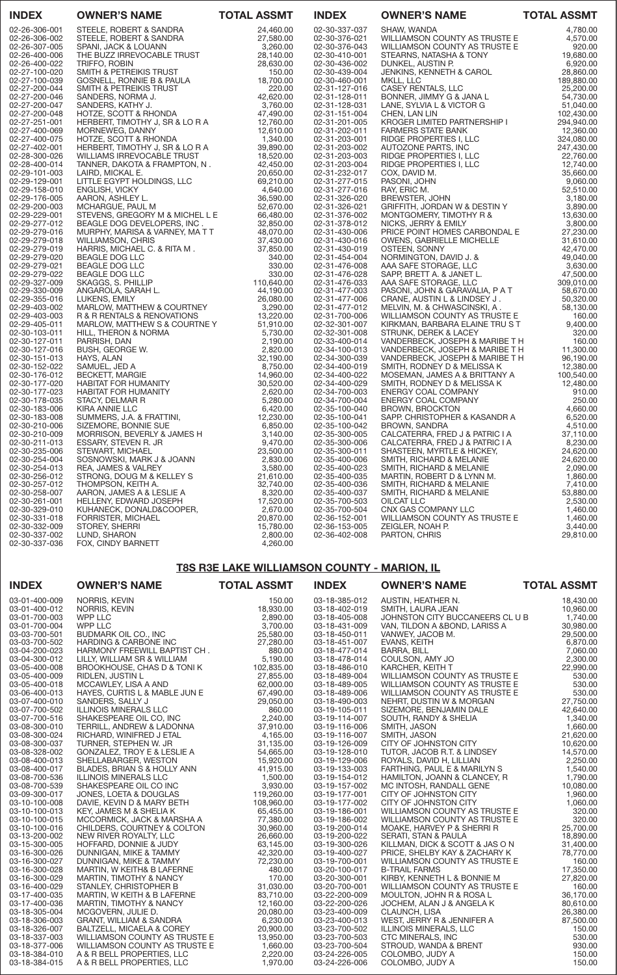| <b>INDEX</b>                   | <b>OWNER'S NAME</b>                                           | <b>TOTAL ASSMT</b>     | <b>INDEX</b>                   | <b>OWNER'S NAME</b>                                                                                                                                                                                                                                                                   | <b>TOTAL ASSMT</b>      |
|--------------------------------|---------------------------------------------------------------|------------------------|--------------------------------|---------------------------------------------------------------------------------------------------------------------------------------------------------------------------------------------------------------------------------------------------------------------------------------|-------------------------|
| 02-26-306-001                  | STEELE, ROBERT & SANDRA                                       | 24,460.00              | 02-30-337-037                  | SHAW, WANDA                                                                                                                                                                                                                                                                           | 4,780.00                |
| 02-26-306-002                  | STEELE, ROBERT & SANDRA                                       | 27,580.00              | 02-30-376-021                  | WILLIAMSON COUNTY AS TRUSTE E                                                                                                                                                                                                                                                         | 4,570.00                |
| 02-26-307-005                  | SPANI, JACK & LOUANN                                          | 3,260.00               | 02-30-376-043                  | WILLIAMSON COUNTY AS TRUSTE E                                                                                                                                                                                                                                                         | 920.00                  |
| 02-26-400-006                  | THE BUZZ IRREVOCABLE TRUST                                    | 28,140.00              | 02-30-410-001                  | STEARNS, NATASHA & TONY                                                                                                                                                                                                                                                               | 19,680.00               |
| 02-26-400-022                  | TRIFFO, ROBIN                                                 | 28,630.00              | 02-30-436-002                  | DUNKEL, AUSTIN P.<br>JENKINS, KENNETH & CAROL<br>MKLL, LLC<br>CASEY RENTALS, LLC<br>BONNER, JIMMY G & JANA L<br>LANE, SYLVIA L & VICTOR G<br>CHEN LANLIN                                                                                                                              | 6,920.00                |
| 02-27-100-020                  | SMITH & PETREIKIS TRUST                                       | 150.00                 | 02-30-439-004                  |                                                                                                                                                                                                                                                                                       | 28,860.00               |
| 02-27-100-039                  | GOSNELL, RONNIE B & PAULA                                     | 18,700.00              | 02-30-460-001                  |                                                                                                                                                                                                                                                                                       | 189,880.00              |
| 02-27-200-044                  | SMITH & PETREIKIS TRUST                                       | 220.00                 | 02-31-127-016                  |                                                                                                                                                                                                                                                                                       | 25,200.00               |
| 02-27-200-046                  | SANDERS, NORMA J.                                             | 42,620.00              | 02-31-128-011                  |                                                                                                                                                                                                                                                                                       | 54,730.00               |
| 02-27-200-047                  | SANDERS, KATHY J.                                             | 3,760.00               | 02-31-128-031                  |                                                                                                                                                                                                                                                                                       | 51,040.00               |
| 02-27-200-048                  | HOTZE, SCOTT & RHONDA                                         | 47,490.00              | 02-31-151-004                  | CHEN, LAN LIN<br>CHEN, LAN LIN<br>KROGER LIMITED PARTNERSHIP I                                                                                                                                                                                                                        | 102,430.00              |
| 02-27-251-001                  | HERBERT, TIMOTHY J, SR & LO R A<br>MORNEWEG, DANNY            | 12,760.00              | 02-31-201-005                  |                                                                                                                                                                                                                                                                                       | 294,940.00              |
| 02-27-400-069                  | MORNEWEG, DANNY                                               | 12,610.00              | 02-31-202-011                  | FARMERS STATE BANK<br>FARMERS STATE BANK<br>RIDGE PROPERTIES I, LLC<br>AUTOZONE PARTS, INC<br>RIDGE PROPERTIES I, LLC<br>RIDGE PROPERTIES I, LLC<br>COX, DAVID M.<br>PASONI, JOHN<br>RAY, ERIC M.<br>BREWSTER, JOHN<br>GRIFFITH, JORDAN W & DESTIN Y<br>MONTGOMERY, TIMOTHY R &<br>NI | 12,360.00               |
| 02-27-400-075                  | HOTZE, SCOTT & RHONDA                                         | 1,340.00<br>39,890.00  | 02-31-203-001                  |                                                                                                                                                                                                                                                                                       | 324,080.00              |
| 02-27-402-001<br>02-28-300-026 | HERBERT, TIMOTHY J, SR & LO R A<br>WILLIAMS IRREVOCABLE TRUST | 18,520.00              | 02-31-203-002<br>02-31-203-003 |                                                                                                                                                                                                                                                                                       | 247,430.00<br>22,760.00 |
| 02-28-400-014                  | TANNER, DAKOTA & FRAMPTON, N.                                 | 42,450.00              | 02-31-203-004                  |                                                                                                                                                                                                                                                                                       | 12,740.00               |
| 02-29-101-003                  | LAIRD, MICKAL E.                                              | 20,650.00              | 02-31-232-017                  |                                                                                                                                                                                                                                                                                       | 35,660.00               |
| 02-29-129-001                  | LITTLE EGYPT HOLDINGS, LLC                                    | 69,210.00              | 02-31-277-015                  |                                                                                                                                                                                                                                                                                       | 9,060.00                |
| 02-29-158-010                  | ENGLISH, VICKY                                                | 4,640.00               | 02-31-277-016                  |                                                                                                                                                                                                                                                                                       | 52,510.00               |
| 02-29-176-005                  | AARON, ASHLEY L.                                              | 36,590.00              | 02-31-326-020                  |                                                                                                                                                                                                                                                                                       | 3,180.00                |
| 02-29-200-003                  | MCHARGUE, PAUL M                                              | 52,670.00              | 02-31-326-021                  |                                                                                                                                                                                                                                                                                       | 3,890.00                |
| 02-29-229-001                  | STEVENS, GREGORY M & MICHEL L E                               | 66,480.00              | 02-31-376-002                  |                                                                                                                                                                                                                                                                                       | 13,630.00               |
| 02-29-277-012                  | BEAGLE DOG DEVELOPERS, INC.                                   | 32,850.00              | 02-31-378-012                  |                                                                                                                                                                                                                                                                                       | 3,800.00                |
| 02-29-279-016                  | MURPHY, MARISA & VARNEY, MATT                                 | 48,070.00              | 02-31-430-006                  | PRICE POINT HOMES CARBONDAL E                                                                                                                                                                                                                                                         | 27,230.00               |
| 02-29-279-018                  | <b>WILLIAMSON, CHRIS</b>                                      | 37,430.00              | 02-31-430-016                  | <b>OWENS, GABRIELLE MICHELLE</b>                                                                                                                                                                                                                                                      | 31,610.00               |
| 02-29-279-019                  | HARRIS, MICHAEL C. & RITA M.                                  | 37,850.00              | 02-31-430-019                  | OSTEEN, SONNY                                                                                                                                                                                                                                                                         | 42,470.00               |
| 02-29-279-020                  | <b>BEAGLE DOG LLC</b>                                         | 340.00                 | 02-31-454-004                  | NORMINGTON, DAVID J. &                                                                                                                                                                                                                                                                | 49,040.00               |
| 02-29-279-021                  | <b>BEAGLE DOG LLC</b>                                         | 330.00                 | 02-31-476-008                  | AAA SAFE STORAGE, LLC                                                                                                                                                                                                                                                                 | 3,630.00                |
| 02-29-279-022                  | <b>BEAGLE DOG LLC</b>                                         | 330.00                 | 02-31-476-028                  | SAPP, BRETT A. & JANET L.                                                                                                                                                                                                                                                             | 47,500.00               |
| 02-29-327-009                  | SKAGGS, S. PHILLIP                                            | 110,640.00             | 02-31-476-033                  | AAA SAFE STORAGE, LLC                                                                                                                                                                                                                                                                 | 309,010.00              |
| 02-29-330-009                  | ANGAROLA, SARAH L.                                            | 44,190.00              | 02-31-477-003                  | PASONI, JOHN & GARAVALIA, P A T                                                                                                                                                                                                                                                       | 58,670.00               |
| 02-29-355-016                  | LUKENS, EMILY                                                 | 26,080.00              | 02-31-477-006                  | CRANE, AUSTIN L & LINDSEY J.                                                                                                                                                                                                                                                          | 50,320.00               |
| 02-29-403-002                  | MARLOW, MATTHEW & COURTNEY                                    | 3,290.00               | 02-31-477-012                  | MELVIN, M. & CHWASCINSKI, A.                                                                                                                                                                                                                                                          | 58,130.00               |
| 02-29-403-003<br>02-29-405-011 | R & R RENTALS & RENOVATIONS                                   | 13,220.00<br>51,910.00 | 02-31-700-006<br>02-32-301-007 | WILLIAMSON COUNTY AS TRUSTE E<br>KIRKMAN, BARBARA ELAINE TRUST                                                                                                                                                                                                                        | 160.00<br>9,400.00      |
| 02-30-103-011                  | MARLOW, MATTHEW S & COURTNE Y<br>HILL, THERON & NORMA         | 5,730.00               | 02-32-301-008                  | STRUNK, DEREK & LACEY                                                                                                                                                                                                                                                                 | 320.00                  |
| 02-30-127-011                  | PARRISH, DAN                                                  | 2,190.00               | 02-33-400-014                  | VANDERBECK, JOSEPH & MARIBE TH                                                                                                                                                                                                                                                        | 160.00                  |
| 02-30-127-016                  | BUSH, GEORGE W.                                               | 2,820.00               | 02-34-100-013                  | VANDERBECK, JOSEPH & MARIBE TH                                                                                                                                                                                                                                                        | 11,300.00               |
| 02-30-151-013                  | HAYS, ALAN                                                    | 32,190.00              | 02-34-300-039                  | VANDERBECK, JOSEPH & MARIBE TH                                                                                                                                                                                                                                                        | 96,190.00               |
| 02-30-152-022                  | SAMUEL, JED A                                                 | 8,750.00               | 02-34-400-019                  | SMITH, RODNEY D & MELISSA K                                                                                                                                                                                                                                                           | 12,380.00               |
| 02-30-176-012                  | <b>BECKETT, MARGIE</b>                                        | 14,960.00              | 02-34-400-022                  | MOSEMAN, JAMES A & BRITTANY A                                                                                                                                                                                                                                                         | 100,540.00              |
| 02-30-177-020                  | <b>HABITAT FOR HUMANITY</b>                                   | 30,520.00              | 02-34-400-029                  | SMITH, RODNEY D & MELISSA K                                                                                                                                                                                                                                                           | 12,480.00               |
| 02-30-177-023                  | HABITAT FOR HUMANITY                                          | 2,620.00               | 02-34-700-003                  | ENERGY COAL COMPANY                                                                                                                                                                                                                                                                   | 910.00                  |
| 02-30-178-035                  | NITY<br>NITY<br>NITY<br>NITY<br>STACY, DELMAR R               | 5,280.00               | 02-34-700-004                  | ENERGY COAL COMPANY                                                                                                                                                                                                                                                                   | 250.00                  |
| 02-30-183-006                  | KIRA ANNIE LLC                                                | 6,420.00               | 02-35-100-040                  | BROWN, BROCKTON                                                                                                                                                                                                                                                                       | 4,660.00                |
| 02-30-183-008                  | SUMMERS, J.A. & FRATTINI,                                     | 12,230.00              | 02-35-100-041                  | SAPP. CHRISTOPHER & KASANDR A                                                                                                                                                                                                                                                         | 6,520.00                |
| 02-30-210-006                  | SIZEMORE, BONNIE SUE                                          | 6,850.00               | 02-35-100-042                  | <b>BROWN, SANDRA</b>                                                                                                                                                                                                                                                                  | 4,510.00                |
| 02-30-210-009                  | MORRISON, BEVERLY & JAMES H                                   | 3,140.00               | 02-35-300-005                  | CALCATERRA, FRED J & PATRIC I A                                                                                                                                                                                                                                                       | 37,110.00               |
| 02-30-211-013                  | ESSARY, STEVEN R. JR                                          | 9,470.00               | 02-35-300-006                  | CALCATERRA, FRED J & PATRIC I A                                                                                                                                                                                                                                                       | 8,230.00                |
| 02-30-235-006                  | STEWART, MICHAEL                                              | 23,500.00              | 02-35-300-011                  | SHASTEEN, MYRTLE & HICKEY,                                                                                                                                                                                                                                                            | 24,620.00               |
| 02-30-254-004                  | SOSNOWSKI, MARK J & JOANN                                     | 2,830.00               | 02-35-400-006                  | SMITH, RICHARD & MELANIE                                                                                                                                                                                                                                                              | 24,620.00               |
| 02-30-254-013<br>02-30-256-012 | REA, JAMES & VALREY<br>STRONG, DOUG M & KELLEY S              | 3,580.00<br>21,610.00  | 02-35-400-023<br>02-35-400-035 | SMITH, RICHARD & MELANIE<br>MARTIN, ROBERT D & LYNN M.                                                                                                                                                                                                                                | 2,090.00<br>1,860.00    |
| 02-30-257-012                  | THOMPSON, KEITH A.                                            | 32,740.00              | 02-35-400-036                  | SMITH, RICHARD & MELANIE                                                                                                                                                                                                                                                              | 7,410.00                |
| 02-30-258-007                  | AARON, JAMES A & LESLIE A                                     | 8,320.00               | 02-35-400-037                  | SMITH, RICHARD & MELANIE                                                                                                                                                                                                                                                              | 53,880.00               |
| 02-30-261-001                  | HELLENY, EDWARD JOSEPH                                        | 17,520.00              | 02-35-700-503                  | OILCAT LLC                                                                                                                                                                                                                                                                            | 2,530.00                |
| 02-30-329-010                  | KUHANECK, DONALD&COOPER,                                      | 2,670.00               | 02-35-700-504                  | CNX GAS COMPANY LLC                                                                                                                                                                                                                                                                   | 1,460.00                |
| 02-30-331-018                  | <b>FORRISTER, MICHAEL</b>                                     | 20,870.00              | 02-36-152-001                  | WILLIAMSON COUNTY AS TRUSTE E                                                                                                                                                                                                                                                         | 1,460.00                |
| 02-30-332-009                  | <b>STOREY, SHERRI</b>                                         | 15,780.00              | 02-36-153-005                  | ZEIGLER, NOAH P.                                                                                                                                                                                                                                                                      | 3,440.00                |
| 02-30-337-002                  | LUND, SHARON                                                  | 2,800.00               | 02-36-402-008                  | PARTON, CHRIS                                                                                                                                                                                                                                                                         | 29,810.00               |
| 02-30-337-036                  | FOX, CINDY BARNETT                                            | 4,260.00               |                                |                                                                                                                                                                                                                                                                                       |                         |

### T8S R3E LAKE WILLIAMSON COUNTY - MARION, IL

#### 03-01-400-009 NORRIS, KEVIN 150.00<br>03-01-400-012 NORRIS, KEVIN 18,930.00 03-01-4015, KEVIN 18,930.00<br>18,930.00<br>2,890.00 03-01-700-003 WPP LLC<br>03-01-700-004 WPP LLC 03-01-700-004 WPP LLC 3,700.00 BUDMARK OIL CO., INC 03-03-700-502 HARDING & CARBONE INC 27,280.00 03-04-200-023 HARMONY FREEWILL BAPTIST CH . 680.00<br>03-04-300-012 LILLY, WILLIAM SR & WILLIAM 6. 6,190.00 03-04-300-012 LILLY, WILLIAM SR & WILLIAM 6,190.00<br>03-05-400-008 BROOKHOUSE, CHAS D & TONI K 102,835.00 03-05-400-008 BROOKHOUSE, CHAS D & TONI K 102,835.00<br>03-05-400-009 RIDLEN, JUSTIN L 03-05-400-009 RIDLEN, JUSTIN L<br>03-05-400-018 MCCAWLEY LISA MCCAWLEY, LISA A AND 62,000.00 03-06-400-013 HAYES, CURTIS L & MABLE JUN E 67,490.00 03-07-400-010 SANDERS, SALLY J 29,050.00 03-07-700-502 ILLINOIS MINERALS LLC 860.00 03-07-700-516 SHAKESPEARE OIL CO, INC 2,240.00<br>03-08-300-010 TERRILL, ANDREW & LADONNA 37,910.00 TERRILL, ANDREW & LADONNA 03-08-300-024 RICHARD, WINIFRED J ETAL 4,165.00<br>03-08-300-037 TURNER, STEPHEN W. JR 31,135.00 03-08-300-037 TURNER, STEPHEN W. JR 31,135.00 03-08-328-002 GONZALEZ, TROY E & LESLIE A 54,665.00 03-08-400-013 SHELLABARGER, WESTON 15,920.00 03-08-400-017 BLADES, BRIAN S & HOLLY ANN 41,915.00 03-08-700-536 ILLINOIS MINERALS LLC 1,500.00 SHAKESPEARE OIL CO INC 03-09-300-017 JONES, LOETA & DOUGLAS 119,260.00 03-10-100-008 DAVIE, KEVIN D & MARY BETH 108,960.00<br>03-10-100-013 KEY, JAMES M & SHELIA K 65,455.00 03-10-100-013 KEY, JAMES M & SHELIA K 65,455.00<br>03-10-100-015 MCCORMICK, JACK & MARSHA A 77,380.00 MCCORMICK, JACK & MARSHA A 03-10-100-016 CHILDERS, COURTNEY & COLTON 30,960.00 03-13-200-002 NEW RIVER ROYALTY, LLC 26,660.00 03-15-300-005 HOFFARD, DONNIE & JUDY 63,145.00<br>03-16-300-026 DUNNIGAN, MIKE & TAMMY 42,320.00 03-16-300-026 DUNNIGAN, MIKE & TAMMY 42,320.00<br>03-16-300-027 DUNNIGAN, MIKE & TAMMY 72,230.00 03-16-300-027 DUNNIGAN, MIKE & TAMMY 72,230.00<br>03-16-300-028 MARTIN, W KEITH& B LAFERNE 480.00 03-16-300-028 MARTIN, W KEITH& B LAFERNE 480.00 MARTIN, TIMOTHY & NANCY 170.00<br>STANLEY, CHRISTOPHER B 31,030.00 03-16-400-029 STANLEY, CHRISTOPHER B 03-17-400-035 MARTIN, W KEITH & B LAFERNE 83,710.00 03-17-400-036 MARTIN, TIMOTHY & NANCY 12,160.00 03-18-305-004 MCGOVERN, JULIE D. 20,080.00<br>03-18-306-003 GRANT, WILLIAM & SANDRA 6.230.00 03-18-306-003 GRANT, WILLIAM & SANDRA 6,230.00 BALTZELL, MICAELA & COREY 20,900.00<br>WILLIAMSON COUNTY AS TRUSTE E 13,950.00 03-18-337-003 WILLIAMSON COUNTY AS TRUSTE E 03-18-377-006 WILLIAMSON COUNTY AS TRUSTE E 1,660.00 03-18-384-010 A & R BELL PROPERTIES, LLC 2,220.00<br>03-18-384-015 A & R BELL PROPERTIES, LLC 1,970.00 03-18-385-012 AUSTIN, HEATHER N. 18,430.00 03-18-402-019 SMITH, LAURA JEAN 10,960.00<br>03-18-405-008 JOHNSTON CITY BUCCANEERS CL U B 1,740.00 03-18-405-008 JOHNSTON CITY BUCCANEERS CL U B 1,740.00 03-18-431-009 VAN, TILDON A &BOND, LARISS A 30,980.00 VANWEY, JACOB M. 03-18-451-007 EVANS, KEITH 6,870.00<br>03-18-477-014 BARRA, BILL 6,870.00 7,060.00 03-18-477-014 BARRA, BILL 7,060.00<br>03-18-478-014 COULSON, AMY JO 2,300.00 03-18-478-014 COULSON, AMY JO 2,300.00 03-18-486-010 KARCHER, KEITH T 22,990.00 03-18-489-004 WILLIAMSON COUNTY AS TRUSTE E<br>03-18-489-005 WILLIAMSON COUNTY AS TRUSTE F 03-18-489-005 WILLIAMSON COUNTY AS TRUSTE E 530.00<br>03-18-489-006 WILLIAMSON COUNTY AS TRUSTE E 530.00 03-18-489-006 WILLIAMSON COUNTY AS TRUSTE E 530.00 03-18-490-003 NEHRT, DUSTIN W & MORGAN 27,750.00<br>03-19-105-011 SIZEMORE, BENJAMIN DALE 42,640.00 03-19-105-011 SIZEMORE, BENJAMIN DALE 42,640.00<br>03-19-114-007 SOUTH, RANDY & SHELIA 1,340.00 03-19-114-007 SOUTH, RANDY & SHELIA<br>03-19-116-006 SMITH, JASON 03-19-116-006 SMITH, JASON 1,660.00<br>03-19-116-007 SMITH, JASON 21,620.00 03-1,620.00 SMITH, JASON 21,620.00<br>CITY OF JOHNSTON CITY 210,620.00 03-19-126-009 CITY OF JOHNSTON CITY 10,620.00 03-19-128-010 TUTOR, JACOB R.T. & LINDSEY 14,570.00<br>03-19-129-006 ROYALS, DAVID H, LILLIAN 2,250.00 03-19-129-006 ROYALS, DAVID H, LILLIAN 2,250.00 03-19-133-003 FARTHING, PAUL E & MARILYN S 1,540.00<br>03-19-154-012 HAMILTON, JOANN & CLANCFY, R 1,790.00 HAMILTON, JOANN & CLANCEY, R 03-19-157-002 MC INTOSH, RANDALL GENE 10,080.00 03-19-177-001 CITY OF JOHNSTON CITY 1,960.00 03-19-177-002 CITY OF JOHNSTON CITY 1,060.00 03-19-186-001 WILLIAMSON COUNTY AS TRUSTE E 320.00 WILLIAMSON COUNTY AS TRUSTE E 03-19-200-014 MOAKE, HARVEY P & SHERRI R 25,700.00<br>03-19-200-022 SERATI, STAN & PAULA 18,890.00 03-18,890.00 SERATI, STAN & PAULA<br>19,890.00 KILLMAN, DICK & SCOTT & JAS O N 03-19-300-026 KILLMAN, DICK & SCOTT & JAS O N 31,400.00<br>03-19-400-027 PRICE, SHELBY KAY & ZACHARY K 78,770.00 03-19-400-027 PRICE, SHELBY KAY & ZACHARY K 78,770.00<br>03-19-700-001 WILLIAMSON COUNTY AS TRUSTE E 160.00 03-19-700-001 WILLIAMSON COUNTY AS TRUSTE E 160.00 03-20-100-017 B-TRAIL FARMS 17,350.00<br>03-20-300-001 KIRBY, KENNETH L & BONNIE M 27,820.00 KIRBY, KENNETH L & BONNIE M 27,820.00<br>160.00 WILLIAMSON COUNTY AS TRUSTE E 03-20-700-001 WILLIAMSON COUNTY AS TRUSTE E 03-22-200-009 MOULTON, JOHN R & ROSA L 36,170.00 03-22-200-026 JOCHEM, ALAN J & ANGELA K 80,610.00 03-23-400-009 CLAUNCH, LISA 26,380.00 03-23-400-013 WEST, JERRY R & JENNIFER A 87,500.00 ILLINOIS MINERALS, LLC 150.00 03-23-700-503 CTC MINERALS, INC 530.00 03-23-700-504 STROUD, WANDA & BRENT 930.00 03-24-226-005 COLOMBO, JUDY A 150.00 INDEX OWNER'S NAME TOTAL ASSMT INDEX OWNER'S NAME TOTAL ASSMT

COLOMBO, JUDY A

A & R BELL PROPERTIES, LLC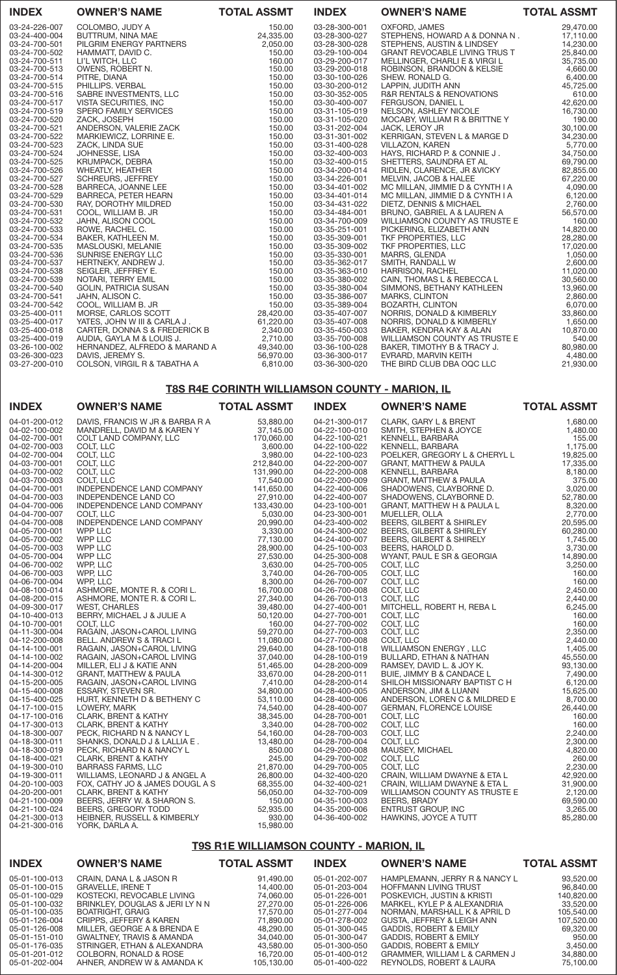| <b>INDEX</b>  | <b>OWNER'S NAME</b>           | <b>TOTAL ASSMT</b> | <b>INDEX</b>  | <b>OWNER'S NAME</b>                  | <b>TOTAL ASSMT</b> |
|---------------|-------------------------------|--------------------|---------------|--------------------------------------|--------------------|
| 03-24-226-007 | COLOMBO, JUDY A               | 150.00             | 03-28-300-001 | OXFORD, JAMES                        | 29,470.00          |
| 03-24-400-004 | BUTTRUM, NINA MAE             | 24,335.00          | 03-28-300-027 | STEPHENS, HOWARD A & DONNA N.        | 17,110.00          |
| 03-24-700-501 | PILGRIM ENERGY PARTNERS       | 2,050.00           | 03-28-300-028 | STEPHENS, AUSTIN & LINDSEY           | 14,230.00          |
| 03-24-700-502 | HAMMATT, DAVID C.             | 150.00             | 03-29-100-004 | <b>GRANT REVOCABLE LIVING TRUS T</b> | 25,840.00          |
| 03-24-700-511 | LI'L WITCH, LLC               | 160.00             | 03-29-200-017 | MELLINGER, CHARLI E & VIRGI L        | 35,735.00          |
| 03-24-700-513 | OWENS, ROBERT N.              | 150.00             | 03-29-200-018 | ROBINSON, BRANDON & KELSIE           | 4,660.00           |
| 03-24-700-514 | PITRE, DIANA                  | 150.00             | 03-30-100-026 | SHEW. RONALD G.                      | 6,400.00           |
| 03-24-700-515 | PHILLIPS. VERBAL              | 150.00             | 03-30-200-012 | LAPPIN, JUDITH ANN                   | 45,725.00          |
| 03-24-700-516 | SABRE INVESTMENTS, LLC        | 150.00             | 03-30-352-005 | R&R RENTALS & RENOVATIONS            | 610.00             |
| 03-24-700-517 | VISTA SECURITIES, INC         | 150.00             | 03-30-400-007 | FERGUSON, DANIEL L                   | 42,620.00          |
| 03-24-700-519 | <b>SPERO FAMILY SERVICES</b>  | 150.00             | 03-31-105-019 | NELSON, ASHLEY NICOLE                | 16,730.00          |
| 03-24-700-520 | ZACK, JOSEPH                  | 150.00             | 03-31-105-020 | MOCABY, WILLIAM R & BRITTNE Y        | 190.00             |
| 03-24-700-521 | ANDERSON, VALERIE ZACK        | 150.00             | 03-31-202-004 | <b>JACK, LEROY JR</b>                | 30,100.00          |
| 03-24-700-522 | MARKIEWICZ, LORRINE E.        | 150.00             | 03-31-301-002 | KERRIGAN, STEVEN L & MARGE D         | 34,230.00          |
| 03-24-700-523 | ZACK, LINDA SUE               | 150.00             | 03-31-400-028 | <b>VILLAZON, KAREN</b>               | 5,770.00           |
| 03-24-700-524 | JOHNESSE, LISA                | 150.00             | 03-32-400-003 | HAYS, RICHARD P. & CONNIE J.         | 34,750.00          |
| 03-24-700-525 | KRUMPACK, DEBRA               | 150.00             | 03-32-400-015 | SHETTERS, SAUNDRA ET AL              | 69,790.00          |
| 03-24-700-526 | <b>WHEATLY, HEATHER</b>       | 150.00             | 03-34-200-014 | RIDLEN, CLARENCE, JR & VICKY         | 82,855.00          |
| 03-24-700-527 | <b>SCHREURS, JEFFREY</b>      | 150.00             | 03-34-226-001 | MELVIN, JACOB & HALEE                | 67,220.00          |
| 03-24-700-528 | BARRECA, JOANNE LEE           | 150.00             | 03-34-401-002 | MC MILLAN, JIMMIE D & CYNTH I A      | 4,090.00           |
| 03-24-700-529 | BARRECA, PETER HEARN          | 150.00             | 03-34-401-014 | MC MILLAN, JIMMIE D & CYNTH I A      | 6,120.00           |
| 03-24-700-530 | RAY, DOROTHY MILDRED          | 150.00             | 03-34-431-022 | DIETZ, DENNIS & MICHAEL              | 2,760.00           |
| 03-24-700-531 | COOL, WILLIAM B. JR           | 150.00             | 03-34-484-001 | BRUNO, GABRIEL A & LAUREN A          | 56,570.00          |
| 03-24-700-532 | JAHN, ALISON COOL             | 150.00             | 03-34-700-009 | WILLIAMSON COUNTY AS TRUSTE E        | 160.00             |
| 03-24-700-533 | ROWE, RACHEL C.               | 150.00             | 03-35-251-001 | PICKERING, ELIZABETH ANN             | 14,820.00          |
| 03-24-700-534 | BAKER, KATHLEEN M.            | 150.00             | 03-35-309-001 | TKF PROPERTIES, LLC                  | 28,280.00          |
| 03-24-700-535 | MASLOUSKI, MELANIE            | 150.00             | 03-35-309-002 | TKF PROPERTIES, LLC                  | 17,020.00          |
| 03-24-700-536 | SUNRISE ENERGY LLC            | 150.00             | 03-35-330-001 | <b>MARRS, GLENDA</b>                 | 1,050.00           |
| 03-24-700-537 | HERTNEKY, ANDREW J.           | 150.00             | 03-35-362-017 | SMITH, RANDALL W                     | 2,600.00           |
| 03-24-700-538 | SEIGLER, JEFFREY E.           | 150.00             | 03-35-363-010 | <b>HARRISON, RACHEL</b>              | 11,020.00          |
| 03-24-700-539 | NOTARI, TERRY EMIL            | 150.00             | 03-35-380-002 | CAIN, THOMAS L & REBECCA L           | 30,560.00          |
| 03-24-700-540 | <b>GOLIN, PATRICIA SUSAN</b>  | 150.00             | 03-35-380-004 | SIMMONS, BETHANY KATHLEEN            | 13,960.00          |
| 03-24-700-541 | JAHN, ALISON C.               | 150.00             | 03-35-386-007 | MARKS, CLINTON                       | 2,860.00           |
| 03-24-700-542 | COOL, WILLIAM B. JR           | 150.00             | 03-35-389-004 | <b>BOZARTH, CLINTON</b>              | 6,070.00           |
| 03-25-400-011 | MORSE, CARLOS SCOTT           | 28,420.00          | 03-35-407-007 | NORRIS, DONALD & KIMBERLY            | 33,860.00          |
| 03-25-400-017 | YATES, JOHN W III & CARLA J.  | 61,220.00          | 03-35-407-008 | NORRIS, DONALD & KIMBERLY            | 1,650.00           |
| 03-25-400-018 | CARTER, DONNA S & FREDERICK B | 2,340.00           | 03-35-450-003 | BAKER, KENDRA KAY & ALAN             | 10,870.00          |
| 03-25-400-019 | AUDIA, GAYLA M & LOUIS J.     | 2,710.00           | 03-35-700-008 | WILLIAMSON COUNTY AS TRUSTE E        | 540.00             |
| 03-26-100-002 | HERNANDEZ, ALFREDO & MARAND A | 49,340.00          | 03-36-100-028 | BAKER, TIMOTHY B & TRACY J.          | 80,980.00          |
| 03-26-300-023 | DAVIS, JEREMY S.              | 56,970.00          | 03-36-300-017 | EVRARD, MARVIN KEITH                 | 4,480.00           |
| 03-27-200-010 | COLSON, VIRGIL R & TABATHA A  | 6,810.00           | 03-36-300-020 | THE BIRD CLUB DBA OQC LLC            | 21,930.00          |
|               |                               |                    |               |                                      |                    |

# T8S R4E CORINTH WILLIAMSON COUNTY - MARION, IL

| <b>INDEX</b>  | <b>OWNER'S NAME</b>                                                                                                                                                                                                                                      | <b>TOTAL ASSMT</b> | <b>INDEX</b>  | <b>OWNER'S NAME</b>                                                                                                                                                                                                                                | <b>TOTAL ASSMT</b> |
|---------------|----------------------------------------------------------------------------------------------------------------------------------------------------------------------------------------------------------------------------------------------------------|--------------------|---------------|----------------------------------------------------------------------------------------------------------------------------------------------------------------------------------------------------------------------------------------------------|--------------------|
| 04-01-200-012 | DAVIS, FRANCIS W JR & BARBA R A                                                                                                                                                                                                                          | 53,880.00          | 04-21-300-017 | CLARK, GARY L & BRENT                                                                                                                                                                                                                              | 1,680.00           |
| 04-02-100-002 | MANDRELL, DAVID M & KAREN Y<br>Soult, LLC<br>COLT, LLC<br>COLT, LLC<br>COLT, LLC<br>COLT, LLC<br>INDEPENDENCE LAND COMPANY<br>INDEPENDENCE LAND CO<br>NDEPENDENCE LAND COMPANY<br>`OLT, LLC<br>`DEPENDENCE I ANT                                         | 37,145.00          | 04-22-100-010 | SMITH, STEPHEN & JOYCE<br>KENNELL, BARBARA<br>KENNELL, BARBARA<br>POELKER, GREGORY L & CHERYL L                                                                                                                                                    | 1,480.00           |
| 04-02-700-001 |                                                                                                                                                                                                                                                          | 170,060.00         | 04-22-100-021 |                                                                                                                                                                                                                                                    | 155.00             |
| 04-02-700-003 |                                                                                                                                                                                                                                                          | 3,600.00           | 04-22-100-022 |                                                                                                                                                                                                                                                    | 1,175.00           |
| 04-02-700-004 |                                                                                                                                                                                                                                                          | 3,980.00           | 04-22-100-023 |                                                                                                                                                                                                                                                    | 19,825.00          |
| 04-03-700-001 |                                                                                                                                                                                                                                                          | 212,840.00         | 04-22-200-007 |                                                                                                                                                                                                                                                    | 17,335.00          |
| 04-03-700-002 |                                                                                                                                                                                                                                                          | 131,990.00         | 04-22-200-008 |                                                                                                                                                                                                                                                    | 8,180.00           |
| 04-03-700-003 |                                                                                                                                                                                                                                                          | 17,540.00          | 04-22-200-009 |                                                                                                                                                                                                                                                    | 375.00             |
| 04-04-700-001 |                                                                                                                                                                                                                                                          | 141,650.00         | 04-22-400-006 |                                                                                                                                                                                                                                                    | 3,020.00           |
| 04-04-700-003 |                                                                                                                                                                                                                                                          | 27,910.00          | 04-22-400-007 |                                                                                                                                                                                                                                                    | 52,780.00          |
| 04-04-700-006 |                                                                                                                                                                                                                                                          | 133,430.00         | 04-23-100-001 |                                                                                                                                                                                                                                                    | 8,320.00           |
| 04-04-700-007 |                                                                                                                                                                                                                                                          | 5,030.00           | 04-23-300-001 |                                                                                                                                                                                                                                                    | 2,770.00           |
| 04-04-700-008 |                                                                                                                                                                                                                                                          | 20,990.00          | 04-23-400-002 |                                                                                                                                                                                                                                                    | 20,595.00          |
| 04-05-700-001 |                                                                                                                                                                                                                                                          | 3,330.00           | 04-24-300-002 |                                                                                                                                                                                                                                                    | 60,280.00          |
| 04-05-700-002 |                                                                                                                                                                                                                                                          | 77,130.00          | 04-24-400-007 |                                                                                                                                                                                                                                                    | 1,745.00           |
| 04-05-700-003 |                                                                                                                                                                                                                                                          | 28,900.00          | 04-25-100-003 |                                                                                                                                                                                                                                                    | 3,730.00           |
| 04-05-700-004 |                                                                                                                                                                                                                                                          | 27,530.00          | 04-25-300-008 |                                                                                                                                                                                                                                                    | 14,890.00          |
| 04-06-700-002 |                                                                                                                                                                                                                                                          | 3,630.00           | 04-25-700-005 |                                                                                                                                                                                                                                                    | 3,250.00           |
| 04-06-700-003 |                                                                                                                                                                                                                                                          | 3,740.00           | 04-26-700-005 |                                                                                                                                                                                                                                                    | 160.00             |
| 04-06-700-004 |                                                                                                                                                                                                                                                          | 8,300.00           | 04-26-700-007 |                                                                                                                                                                                                                                                    | 160,00             |
| 04-08-100-014 |                                                                                                                                                                                                                                                          | 16,700.00          | 04-26-700-008 |                                                                                                                                                                                                                                                    | 2,450.00           |
| 04-08-200-015 |                                                                                                                                                                                                                                                          | 27,340.00          | 04-26-700-013 |                                                                                                                                                                                                                                                    | 2,440.00           |
| 04-09-300-017 |                                                                                                                                                                                                                                                          | 39,480.00          | 04-27-400-001 |                                                                                                                                                                                                                                                    | 6,245.00           |
| 04-10-400-013 | INDEPENDENCE LAND COMPANY<br>COLT, LLC<br>INDEPENDENCE LAND COMPANY<br>WPP LLC<br>WPP LLC<br>WPP LLC<br>WPP LLC<br>WPP LLC<br>WPP LLC<br>WPP LLC<br>ASHMORE, MONTE R. & CORI L.<br>ASHMORE, MONTE R. & CORI L.<br>ASHMORE, MONTE R. & CORI L.<br>ASHMORE | 50,120.00          | 04-27-700-001 | NEWNELL, BAMPAMA<br>DOELKER, GREGORY L & CHERYL L<br>GRANT, MATTHEW & PAULA<br>KENNELL, BARBARA<br>GRANT, MATTHEW & PAULA<br>SHADOWENS, CLAYBORNE D.<br>SHADOWENS, CLAYBORNE D.<br>GRANT, MATTHEW H & PAULA<br>L<br>MUELLER, OLLA<br>BEERS, GILBER | 160.00             |
| 04-10-700-001 |                                                                                                                                                                                                                                                          | 160.00             | 04-27-700-002 |                                                                                                                                                                                                                                                    | 160.00             |
| 04-11-300-004 |                                                                                                                                                                                                                                                          | 59,270.00          | 04-27-700-003 |                                                                                                                                                                                                                                                    | 2,350.00           |
| 04-12-200-008 |                                                                                                                                                                                                                                                          | 11,080.00          | 04-27-700-008 |                                                                                                                                                                                                                                                    | 2,440.00           |
| 04-14-100-001 |                                                                                                                                                                                                                                                          | 29,640.00          | 04-28-100-018 |                                                                                                                                                                                                                                                    | 1,405.00           |
| 04-14-100-002 |                                                                                                                                                                                                                                                          | 37,040.00          | 04-28-100-019 |                                                                                                                                                                                                                                                    | 45,550.00          |
| 04-14-200-004 |                                                                                                                                                                                                                                                          | 51,465.00          | 04-28-200-009 |                                                                                                                                                                                                                                                    | 93,130.00          |
| 04-14-300-012 |                                                                                                                                                                                                                                                          | 33,670.00          | 04-28-200-011 |                                                                                                                                                                                                                                                    | 7,490.00           |
| 04-15-200-005 |                                                                                                                                                                                                                                                          | 7,410.00           | 04-28-200-014 | SHILOH MISSIONARY BAPTIST C H                                                                                                                                                                                                                      | 6,120.00           |
| 04-15-400-008 |                                                                                                                                                                                                                                                          | 34,800.00          | 04-28-400-005 | ANDERSON, JIM & LUANN                                                                                                                                                                                                                              | 15,625.00          |
| 04-15-400-025 |                                                                                                                                                                                                                                                          | 53,110.00          | 04-28-400-006 | ANDERSON, LOREN C & MILDRED E                                                                                                                                                                                                                      | 8,700.00           |
| 04-17-100-015 |                                                                                                                                                                                                                                                          | 74,540.00          | 04-28-400-007 |                                                                                                                                                                                                                                                    | 26,440.00          |
| 04-17-100-016 |                                                                                                                                                                                                                                                          | 38,345.00          | 04-28-700-001 |                                                                                                                                                                                                                                                    | 160.00             |
| 04-17-300-013 |                                                                                                                                                                                                                                                          | 3,340.00           | 04-28-700-002 | ANDENNAN, FLORENCE LOUISE<br>CERMAN, FLORENCE LOUISE<br>COLT, LLC<br>COLT, LLC<br>COLT, LLC<br>COLT, LLC<br>MAUSEY, MICHAEL<br>COLT, LLC<br>COLT, LLC                                                                                              | 160.00             |
| 04-18-300-007 |                                                                                                                                                                                                                                                          | 54,160.00          | 04-28-700-003 |                                                                                                                                                                                                                                                    | 2,240.00           |
| 04-18-300-011 |                                                                                                                                                                                                                                                          | 13,480.00          | 04-28-700-004 |                                                                                                                                                                                                                                                    | 2,300.00           |
| 04-18-300-019 |                                                                                                                                                                                                                                                          | 850.00             | 04-29-200-008 |                                                                                                                                                                                                                                                    | 4,820.00           |
| 04-18-400-021 |                                                                                                                                                                                                                                                          | 245.00             | 04-29-700-002 |                                                                                                                                                                                                                                                    | 260.00             |
| 04-19-300-010 | <b>BARRASS FARMS, LLC</b>                                                                                                                                                                                                                                | 21,870.00          | 04-29-700-005 |                                                                                                                                                                                                                                                    | 2,230.00           |
| 04-19-300-011 | WILLIAMS, LEONARD J & ANGEL A                                                                                                                                                                                                                            | 26,800.00          | 04-32-400-020 | CRAIN, WILLIAM DWAYNE & ETA L                                                                                                                                                                                                                      | 42,920.00          |
| 04-20-100-003 | FOX, CATHY JO & JAMES DOUGL A S                                                                                                                                                                                                                          | 68,355.00          | 04-32-400-021 | CRAIN, WILLIAM DWAYNE & ETA L                                                                                                                                                                                                                      | 31,900.00          |
| 04-20-200-001 | CLARK, BRENT & KATHY                                                                                                                                                                                                                                     | 56,050.00          | 04-32-700-009 | WILLIAMSON COUNTY AS TRUSTE E                                                                                                                                                                                                                      | 2,120.00           |
| 04-21-100-009 | BEERS, JERRY W. & SHARON S.                                                                                                                                                                                                                              | 150.00             | 04-35-100-003 | BEERS, BRADY                                                                                                                                                                                                                                       | 69,590.00          |
| 04-21-100-024 | BEERS, GREGORY TODD                                                                                                                                                                                                                                      | 52,935.00          | 04-35-200-006 | <b>ENTRUST GROUP, INC</b>                                                                                                                                                                                                                          | 3,265.00           |
| 04-21-300-013 | HEIBNER, RUSSELL & KIMBERLY                                                                                                                                                                                                                              | 930.00             | 04-36-400-002 | HAWKINS, JOYCE A TUTT                                                                                                                                                                                                                              | 85,280.00          |
| 04-21-300-016 | YORK, DARLA A.                                                                                                                                                                                                                                           | 15,980.00          |               |                                                                                                                                                                                                                                                    |                    |

# T9S R1E WILLIAMSON COUNTY - MARION, IL

| <b>INDEX</b>                   | <b>OWNER'S NAME</b>                                 | <b>TOTAL ASSMT</b>     | <b>INDEX</b>                   | <b>OWNER'S NAME</b>                                           | <b>TOTAL ASSMT</b>     |
|--------------------------------|-----------------------------------------------------|------------------------|--------------------------------|---------------------------------------------------------------|------------------------|
| 05-01-100-013<br>05-01-100-015 | CRAIN, DANA L & JASON R<br><b>GRAVELLE, IRENE T</b> | 91.490.00<br>14.400.00 | 05-01-202-007<br>05-01-203-004 | HAMPLEMANN, JERRY R & NANCY L<br><b>HOFFMANN LIVING TRUST</b> | 93,520.00<br>96,840.00 |
| 05-01-100-029                  | KOSTECKI, REVOCABLE LIVING                          | 74.060.00              | 05-01-226-001                  | POSKEVICH. JUSTIN & KRISTI                                    | 140,820.00             |
| 05-01-100-032                  | BRINKLEY, DOUGLAS & JERI LY N N                     | 27,270,00              | 05-01-226-006                  | MARKEL, KYLE P & ALEXANDRIA                                   | 33,520,00              |
| 05-01-100-035                  | BOATRIGHT, GRAIG                                    | 17.570.00              | 05-01-277-004                  | NORMAN, MARSHALL K & APRIL D                                  | 105,540.00             |
| 05-01-126-004                  | CRIPPS, JEFFERY & KAREN                             | 71,890.00              | 05-01-278-002                  | GUSTA, JEFFREY & LEIGH ANN                                    | 107,520.00             |
| 05-01-126-008                  | MILLER. GEORGE A & BRENDA E                         | 48.290.00              | 05-01-300-045                  | <b>GADDIS, ROBERT &amp; EMILY</b>                             | 69,320.00              |
| 05-01-151-010                  | GWALTNEY, TRAVIS & AMANDA                           | 34.040.00              | 05-01-300-047                  | <b>GADDIS, ROBERT &amp; EMILY</b>                             | 950.00                 |
| 05-01-176-035                  | STRINGER, ETHAN & ALEXANDRA                         | 43.580.00              | 05-01-300-050                  | GADDIS, ROBERT & EMILY                                        | 3,450.00               |
| 05-01-201-012                  | COLBORN. RONALD & ROSE                              | 16.720.00              | 05-01-400-012                  | GRAMMER, WILLIAM L & CARMEN J                                 | 34,880.00              |
| 05-01-202-004                  | AHNER, ANDREW W & AMANDA K                          | 105.130.00             | 05-01-400-022                  | REYNOLDS, ROBERT & LAURA                                      | 75,100.00              |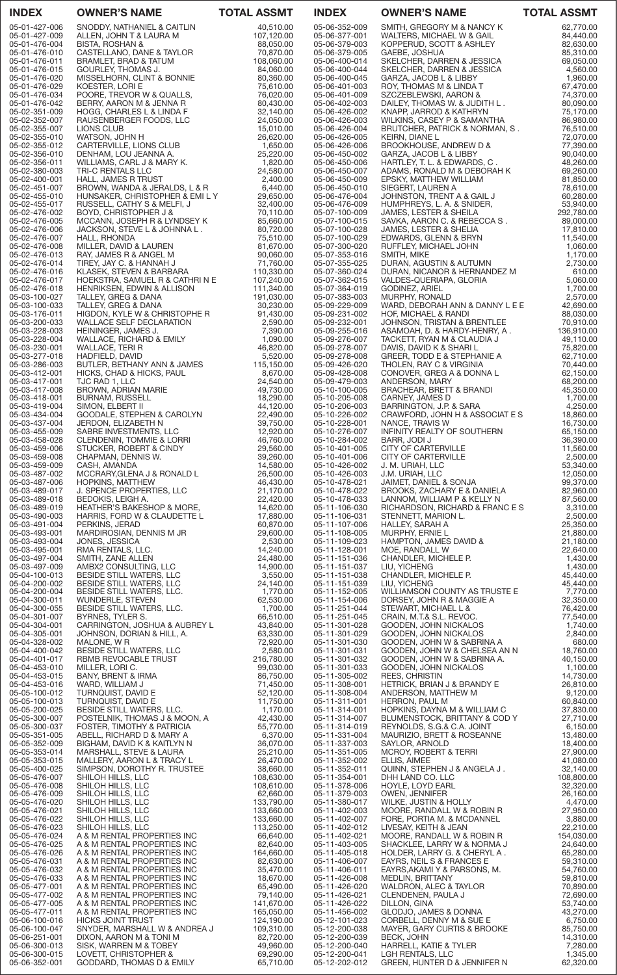| <b>INDEX</b>                   | <b>OWNER'S NAME</b>                                                   | <b>TOTAL ASSMT</b>       | <b>INDEX</b>                   | <b>OWNER'S NAME</b>                                              | <b>TOTAL ASSMT</b>      |
|--------------------------------|-----------------------------------------------------------------------|--------------------------|--------------------------------|------------------------------------------------------------------|-------------------------|
| 05-01-427-006<br>05-01-427-009 | SNODDY, NATHANIEL & CAITLIN                                           | 40,510.00                | 05-06-352-009<br>05-06-377-001 | SMITH, GREGORY M & NANCY K<br>WALTERS, MICHAEL W & GAIL          | 62,770.00               |
| 05-01-476-004                  | ALLEN, JOHN T & LAURA M<br>BISTA, ROSHAN &                            | 107,120.00<br>88,050.00  | 05-06-379-003                  | KOPPERUD, SCOTT & ASHLEY                                         | 84,440.00<br>82,630.00  |
| 05-01-476-010<br>05-01-476-011 | CASTELLANO, DANE & TAYLOR<br>BRAMLET, BRAD & TATUM                    | 70,870.00<br>108,060.00  | 05-06-379-005<br>05-06-400-014 | GAEBE, JOSHUA<br>SKELCHER, DARREN & JESSICA                      | 85,310.00<br>69,050.00  |
| 05-01-476-015                  | GOURLEY, THOMAS J.                                                    | 84,060.00                | 05-06-400-044                  | SKELCHER, DARREN & JESSICA                                       | 4,560.00                |
| 05-01-476-020<br>05-01-476-029 | MISSELHORN, CLINT & BONNIE                                            | 80,360.00<br>75,610.00   | 05-06-400-045<br>05-06-401-003 | GARZA, JACOB L & LIBBY                                           | 1,960.00                |
| 05-01-476-034                  | KOESTER, LORI E<br>POORE, TREVOR W & QUALLS,                          | 76,020.00                | 05-06-401-009                  | ROY, THOMAS M & LINDA T<br>SZCZEBLEWSKI, AARON &                 | 67,470.00<br>74,370.00  |
| 05-01-476-042                  | BERRY, AARON M & JENNA R                                              | 80,430.00<br>32,140.00   | 05-06-402-003<br>05-06-426-002 | DAILEY, THOMAS W. & JUDITH L.                                    | 80,090.00               |
| 05-02-351-009<br>05-02-352-007 | HOGG, CHARLES L & LINDA F<br>RAUSENBERGER FOODS, LLC                  | 24,050.00                | 05-06-426-003                  | KNAPP, JARROD & KATHRYN<br>WILKINS, CASEY P & SAMANTHA           | 75,170.00<br>86,980.00  |
| 05-02-355-007                  | LIONS CLUB<br>WATSON, JOHN H                                          | 15,010.00<br>26,620.00   | 05-06-426-004                  | BRUTCHER, PATRICK & NORMAN, S.                                   | 76,510.00<br>72,070.00  |
| 05-02-355-010<br>05-02-355-012 | CARTERVILLE, LIONS CLUB                                               | 1,650.00                 | 05-06-426-005<br>05-06-426-006 | <b>KEIRN, DIANE L</b><br>BROOKHOUSE, ANDREW D &                  | 77,390.00               |
| 05-02-356-010<br>05-02-356-011 | DENHAM, LOU JEANNA A.                                                 | 25,220.00<br>1,820.00    | 05-06-450-002<br>05-06-450-006 | GARZA, JACOB L & LIBBY                                           | 90,040.00               |
| 05-02-380-003                  | WILLIAMS, CARL J & MARY K.<br>TRI-C RENTALS LLC                       | 24,580.00                | 05-06-450-007                  | HARTLEY, T. L. & EDWARDS, C.<br>ADAMS, RONALD M & DEBORAH K      | 48,260.00<br>69,260.00  |
| 05-02-400-001<br>05-02-451-007 | HALL, JAMES R TRUST<br>BROWN, WANDA & JERALDS, L & R                  | 2,400.00<br>6,440.00     | 05-06-450-009<br>05-06-450-010 | EPSKY, MATTHEW WILLIAM<br>SIEGERT, LAUREN A                      | 81,850.00<br>78,610.00  |
| 05-02-455-010                  | HUNSAKER, CHRISTOPHER & EMILY                                         | 29,650.00                | 05-06-476-004                  | JOHNSTON, TRENT A & GAIL J                                       | 60,280.00               |
| 05-02-455-017<br>05-02-476-002 | RUSSELL, CATHY S & MELFI, J<br>BOYD, CHRISTOPHER J &                  | 32,400.00<br>70,110.00   | 05-06-476-009<br>05-07-100-009 | HUMPHREYS, L. A. & SNIDER,<br>JAMES, LESTER & SHEILA             | 53,940.00<br>292,780.00 |
| 05-02-476-005                  | MCCANN, JOSEPH R & LYNDSEY K                                          | 85,660.00                | 05-07-100-015                  | SAVKA, AARON C. & REBECCA S.                                     | 89,000.00               |
| 05-02-476-006<br>05-02-476-007 | JACKSON, STEVE L & JOHNNA L.<br>HALL, RHONDA                          | 80,720.00<br>75,510.00   | 05-07-100-028<br>05-07-100-029 | JAMES, LESTER & SHELIA<br>EDWARDS, GLENN & BRYN                  | 17,810.00<br>11,540.00  |
| 05-02-476-008                  | MILLER, DAVID & LAUREN                                                | 81,670.00                | 05-07-300-020                  | RUFFLEY, MICHAEL JOHN                                            | 1,060.00                |
| 05-02-476-013<br>05-02-476-014 | RAY, JAMES R & ANGEL M<br>TIREY, JAY C. & HANNAH J                    | 90,060.00<br>71,760.00   | 05-07-353-016<br>05-07-355-025 | SMITH, MIKE<br>DURAN, AGUSTIN & AUTUMN                           | 1,170.00<br>2,730.00    |
| 05-02-476-016                  | KLASEK, STEVEN & BARBARA                                              | 110,330.00               | 05-07-360-024                  | DURAN, NICANOR & HERNANDEZ M                                     | 610.00                  |
| 05-02-476-017<br>05-02-476-018 | HOEKSTRA, SAMUEL R & CATHRI N E<br>HENRIKSEN, EDWIN & ALLISON         | 107,240.00<br>111,340.00 | 05-07-362-015<br>05-07-364-019 | VALDES-QUERIAPA, GLORIA<br>GODINEZ, ARIEL                        | 5,060.00<br>1,700.00    |
| 05-03-100-027                  | TALLEY, GREG & DANA                                                   | 191,030.00               | 05-07-383-003                  | MURPHY, RONALD                                                   | 2,570.00                |
| 05-03-100-033<br>05-03-176-011 | TALLEY, GREG & DANA<br>HIGDON, KYLE W & CHRISTOPHE R                  | 30,230.00<br>91,430.00   | 05-09-229-009<br>05-09-231-002 | WARD, DEBORAH ANN & DANNY L E E<br>HOF, MICHAEL & RANDI          | 42,690.00<br>88,030.00  |
| 05-03-200-033                  | <b>WALLACE SELF DECLARATION</b>                                       | 2,590.00                 | 05-09-232-001                  | JOHNSON, TRISTAN & BRENTLEE                                      | 70,910.00               |
| 05-03-228-003<br>05-03-228-004 | HEININGER, JAMES J.<br>WALLACE, RICHARD & EMILY                       | 7,390.00<br>1,090.00     | 05-09-255-016<br>05-09-276-007 | ASAMOAH, D. & HARDY-HENRY, A.<br>TACKETT, RYAN M & CLAUDIA J     | 136,910.00<br>49,110.00 |
| 05-03-230-001                  | WALLACE, TERI R                                                       | 46,820.00                | 05-09-278-007                  | DAVIS, DAVID K & SHARI L                                         | 75,820.00               |
| 05-03-277-018<br>05-03-286-003 | HADFIELD, DAVID<br>BUTLER, BETHANY ANN & JAMES                        | 5,520.00<br>115,150.00   | 05-09-278-008<br>05-09-426-020 | GREER, TODD E & STEPHANIE A<br>THOLEN, RAY C & VIRGINIA          | 62,710.00<br>70,440.00  |
| 05-03-412-001                  | HICKS, CHAD & HICKS, PAUL                                             | 8,670.00                 | 05-09-428-008                  | CONOVER, GREG A & DONNA L                                        | 62,150.00               |
| 05-03-417-001<br>05-03-417-008 | TJC RAD 1, LLC<br>BROWN, ADRIAN MARIE                                 | 24,540.00<br>49,730.00   | 05-09-479-003<br>05-10-100-005 | ANDERSON, MARY<br>BRACHEAR, BRETT & BRANDI                       | 68,200.00<br>45,350.00  |
| 05-03-418-001                  | <b>BURNAM, RUSSELL</b>                                                | 18,290.00                | 05-10-205-008                  | CARNEY, JAMES D                                                  | 1,700.00                |
| 05-03-419-004<br>05-03-434-004 | SIMON, ELBERT II<br>GOODALE, STEPHEN & CAROLYN                        | 44,120.00<br>22,490.00   | 05-10-206-003<br>05-10-226-002 | BARRINGTON, J.P. & SARA<br>CRAWFORD, JOHN H & ASSOCIAT E S       | 4,250.00<br>18,860.00   |
| 05-03-437-004                  | JERDON, ELIZABETH N                                                   | 39,750.00                | 05-10-228-001                  | NANCE, TRAVIS W                                                  | 16,730.00               |
| 05-03-455-009<br>05-03-458-028 | SABRE INVESTMENTS, LLC<br><b>CLENDENIN, TOMMIE &amp; LORRI</b>        | 12,920.00<br>46,760.00   | 05-10-276-007<br>05-10-284-002 | INFINITY REALTY OF SOUTHERN<br>BARR, JODI J                      | 65,150.00<br>36,390.00  |
| 05-03-459-006                  | STUCKER, ROBERT & CINDY<br>CHAPMAN, DENNIS W.                         | 29,560.00                | 05-10-401-005                  | CITY OF CARTERVILLE                                              | 11,560.00               |
| 05-03-459-008<br>05-03-459-009 | CASH, AMANDA                                                          | 39,260.00<br>14,580.00   | 05-10-401-006<br>05-10-426-002 | CITY OF CARTERVILLE<br>J. M. URIAH, LLC                          | 2,500.00<br>53,340.00   |
| 05-03-487-002                  | MCCRARY, GLENA J & RONALD L                                           | 26,500.00                | 05-10-426-003                  | u. ivi. uniani, llu<br>J.M. URIAH, LLC<br>JAIMET, DANIEL & SONJA | 12,050.00               |
| 05-03-487-006<br>05-03-489-017 | HOPKINS, MATTHEW<br>J. SPENCE PROPERTIES, LLC                         | 46,430.00<br>21,170.00   | 05-10-478-021<br>05-10-478-022 | BROOKS, ZACHARY E & DANIELA                                      | 99,370.00<br>82,960.00  |
| 05-03-489-018                  | BEDOKIS, LEIGH A.                                                     | 22,420.00                | 05-10-478-033                  | LANNOM, WILLIAM P & KELLY N                                      | 87,560.00               |
| 05-03-489-019<br>05-03-490-003 | <b>HEATHER'S BAKESHOP &amp; MORE,</b><br>HARRIS, FORD W & CLAUDETTE L | 14,620.00<br>17,880.00   | 05-11-106-030<br>05-11-106-031 | RICHARDSON, RICHARD & FRANCES<br>STENNETT, MARION L.             | 3,310.00<br>2,500.00    |
| 05-03-491-004                  | PERKINS, JERAD                                                        | 60,870.00                | 05-11-107-006                  | HALLEY, SARAH A                                                  | 25,350.00               |
| 05-03-493-001<br>05-03-493-004 | MARDIROSIAN, DENNIS M JR<br>JONES, JESSICA                            | 29,600.00<br>2,530.00    | 05-11-108-005<br>05-11-109-023 | MURPHY, ERNIE L<br>HAMPTON, JAMES DAVID &                        | 21,880.00<br>21,180.00  |
| 05-03-495-001                  | RMA RENTALS, LLC.                                                     | 14,240.00                | 05-11-128-001                  | MOE, RANDALL W                                                   | 22,640.00               |
| 05-03-497-004<br>05-03-497-009 | SMITH, ZANE ALLEN<br>AMBX2 CONSULTING, LLC                            | 24,480.00<br>14,900.00   | 05-11-151-036<br>05-11-151-037 | CHANDLER, MICHELE P.<br>LIU, YICHENG                             | 1,430.00<br>1,430.00    |
| 05-04-100-013                  | BESIDE STILL WATERS, LLC                                              | 3,550.00                 | 05-11-151-038                  | LIU, YICHENG<br>CHANDLER, MICHELE P.                             | 45,440.00               |
| 05-04-200-002<br>05-04-200-004 | BESIDE STILL WATERS, LLC<br>BESIDE STILL WATERS, LLC.                 | 24,140.00<br>1,770.00    | 05-11-151-039<br>05-11-152-005 | LIU, YICHENG<br>WILLIAMSON COUNTY AS TRUSTE E                    | 45,440.00<br>7,770.00   |
| 05-04-300-011                  | WUNDERLE, STEVEN                                                      | 62,530.00                | 05-11-154-006                  | DORSEY, JOHN R & MAGGIE A                                        | 32,350.00               |
| 05-04-300-055<br>05-04-301-007 | BESIDE STILL WATERS, LLC.<br>BYRNES, TYLER S.                         | 1,700.00<br>66,510.00    | 05-11-251-044<br>05-11-251-045 | STEWART, MICHAEL L &<br>CRAIN, M.T.& S.L. REVOC.                 | 76,420.00<br>77,540.00  |
| 05-04-304-001                  | CARRINGTON, JOSHUA & AUBREY L                                         | 43,840.00                | 05-11-301-028                  | GOODEN, JOHN NICKALOS                                            | 1,740.00                |
| 05-04-305-001<br>05-04-328-002 | JOHNSON, DORIAN & HILL, A.<br>MALONE, W R                             | 63,330.00<br>72,920.00   | 05-11-301-029<br>05-11-301-030 | GOODEN, JOHN NICKALOS<br>GOODEN, JOHN W & SABRINA A              | 2,840.00<br>680.00      |
| 05-04-400-042                  | BESIDE STILL WATERS, LLC                                              | 2,580.00                 | 05-11-301-031                  | GOODEN, JOHN W & CHELSEA AN N                                    | 18,760.00               |
| 05-04-401-017<br>05-04-453-010 | RBMB REVOCABLE TRUST<br>MILLER, LORI C.<br>BANY, BRENT & IRMA         | 216,780.00<br>99,030.00  | 05-11-301-032<br>05-11-301-033 | GOODEN, JOHN W & SABRINA A.<br>GOODEN, JOHN NICKALOS             | 40,150.00<br>1,100.00   |
| 05-04-453-015<br>05-04-453-016 | WARD, WILLIAM J                                                       | 86,750.00<br>71,450.00   | 05-11-305-002<br>05-11-308-001 | <b>REES, CHRISTIN</b><br>HETRICK, BRIAN J & BRANDY E             | 14,730.00<br>26,810.00  |
| 05-05-100-012                  | TURNQUIST, DAVID E                                                    | 52,120.00                | 05-11-308-004                  | ANDERSON, MATTHEW M                                              | 9,120.00                |
| 05-05-100-013<br>05-05-200-025 | TURNQUIST, DAVID E<br>BESIDE STILL WATERS, LLC.                       | 11,750.00<br>1,170.00    | 05-11-311-001<br>05-11-314-001 | HERRON, PAUL M<br>HOPKINS, DAYNA M & WILLIAM C                   | 60,840.00<br>37,830.00  |
| 05-05-300-007                  | POSTELNIK, THOMAS J & MOON, A                                         | 42,430.00                | 05-11-314-007                  | BLUMENSTOCK, BRITTANY & CODY                                     | 27,710.00               |
| 05-05-300-037<br>05-05-351-005 | FOSTER, TIMOTHY & PATRICIA<br>ABELL, RICHARD D & MARY A               | 55,770.00<br>6,370.00    | 05-11-314-019<br>05-11-331-004 | REYNOLDS, S.G.& C.A. JOINT<br>MAURIZIO, BRETT & ROSEANNE         | 6,150.00<br>13,480.00   |
| 05-05-352-009                  | BIGHAM, DAVID K & KAITLYN N                                           | 36,070.00                | 05-11-337-003                  | SAYLOR, ARNOLD                                                   | 18,400.00               |
| 05-05-353-014<br>05-05-353-015 | MARSHALL, STEVE & LAURA<br>MALLERY, AARON L & TRACY L                 | 25,210.00<br>26,470.00   | 05-11-351-005<br>05-11-352-002 | MCROY, ROBERT & TERRI<br>ELLIS, AIMEE                            | 27,900.00<br>41,080.00  |
| 05-05-400-025                  | SIMPSON, DOROTHY R. TRUSTEE                                           | 38,660.00                | 05-11-352-011                  | QUINN, STEPHEN J & ANGELA J.                                     | 32,140.00               |
| 05-05-476-007<br>05-05-476-008 | SHILOH HILLS, LLC<br>SHILOH HILLS, LLC                                | 108,630.00<br>108,610.00 | 05-11-354-001<br>05-11-378-006 | DHH LAND CO. LLC<br>HOYLE, LOYD EARL                             | 108,800.00<br>32,320.00 |
| 05-05-476-009                  | SHILOH HILLS, LLC                                                     | 62,660.00                | 05-11-379-003                  | OWEN, JENNIFER                                                   | 26,160.00               |
| 05-05-476-020<br>05-05-476-021 | SHILOH HILLS, LLC<br>SHILOH HILLS, LLC                                | 133,790.00<br>133,660.00 | 05-11-380-017<br>05-11-402-003 | WILKE, JUSTIN & HOLLY<br>MOORE, RANDALL W & ROBIN R              | 4,470.00<br>27,950.00   |
| 05-05-476-022                  | SHILOH HILLS, LLC                                                     | 133,660.00               | 05-11-402-007                  | FORE, PORTIA M. & MCDANNEL                                       | 3,880.00                |
| 05-05-476-023<br>05-05-476-024 | SHILOH HILLS, LLC<br>A & M RENTAL PROPERTIES INC                      | 113,250.00<br>66,640.00  | 05-11-402-012<br>05-11-402-021 | LIVESAY, KEITH & JEAN<br>MOORE, RANDALL W & ROBIN R              | 22,210.00<br>154,030.00 |
| 05-05-476-025                  | A & M RENTAL PROPERTIES INC                                           | 82,640.00                | 05-11-403-005                  | SHACKLEE, LARRY W & NORMA J                                      | 24,640.00               |
| 05-05-476-026<br>05-05-476-031 | A & M RENTAL PROPERTIES INC<br>A & M RENTAL PROPERTIES INC            | 164,660.00<br>82,630.00  | 05-11-405-018<br>05-11-406-007 | HOLDER, LARRY G. & CHERYL A.<br>EAYRS, NEIL S & FRANCES E        | 65,280.00<br>59,310.00  |
| 05-05-476-032                  | A & M RENTAL PROPERTIES INC                                           | 35,470.00                | 05-11-406-011                  | EAYRS, AKAMI Y & PARSONS, M.                                     | 54,760.00               |
| 05-05-476-033<br>05-05-477-001 | A & M RENTAL PROPERTIES INC<br>A & M RENTAL PROPERTIES INC            | 18,670.00<br>65,490.00   | 05-11-426-008<br>05-11-426-020 | MEDLIN, BRITTANY<br>WALDRON, ALEC & TAYLOR                       | 59,810.00<br>70,890.00  |
| 05-05-477-002                  | A & M RENTAL PROPERTIES INC                                           | 79,140.00                | 05-11-426-021                  | CLENDENEN, PAULA J                                               | 72,690.00               |
| 05-05-477-005<br>05-05-477-011 | A & M RENTAL PROPERTIES INC<br>A & M RENTAL PROPERTIES INC            | 141,670.00<br>165,050.00 | 05-11-426-022<br>05-11-456-002 | DILLON, GINA<br>GLODJO, JAMES & DONNA                            | 53,740.00<br>43,270.00  |
| 05-06-100-016                  | <b>HICKS JOINT TRUST</b>                                              | 124,190.00               | 05-12-101-023                  | CORBELL, DENNY M & SUE E                                         | 6,750.00                |
| 05-06-100-047<br>05-06-251-001 | SNYDER, MARSHALL W & ANDREA J<br>DIXON, AARON M & TONI M              | 109,310.00<br>82,720.00  | 05-12-200-038<br>05-12-200-039 | MAYER, GARY CURTIS & BROOKE<br>BECK, JOHN                        | 85,750.00<br>14,310.00  |
| 05-06-300-013                  | SISK, WARREN M & TOBEY                                                | 49,960.00                | 05-12-200-040                  | HARRELL, KATIE & TYLER                                           | 7,280.00                |
| 05-06-300-015<br>05-06-352-001 | LOVETT, CHRISTOPHER &<br>GODDARD, THOMAS D & EMILY                    | 69,290.00<br>65,710.00   | 05-12-200-041<br>05-12-202-012 | LGH RENTALS, LLC<br>GREEN, HUNTER D & JENNIFER N                 | 1,345.00<br>62,320.00   |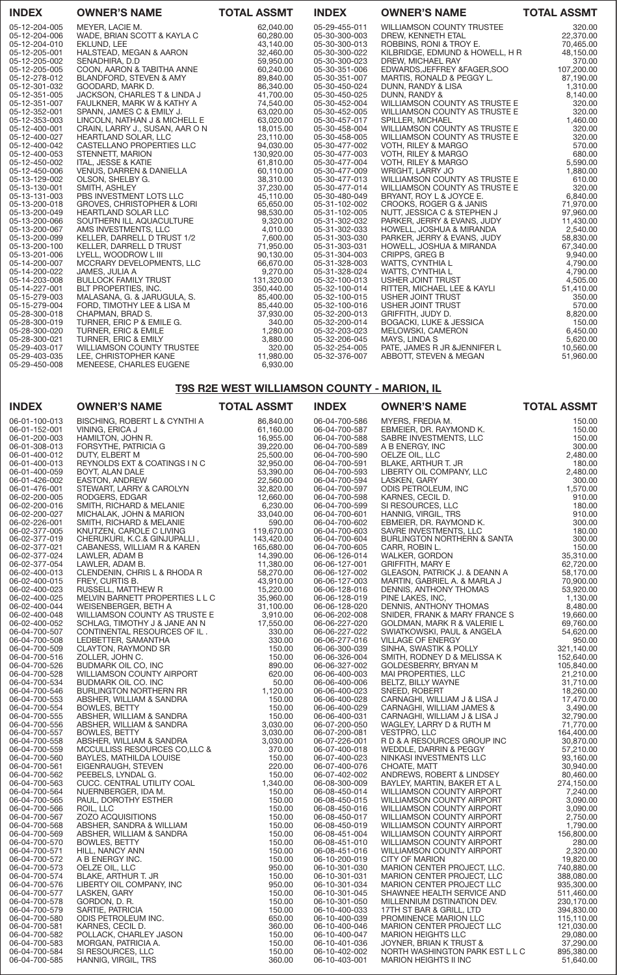| <b>INDEX</b>                   | <b>OWNER'S NAME</b>                               | <b>TOTAL ASSMT</b>     | <b>INDEX</b>                   | <b>OWNER'S NAME</b>                                  | <b>TOTAL ASSMT</b> |
|--------------------------------|---------------------------------------------------|------------------------|--------------------------------|------------------------------------------------------|--------------------|
| 05-12-204-005                  | MEYER, LACIE M.                                   | 62,040.00              | 05-29-455-011                  | <b>WILLIAMSON COUNTY TRUSTEE</b>                     | 320.00             |
| 05-12-204-006                  | WADE, BRIAN SCOTT & KAYLA C                       | 60,280.00              | 05-30-300-003                  | DREW. KENNETH ETAL                                   | 22,370.00          |
| 05-12-204-010                  | EKLUND, LEE                                       | 43,140.00              | 05-30-300-013                  | ROBBINS, RONI & TROY E.                              | 70,465.00          |
| 05-12-205-001                  | HALSTEAD, MEGAN & AARON                           | 32,460.00              | 05-30-300-022                  | KILBRIDGE, EDMUND & HOWELL, H R                      | 48,150.00          |
| 05-12-205-002                  | SENADHIRA, D.D.                                   | 59.950.00              | 05-30-300-023                  | <b>DREW. MICHAEL RAY</b>                             | 370.00             |
| 05-12-205-005                  | COON, AARON & TABITHA ANNE                        | 60,240.00              | 05-30-351-006                  | EDWARDS, JEFFREY & FAGER, SOO                        | 107,200.00         |
| 05-12-278-012                  | BLANDFORD, STEVEN & AMY                           | 89,840.00              | 05-30-351-007                  | MARTIS, RONALD & PEGGY L.                            | 87,190.00          |
| 05-12-301-032                  | GOODARD, MARK D.                                  | 86,340.00              | 05-30-450-024                  | DUNN, RANDY & LISA                                   | 1,310.00           |
| 05-12-351-005                  | JACKSON, CHARLES T & LINDA J                      | 41,700.00              | 05-30-450-025                  | DUNN, RANDY &                                        | 8,140.00           |
| 05-12-351-007                  | FAULKNER, MARK W & KATHY A                        | 74,540.00              | 05-30-452-004                  | WILLIAMSON COUNTY AS TRUSTE E                        | 320.00             |
| 05-12-352-001                  | SPANN, JAMES C & EMILY J.                         | 63,020.00              | 05-30-452-005                  | WILLIAMSON COUNTY AS TRUSTE E                        | 320.00             |
| 05-12-353-003                  | LINCOLN, NATHAN J & MICHELL E                     | 63,020.00              | 05-30-457-017                  | SPILLER, MICHAEL                                     | 1,460.00           |
| 05-12-400-001                  | CRAIN, LARRY J., SUSAN, AAR ON                    | 18,015.00              | 05-30-458-004                  | WILLIAMSON COUNTY AS TRUSTE E                        | 320.00             |
| 05-12-400-027<br>05-12-400-042 | HEARTLAND SOLAR, LLC<br>CASTELLANO PROPERTIES LLC | 23,110.00<br>94,030.00 | 05-30-458-005<br>05-30-477-002 | WILLIAMSON COUNTY AS TRUSTE E<br>VOTH, RILEY & MARGO | 320.00<br>570.00   |
| 05-12-400-053                  | STENNETT, MARION                                  | 130,920.00             | 05-30-477-003                  | VOTH, RILEY & MARGO                                  | 680.00             |
| 05-12-450-002                  | <b>ITAL, JESSE &amp; KATIE</b>                    | 61,810.00              | 05-30-477-004                  | VOTH, RILEY & MARGO                                  | 5,590.00           |
| 05-12-450-006                  | VENUS, DARREN & DANIELLA                          | 60,110.00              | 05-30-477-009                  | <b>WRIGHT, LARRY JO</b>                              | 1.880.00           |
| 05-13-129-002                  | OLSON, SHELBY G.                                  | 38,310.00              | 05-30-477-013                  | <b>WILLIAMSON COUNTY AS TRUSTE E</b>                 | 610.00             |
| 05-13-130-001                  | SMITH, ASHLEY                                     | 37,230.00              | 05-30-477-014                  | WILLIAMSON COUNTY AS TRUSTE E                        | 320.00             |
| 05-13-131-003                  | PBS INVESTMENT LOTS LLC                           | 45,110.00              | 05-30-480-049                  | BRYANT, ROY L & JOYCE E.                             | 6,840.00           |
| 05-13-200-018                  | <b>GROVES, CHRISTOPHER &amp; LORI</b>             | 65,650.00              | 05-31-102-002                  | CROOKS, ROGER G & JANIS                              | 71,970.00          |
| 05-13-200-049                  | <b>HEARTLAND SOLAR LLC</b>                        | 98,530.00              | 05-31-102-005                  | NUTT, JESSICA C & STEPHEN J                          | 97,960.00          |
| 05-13-200-066                  | SOUTHERN ILL AQUACULTURE                          | 9,320.00               | 05-31-302-032                  | PARKER, JERRY & EVANS, JUDY                          | 11,430.00          |
| 05-13-200-067                  | AMS INVESTMENTS, LLC                              | 4.010.00               | 05-31-302-033                  | HOWELL, JOSHUA & MIRANDA                             | 2,540,00           |
| 05-13-200-099                  | KELLER, DARRELL D TRUST 1/2                       | 7,600.00               | 05-31-303-030                  | PARKER, JERRY & EVANS, JUDY                          | 58,830.00          |
| 05-13-200-100                  | <b>KELLER, DARRELL D TRUST</b>                    | 71,950.00              | 05-31-303-031                  | HOWELL, JOSHUA & MIRANDA                             | 67,340.00          |
| 05-13-201-006                  | LYELL, WOODROW L III                              | 90,130.00              | 05-31-304-003                  | CRIPPS, GREG B                                       | 9,940.00           |
| 05-14-200-007                  | MCCRARY DEVELOPMENTS, LLC                         | 66,670.00              | 05-31-328-003                  | WATTS, CYNTHIA L                                     | 4,790.00           |
| 05-14-200-022                  | JAMES, JULIA A                                    | 9,270.00               | 05-31-328-024                  | WATTS, CYNTHIA L                                     | 4,790.00           |
| 05-14-203-008                  | <b>BULLOCK FAMILY TRUST</b>                       | 131,320.00             | 05-32-100-013                  | <b>USHER JOINT TRUST</b>                             | 4,505.00           |
| 05-14-227-001                  | BLT PROPERTIES, INC.                              | 350,440.00             | 05-32-100-014                  | RITTER, MICHAEL LEE & KAYLI                          | 51,410.00          |
| 05-15-279-003                  | MALASANA, G. & JARUGULA, S.                       | 85,400.00              | 05-32-100-015                  | USHER JOINT TRUST                                    | 350.00             |
| 05-15-279-004                  | FORD, TIMOTHY LEE & LISA M                        | 85,440.00              | 05-32-100-016                  | USHER JOINT TRUST                                    | 570.00             |
| 05-28-300-018                  | CHAPMAN, BRAD S.                                  | 37,930.00              | 05-32-200-013                  | GRIFFITH, JUDY D.                                    | 8,820.00           |
| 05-28-300-019                  | TURNER, ERIC P & EMILE G.                         | 340.00                 | 05-32-200-014                  | <b>BOGACKI, LUKE &amp; JESSICA</b>                   | 150.00             |
| 05-28-300-020                  | <b>TURNER, ERIC &amp; EMILE</b>                   | 1.280.00               | 05-32-203-023                  | MELOWSKI, CAMERON                                    | 6,450.00           |
| 05-28-300-021                  | TURNER, ERIC & EMILY                              | 3,880.00               | 05-32-206-045                  | MAYS, LINDA S                                        | 5,620.00           |
| 05-29-403-017                  | WILLIAMSON COUNTY TRUSTEE                         | 320.00                 | 05-32-254-005                  | PATE, JAMES R JR & JENNIFER L                        | 10,560.00          |
| 05-29-403-035                  | LEE, CHRISTOPHER KANE                             | 11,980.00              | 05-32-376-007                  | ABBOTT, STEVEN & MEGAN                               | 51,960.00          |
| 05-29-450-008                  | MENEESE, CHARLES EUGENE                           | 6,930.00               |                                |                                                      |                    |

# T9S R2E WEST WILLIAMSON COUNTY - MARION, IL

| <b>INDEX</b>                   | <b>OWNER'S NAME</b>                           | <b>TOTAL ASSMT</b>       | <b>INDEX</b>                   | <b>OWNER'S NAME</b>              | <b>TOTAL ASSMT</b>  |
|--------------------------------|-----------------------------------------------|--------------------------|--------------------------------|----------------------------------|---------------------|
| 06-01-100-013                  | BISCHING, ROBERT L & CYNTHI A                 | 86,840.00                | 06-04-700-586                  | MYERS, FREDIA M.                 | 150.00              |
| 06-01-152-001                  | VINING, ERICA J                               | 61,160.00                | 06-04-700-587                  | EBMEIER, DR. RAYMOND K.          | 150.00              |
| 06-01-200-003                  | HAMILTON, JOHN R.                             | 16,955.00                | 06-04-700-588                  | SABRE INVESTMENTS, LLC           | 150.00              |
| 06-01-308-013                  | FORSYTHE, PATRICIA G                          | 39,220.00                | 06-04-700-589                  | A B ENERGY, INC                  | 300.00              |
| 06-01-400-012                  | DUTY, ELBERT M                                | 25,500.00                | 06-04-700-590                  | OELZE OIL, LLC                   | 2,480.00            |
| 06-01-400-013                  | REYNOLDS EXT & COATINGS I N C                 | 32,950.00                | 06-04-700-591                  | BLAKE, ARTHUR T. JR              | 180.00              |
| 06-01-400-059                  | BOYT, ALAN DALE                               | 53,390.00                | 06-04-700-593                  | LIBERTY OIL COMPANY, LLC         | 2,480.00            |
| 06-01-426-002                  | EASTON, ANDREW                                | 22,560.00                | 06-04-700-594                  | LASKEN, GARY                     | 300.00              |
| 06-01-476-001                  | STEWART, LARRY & CAROLYN                      | 32,820.00                | 06-04-700-597                  | ODIS PETROLEUM, INC              | 1,570.00            |
| 06-02-200-005                  | RODGERS, EDGAR                                | 12,660.00                | 06-04-700-598                  | KARNES, CECIL D.                 | 910.00              |
| 06-02-200-016                  | SMITH, RICHARD & MELANIE                      | 6,230.00                 | 06-04-700-599                  | SI RESOURCES, LLC                | 180.00              |
| 06-02-200-027                  | MICHALAK, JOHN & MARION                       | 33,040.00                | 06-04-700-601                  | HANNIG, VIRGIL, TRS              | 910.00              |
| 06-02-226-001                  | SMITH, RICHARD & MELANIE                      | 590.00                   | 06-04-700-602                  | EBMEIER, DR. RAYMOND K.          | 300.00              |
| 06-02-377-005                  | KNUTZEN, CAROLE C LIVING                      | 119,670.00               | 06-04-700-603                  | SAVRE INVESTMENTS, LLC           | 180.00              |
| 06-02-377-019                  | CHERUKURI, K.C.& GINJUPALLI,                  | 143,420.00<br>165,680.00 | 06-04-700-604<br>06-04-700-605 | BURLINGTON NORTHERN & SANTA      | 300.00              |
| 06-02-377-021<br>06-02-377-024 | CABANESS, WILLIAM R & KAREN<br>LAWLER, ADAM B | 14,390.00                | 06-06-126-014                  | CARR, ROBIN L.<br>WALKER, GORDON | 150.00<br>35,310.00 |
| 06-02-377-054                  | LAWLER, ADAM B.                               | 11,380.00                | 06-06-127-001                  | <b>GRIFFITH, MARY E</b>          | 62,720.00           |
| 06-02-400-013                  | CLENDENIN, CHRIS L & RHODA R                  | 58,270.00                | 06-06-127-002                  | GLEASON, PATRICK J. & DEANN A    | 58,170.00           |
| 06-02-400-015                  | FREY, CURTIS B.                               | 43,910.00                | 06-06-127-003                  | MARTIN, GABRIEL A. & MARLA J     | 70,900.00           |
| 06-02-400-023                  | RUSSELL, MATTHEW R                            | 15,220.00                | 06-06-128-016                  | DENNIS, ANTHONY THOMAS           | 53,920.00           |
| 06-02-400-025                  | MELVIN BARNETT PROPERTIES L L C               | 35,960.00                | 06-06-128-019                  | PINE LAKES, INC,                 | 1,130.00            |
| 06-02-400-044                  | WEISENBERGER, BETH A                          | 31,100.00                | 06-06-128-020                  | DENNIS, ANTHONY THOMAS           | 8,480.00            |
| 06-02-400-048                  | WILLIAMSON COUNTY AS TRUSTE E                 | 3,910.00                 | 06-06-202-008                  | SNIDER, FRANK & MARY FRANCE S    | 19,660.00           |
| 06-02-400-052                  | SCHLAG, TIMOTHY J & JANE AN N                 | 17,550.00                | 06-06-227-020                  | GOLDMAN, MARK R & VALERIE L      | 69,760.00           |
| 06-04-700-507                  | CONTINENTAL RESOURCES OF IL.                  | 330.00                   | 06-06-227-022                  | SWIATKOWSKI, PAUL & ANGELA       | 54,620.00           |
| 06-04-700-508                  | LEDBETTER, SAMANTHA                           | 330.00                   | 06-06-277-016                  | <b>VILLAGE OF ENERGY</b>         | 950.00              |
| 06-04-700-509                  | <b>CLAYTON, RAYMOND SR</b>                    | 150.00                   | 06-06-300-039                  | SINHA, SWASTIK & POLLY           | 321,140.00          |
| 06-04-700-516                  | ZOLLER, JOHN C.                               | 150.00                   | 06-06-326-004                  | SMITH, RODNEY D & MELISSA K      | 152,640.00          |
| 06-04-700-526                  | BUDMARK OIL CO, INC                           | 890.00                   | 06-06-327-002                  | GOLDESBERRY, BRYAN M             | 105,840.00          |
| 06-04-700-528                  | WILLIAMSON COUNTY AIRPORT                     | 620.00                   | 06-06-400-003                  | MAI PROPERTIES, LLC              | 21,210.00           |
| 06-04-700-534                  | BUDMARK OIL CO. INC                           | 50.00                    | 06-06-400-006                  | BELTZ, BILLY WAYNE               | 31,710.00           |
| 06-04-700-546                  | <b>BURLINGTON NORTHERN RR</b>                 | 1,120.00                 | 06-06-400-023                  | SNEED, ROBERT                    | 18,260.00           |
| 06-04-700-553                  | ABSHER, WILLIAM & SANDRA                      | 150.00                   | 06-06-400-028                  | CARNAGHI, WILLIAM J & LISA J     | 17,470.00           |
| 06-04-700-554                  | <b>BOWLES, BETTY</b>                          | 150.00                   | 06-06-400-029                  | CARNAGHI, WILLIAM JAMES &        | 3,490.00            |
| 06-04-700-555                  | ABSHER, WILLIAM & SANDRA                      | 150.00                   | 06-06-400-031                  | CARNAGHI, WILLIAM J & LISA J     | 32,790.00           |
| 06-04-700-556                  | ABSHER, WILLIAM & SANDRA                      | 3,030.00                 | 06-07-200-050                  | WAGLEY, LARRY D & RUTH M         | 71,770.00           |
| 06-04-700-557                  | <b>BOWLES, BETTY</b>                          | 3,030.00                 | 06-07-200-081                  | VESTPRO, LLC                     | 164,400.00          |
| 06-04-700-558                  | ABSHER, WILLIAM & SANDRA                      | 3,030.00                 | 06-07-226-001                  | R D & A RESOURCES GROUP INC      | 30,870.00           |
| 06-04-700-559                  | MCCULLISS RESOURCES CO, LLC &                 | 370.00                   | 06-07-400-018                  | WEDDLE, DARRIN & PEGGY           | 57,210.00           |
| 06-04-700-560                  | BAYLES, MATHILDA LOUISE                       | 150.00                   | 06-07-400-023                  | NINKASI INVESTMENTS LLC          | 93,160.00           |
| 06-04-700-561                  | EIGENRAUGH, STEVEN                            | 220.00                   | 06-07-400-076                  | CHOATE, MATT                     | 30,940.00           |
| 06-04-700-562                  | PEEBELS, LYNDAL G.                            | 150.00                   | 06-07-402-002                  | ANDREWS, ROBERT & LINDSEY        | 80,460.00           |
| 06-04-700-563                  | CUCC. CENTRAL UTILITY COAL                    | 1,340.00                 | 06-08-300-009                  | BAYLEY, MARTIN, BAKER ET A L     | 274,150.00          |
| 06-04-700-564                  | NUERNBERGER, IDA M.                           | 150.00                   | 06-08-450-014                  | WILLIAMSON COUNTY AIRPORT        | 7,240.00            |
| 06-04-700-565                  | PAUL, DOROTHY ESTHER                          | 150.00                   | 06-08-450-015                  | WILLIAMSON COUNTY AIRPORT        | 3,090.00            |
| 06-04-700-566                  | ROIL, LLC                                     | 150.00                   | 06-08-450-016                  | <b>WILLIAMSON COUNTY AIRPORT</b> | 3,090.00            |
| 06-04-700-567                  | <b>ZOZO ACQUISITIONS</b>                      | 150.00                   | 06-08-450-017                  | <b>WILLIAMSON COUNTY AIRPORT</b> | 2,750.00            |
| 06-04-700-568                  | ABSHER, SANDRA & WILLIAM                      | 150.00                   | 06-08-450-019                  | WILLIAMSON COUNTY AIRPORT        | 1,790.00            |
| 06-04-700-569                  | ABSHER, WILLIAM & SANDRA                      | 150.00                   | 06-08-451-004                  | <b>WILLIAMSON COUNTY AIRPORT</b> | 156,800.00          |
| 06-04-700-570                  | <b>BOWLES, BETTY</b>                          | 150.00                   | 06-08-451-010                  | <b>WILLIAMSON COUNTY AIRPORT</b> | 280.00              |
| 06-04-700-571                  | HILL, NANCY ANN                               | 150.00                   | 06-08-451-016                  | WILLIAMSON COUNTY AIRPORT        | 2,320.00            |
| 06-04-700-572                  | A B ENERGY INC.                               | 150.00                   | 06-10-200-019                  | <b>CITY OF MARION</b>            | 19,820.00           |
| 06-04-700-573                  | OELZE OIL, LLC                                | 950.00                   | 06-10-301-030                  | MARION CENTER PROJECT, LLC.      | 740,880.00          |
| 06-04-700-574                  | BLAKE, ARTHUR T. JR                           | 150.00                   | 06-10-301-031                  | MARION CENTER PROJECT, LLC       | 388,080.00          |
| 06-04-700-576                  | LIBERTY OIL COMPANY, INC                      | 950.00                   | 06-10-301-034                  | MARION CENTER PROJECT LLC        | 935,300.00          |
| 06-04-700-577                  | LASKEN, GARY                                  | 150.00                   | 06-10-301-045                  | SHAWNEE HEALTH SERVICE AND       | 511,460.00          |
| 06-04-700-578                  | GORDON, D. R.                                 | 150.00                   | 06-10-301-050                  | MILLENNIUM DSTINATION DEV.       | 230,170.00          |
| 06-04-700-579                  | SARTIE, PATRICIA                              | 150.00                   | 06-10-400-033                  | 17TH ST BAR & GRILL, LTD         | 394,830.00          |
| 06-04-700-580                  | ODIS PETROLEUM INC.                           | 650.00                   | 06-10-400-039                  | PROMINENCE MARION LLC            | 115,110.00          |
| 06-04-700-581                  | KARNES, CECIL D.                              | 360.00                   | 06-10-400-046                  | <b>MARION CENTER PROJECT LLC</b> | 121,030.00          |
| 06-04-700-582                  | POLLACK, CHARLEY JASON                        | 150.00                   | 06-10-400-047                  | <b>MARION HEIGHTS LLC</b>        | 29,080.00           |
| 06-04-700-583                  | MORGAN, PATRICIA A.                           | 150.00                   | 06-10-401-036                  | JOYNER, BRIAN K TRUST &          | 37,290.00           |
| 06-04-700-584<br>06-04-700-585 | SI RESOURCES, LLC                             | 150.00<br>360.00         | 06-10-402-002                  | NORTH WASHINGTON PARK EST L L C  | 895,380.00          |
|                                | HANNIG, VIRGIL, TRS                           |                          | 06-10-403-001                  | <b>MARION HEIGHTS II INC</b>     | 51,640.00           |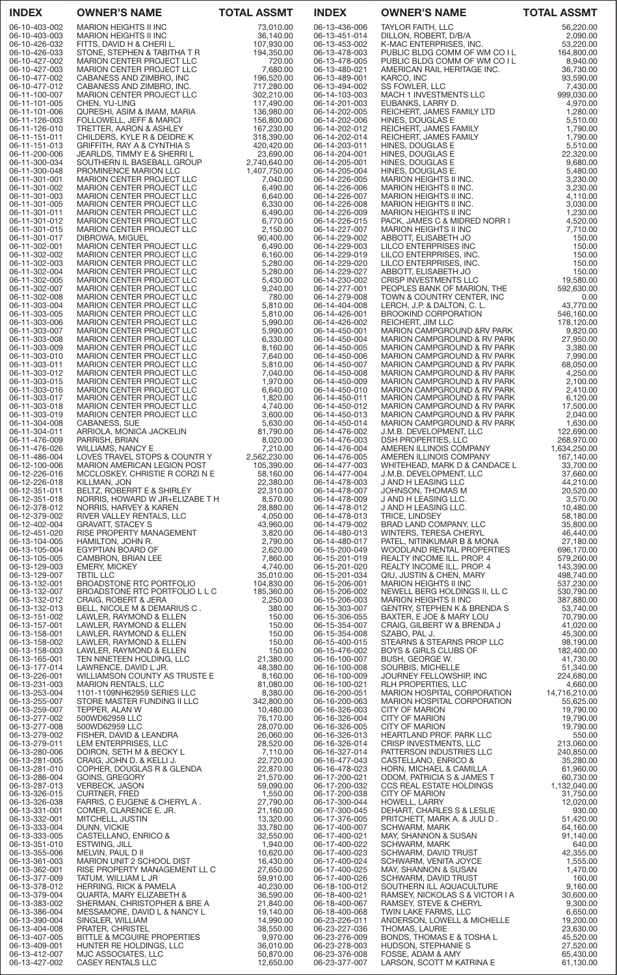| <b>INDEX</b>                   | <b>OWNER'S NAME</b>                                                                                                                                                                                                                                  | <b>TOTAL ASSMT</b>           | <b>INDEX</b>                   | <b>OWNER'S NAME</b>                                                                                                                                                                                                                               | <b>TOTAL ASSMT</b>         |
|--------------------------------|------------------------------------------------------------------------------------------------------------------------------------------------------------------------------------------------------------------------------------------------------|------------------------------|--------------------------------|---------------------------------------------------------------------------------------------------------------------------------------------------------------------------------------------------------------------------------------------------|----------------------------|
| 06-10-403-002                  | <b>MARION HEIGHTS II INC</b>                                                                                                                                                                                                                         | 73,010.00                    | 06-13-436-006                  | <b>TAYLOR FAITH, LLC</b>                                                                                                                                                                                                                          | 56,220.00                  |
| 06-10-403-003<br>06-10-426-032 | MARION HEIGHTS II INC<br>FITTS, DAVID H & CHERI L.                                                                                                                                                                                                   | 36,140.00<br>107,930.00      | 06-13-451-014<br>06-13-453-002 | DILLON, ROBERT, D/B/A<br>K-MAC ENTERPRISES, INC.                                                                                                                                                                                                  | 2,090.00<br>53,220.00      |
| 06-10-426-033                  | STONE, STEPHEN & TABITHA T R                                                                                                                                                                                                                         | 194,350.00                   | 06-13-478-003                  | PUBLIC BLDG COMM OF WM CO I L                                                                                                                                                                                                                     | 164,800.00                 |
| 06-10-427-002                  | <b>MARION CENTER PROJECT LLC</b>                                                                                                                                                                                                                     | 720.00                       | 06-13-478-005                  | PUBLIC BLDG COMM OF WM CO I L                                                                                                                                                                                                                     | 8,940.00                   |
| 06-10-427-003<br>06-10-477-002 | <b>MARION CENTER PROJECT LLC</b><br>CABANESS AND ZIMBRO, INC                                                                                                                                                                                         | 7,680.00<br>196,520.00       | 06-13-480-021<br>06-13-489-001 | AMERICAN RAIL HERITAGE INC.<br>KARCO, INC                                                                                                                                                                                                         | 36,730.00<br>93,590.00     |
| 06-10-477-012                  | CABANESS AND ZIMBRO, INC.                                                                                                                                                                                                                            | 717,280.00                   | 06-13-494-002                  | SS FOWLER, LLC                                                                                                                                                                                                                                    | 7,430.00                   |
| 06-11-100-007                  | MARION CENTER PROJECT LLC                                                                                                                                                                                                                            | 302,210.00<br>117,490.00     | 06-14-103-003                  | MACH 1 INVESTMENTS LLC                                                                                                                                                                                                                            | 999,030.00                 |
| 06-11-101-005<br>06-11-101-006 | CHEN, YU-LING<br>QURESHI, ASIM & IMAM, MARIA                                                                                                                                                                                                         | 136,980.00                   | 06-14-201-003<br>06-14-202-005 | EUBANKS, LARRY D.<br>REICHERT, JAMES FAMILY LTD                                                                                                                                                                                                   | 4,970.00<br>1,280.00       |
| 06-11-126-003                  | FOLLOWELL, JEFF & MARCI                                                                                                                                                                                                                              | 156,800.00                   | 06-14-202-006                  | HINES, DOUGLAS E                                                                                                                                                                                                                                  | 5,510.00                   |
| 06-11-126-010<br>06-11-151-011 | TRETTER, AARON & ASHLEY<br>CHILDERS, KYLE R & DEIDRE K                                                                                                                                                                                               | 167,230.00<br>318,390.00     | 06-14-202-012<br>06-14-202-014 | REICHERT, JAMES FAMILY<br>REICHERT, JAMES FAMILY                                                                                                                                                                                                  | 1,790.00<br>1,790.00       |
| 06-11-151-013                  | GRIFFITH, RAY A & CYNTHIA S                                                                                                                                                                                                                          | 420,420.00                   | 06-14-203-011                  | HINES, DOUGLAS E                                                                                                                                                                                                                                  | 5,510.00                   |
| 06-11-200-006                  | JEARLDS, TIMMY E & SHERRI L                                                                                                                                                                                                                          | 23,690.00                    | 06-14-204-001                  | HINES, DOUGLAS E                                                                                                                                                                                                                                  | 22,320.00                  |
| 06-11-300-034<br>06-11-300-048 | SOUTHERN IL BASEBALL GROUP<br>PROMINENCE MARION LLC                                                                                                                                                                                                  | 2,740,640.00<br>1,407,750.00 | 06-14-205-001<br>06-14-205-004 | HINES, DOUGLAS E<br>HINES, DOUGLAS E.                                                                                                                                                                                                             | 9,680.00<br>5,480.00       |
| 06-11-301-001                  | MARION CENTER PROJECT LLC                                                                                                                                                                                                                            | 7,040.00                     | 06-14-226-005                  | MARION HEIGHTS II INC.                                                                                                                                                                                                                            | 3,230.00                   |
| 06-11-301-002                  | <b>MARION CENTER PROJECT LLC</b>                                                                                                                                                                                                                     | 6,490.00                     | 06-14-226-006                  | MARION HEIGHTS II INC.                                                                                                                                                                                                                            | 3,230.00                   |
| 06-11-301-003<br>06-11-301-005 | <b>MARION CENTER PROJECT LLC</b><br>MARION CENTER PROJECT LLC                                                                                                                                                                                        | 6,640.00<br>6,330.00         | 06-14-226-007<br>06-14-226-008 | MARION HEIGHTS II INC.<br>MARION HEIGHTS II INC.                                                                                                                                                                                                  | 4,110.00<br>3,030.00       |
| 06-11-301-011                  | <b>MARION CENTER PROJECT LLC</b>                                                                                                                                                                                                                     | 6,490.00                     | 06-14-226-009                  | <b>MARION HEIGHTS II INC</b>                                                                                                                                                                                                                      | 1,230.00                   |
| 06-11-301-012<br>06-11-301-015 | <b>MARION CENTER PROJECT LLC</b><br><b>MARION CENTER PROJECT LLC</b>                                                                                                                                                                                 | 6,770.00<br>2,150.00         | 06-14-226-015<br>06-14-227-007 | PACK, JAMES C & MIDRED NORR I<br><b>MARION HEIGHTS II INC</b>                                                                                                                                                                                     | 4,520.00<br>7,710.00       |
| 06-11-301-017                  | DIBROWA, MIGUEL                                                                                                                                                                                                                                      | 90,400.00                    | 06-14-229-002                  | ABBOTT, ELISABETH JO                                                                                                                                                                                                                              | 150.00                     |
| 06-11-302-001                  | MARION CENTER PROJECT LLC                                                                                                                                                                                                                            | 6,490.00                     | 06-14-229-003                  | LILCO ENTERPRISES INC                                                                                                                                                                                                                             | 150.00                     |
| 06-11-302-002<br>06-11-302-003 | MARION CENTER PROJECT LLC<br>MARION CENTER PROJECT LLC                                                                                                                                                                                               | 6,160.00<br>5,280.00         | 06-14-229-019<br>06-14-229-020 | LILCO ENTERPRISES, INC.<br>LILCO ENTERPRISES, INC.                                                                                                                                                                                                | 150.00<br>150.00           |
| 06-11-302-004                  | <b>MARION CENTER PROJECT LLC</b>                                                                                                                                                                                                                     | 5,280.00                     | 06-14-229-027                  | ABBOTT, ELISABETH JO                                                                                                                                                                                                                              | 150.00                     |
| 06-11-302-005                  | MARION CENTER PROJECT LLC                                                                                                                                                                                                                            | 5,430.00                     | 06-14-230-002                  | CRISP INVESTMENTS LLC                                                                                                                                                                                                                             | 19,580.00                  |
| 06-11-302-007<br>06-11-302-008 | <b>MARION CENTER PROJECT LLC</b><br>MARION CENTER PROJECT LLC                                                                                                                                                                                        | 9,240.00<br>780.00           | 06-14-277-001<br>06-14-279-008 | PEOPLES BANK OF MARION, THE<br>TOWN & COUNTRY CENTER, INC                                                                                                                                                                                         | 592,630.00<br>0.00         |
| 06-11-303-004                  | MARION CENTER PROJECT LLC                                                                                                                                                                                                                            | 5,810.00                     | 06-14-404-008                  | LERCH, J.P. & DALTON, C. L.                                                                                                                                                                                                                       | 43,770.00                  |
| 06-11-303-005                  | <b>MARION CENTER PROJECT LLC</b>                                                                                                                                                                                                                     | 5,810.00                     | 06-14-426-001                  | <b>BROOKIND CORPORATION</b>                                                                                                                                                                                                                       | 546,160.00                 |
| 06-11-303-006<br>06-11-303-007 | MARION CENTER PROJECT LLC<br><b>MARION CENTER PROJECT LLC</b>                                                                                                                                                                                        | 5,990.00<br>5,990.00         | 06-14-426-002<br>06-14-450-001 | REICHERT, JIM LLC<br>MARION CAMPGROUND & RV PARK                                                                                                                                                                                                  | 178,120.00<br>9,820.00     |
| 06-11-303-008                  | MARION CENTER PROJECT LLC                                                                                                                                                                                                                            | 6,330.00                     | 06-14-450-004                  | MARION CAMPGROUND & RV PARK                                                                                                                                                                                                                       | 27,950.00                  |
| 06-11-303-009                  | MARION CENTER PROJECT LLC                                                                                                                                                                                                                            | 8,160.00                     | 06-14-450-005                  | MARION CAMPGROUND & RV PARK                                                                                                                                                                                                                       | 3,380.00                   |
| 06-11-303-010<br>06-11-303-011 | <b>MARION CENTER PROJECT LLC</b><br><b>MARION CENTER PROJECT LLC</b>                                                                                                                                                                                 | 7,640.00<br>5,810.00         | 06-14-450-006<br>06-14-450-007 | <b>MARION CAMPGROUND &amp; RV PARK</b><br>MARION CAMPGROUND & RV PARK                                                                                                                                                                             | 7,990.00<br>68,050.00      |
| 06-11-303-012                  | <b>MARION CENTER PROJECT LLC</b>                                                                                                                                                                                                                     | 7,040.00                     | 06-14-450-008                  | MARION CAMPGROUND & RV PARK                                                                                                                                                                                                                       | 4,250.00                   |
| 06-11-303-015<br>06-11-303-016 | MARION CENTER PROJECT LLC                                                                                                                                                                                                                            | 1,970.00<br>6,640.00         | 06-14-450-009<br>06-14-450-010 | MARION CAMPGROUND & RV PARK<br>MARION CAMPGROUND & RV PARK                                                                                                                                                                                        | 2,100.00<br>2,410.00       |
| 06-11-303-017                  | MARION CENTER PROJECT LLC<br><b>MARION CENTER PROJECT LLC</b>                                                                                                                                                                                        | 1,820.00                     | 06-14-450-011                  | MARION CAMPGROUND & RV PARK                                                                                                                                                                                                                       | 6,120.00                   |
| 06-11-303-018                  | MARION CENTER PROJECT LLC                                                                                                                                                                                                                            | 4,740.00                     | 06-14-450-012                  | MARION CAMPGROUND & RV PARK                                                                                                                                                                                                                       | 17,500.00                  |
| 06-11-303-019<br>06-11-304-008 | UABANESS, SUE<br>ARRIOLA, MONICA JACKELIN<br>PARRISH, BRIAN<br>WILLIAMS, NANCY E<br>OVES TRAVEL STOPS & COLINTP                                                                                                                                      | 3,600.00<br>5,630.00         | 06-14-450-013<br>06-14-450-014 | MARION CAMPGROUND & RV PARK<br>MARION CAMPGROUND & RV PARK                                                                                                                                                                                        | 2,040.00<br>1,630.00       |
| 06-11-304-011                  |                                                                                                                                                                                                                                                      | 81,790.00                    | 06-14-476-002                  | J.M.B. DEVELOPMENT, LLC                                                                                                                                                                                                                           | 122,690.00                 |
| 06-11-476-009                  |                                                                                                                                                                                                                                                      | 8,020.00                     | 06-14-476-003                  | DSH PROPERTIES, LLC                                                                                                                                                                                                                               | 268,970.00                 |
| 06-11-476-026<br>06-11-486-004 |                                                                                                                                                                                                                                                      | 7,210.00<br>2,562,230.00     | 06-14-476-004<br>06-14-476-005 | AMEREN ILLINOIS COMPANY<br>AMEREN ILLINOIS COMPANY<br>AMEREN ILLINOIS SOLLE<br>AMEREN ILLINOIS COMPANY                                                                                                                                            | 1,634,250.00<br>167,140.00 |
| 06-12-100-006                  |                                                                                                                                                                                                                                                      | 105,390.00                   | 06-14-477-003                  | WHITEHEAD, MARK D & CANDACE L                                                                                                                                                                                                                     | 33,700.00                  |
| 06-12-226-016                  | MCCLOSKEY, CHRISTIE R CORZI N E                                                                                                                                                                                                                      | 58,160.00                    | 06-14-477-004                  | J.M.B. DEVELOPMENT. LLC                                                                                                                                                                                                                           | 37,660.00                  |
| 06-12-226-018<br>06-12-351-011 | KILLMAN, JON<br>BELTZ, ROBERRT E & SHIRLEY<br>DELTZ, ROBERRT E & SHIRLEY<br>NOPPIS HOUGHET                                                                                                                                                           | 22,380.00<br>22,310.00       | 06-14-478-003<br>06-14-478-007 | J AND H LEASING LLC<br>JOHNSON, THOMAS M                                                                                                                                                                                                          | 44,210.00<br>20,520.00     |
| 06-12-351-018                  | CABLEY RENTALS, LLC<br>GRAVATT, STACEY S<br>RISE PROPERTY MANAGEMENT<br>HAMILTON, JOHN R.<br>TGYPTIAN BOARD OF<br>AMBRON, BRIAN LEE<br>TERY, MICKEY<br>TL LLC<br>YADSTONE RTC PORTFOLIO<br>NOSTONE RTC PORTFOLIO<br>NOSTONE RTC PORTFOLIO<br>NOSTONE | 8,570.00                     | 06-14-478-009                  | J AND H LEASING LLC.<br>J AND H LEASING LLC.<br>TRICE, LINDSEY<br>BRAD LAND COMPANY, LLC<br>WINTERS, TERESA CHERYL<br>PATEL, NITINKUMAR B & MONA                                                                                                  | 3,570.00                   |
| 06-12-378-012                  |                                                                                                                                                                                                                                                      | 28,880.00<br>4,050.00        | 06-14-478-012                  |                                                                                                                                                                                                                                                   | 10,480.00<br>58,180.00     |
| 06-12-379-002<br>06-12-402-004 |                                                                                                                                                                                                                                                      | 43,960.00                    | 06-14-478-013<br>06-14-479-002 |                                                                                                                                                                                                                                                   | 35,800.00                  |
| 06-12-451-020                  |                                                                                                                                                                                                                                                      | 3,820.00                     | 06-14-480-013                  |                                                                                                                                                                                                                                                   | 46,440.00                  |
| 06-13-104-005<br>06-13-105-004 |                                                                                                                                                                                                                                                      | 2,790.00<br>2,620.00         | 06-14-480-017<br>06-15-200-049 | WOODLAND RENTAL PROPERTIES                                                                                                                                                                                                                        | 27,180.00<br>696,170.00    |
| 06-13-105-005                  |                                                                                                                                                                                                                                                      | 7,860.00                     | 06-15-201-019                  | REALTY INCOME ILL. PROP. 4                                                                                                                                                                                                                        | 579,260.00                 |
| 06-13-129-003                  |                                                                                                                                                                                                                                                      | 4,740.00                     | 06-15-201-020                  | REALTY INCOME ILL. PROP. 4                                                                                                                                                                                                                        | 143,390.00                 |
| 06-13-129-007<br>06-13-132-001 |                                                                                                                                                                                                                                                      | 35,010.00<br>104,830.00      | 06-15-201-034<br>06-15-206-001 | REALTY INCOME ILL. PROP. 4<br>QIU, JUSTIN & CHEN, MARY<br>MARION HEIGHTS II INC<br>MARION HEIGHTS II INC                                                                                                                                          | 498,740.00<br>537,230.00   |
| 06-13-132-007                  |                                                                                                                                                                                                                                                      | 185,360.00                   | 06-15-206-002                  | MARION HEIGHTS II INC<br>NEWELL BERG HOLDINGS II, LL C<br>MARION HEIGHTS II INC                                                                                                                                                                   | 530,790.00                 |
| 06-13-132-012                  | CRAIG, ROBERT & JERA                                                                                                                                                                                                                                 | 2,250.00                     | 06-15-206-003                  |                                                                                                                                                                                                                                                   | 387,880.00                 |
| 06-13-132-013<br>06-13-151-002 | BELL, NICOLE M & DEMARIUS C.<br>LAWLER, RAYMOND & ELLEN                                                                                                                                                                                              | 380.00<br>150.00             | 06-15-303-007<br>06-15-306-055 | GENTRY, STEPHEN K & BRENDA S<br>BAXTER, E JOE & MARY LOU                                                                                                                                                                                          | 53,740.00<br>70,790.00     |
| 06-13-157-001                  | LAWLER, RAYMOND & ELLEN                                                                                                                                                                                                                              | 150.00                       | 06-15-354-007                  |                                                                                                                                                                                                                                                   | 41,020.00                  |
| 06-13-158-001                  | LAWLER, RAYMOND & ELLEN                                                                                                                                                                                                                              | 150.00<br>150.00             | 06-15-354-008<br>06-15-400-015 |                                                                                                                                                                                                                                                   | 45,300.00<br>98,190.00     |
| 06-13-158-002<br>06-13-158-003 | LAWLER, RAYMOND & ELLEN<br>LAWLER, RAYMOND & ELLEN                                                                                                                                                                                                   | 150.00                       | 06-15-476-002                  |                                                                                                                                                                                                                                                   | 182,400.00                 |
| 06-13-165-001                  | TEN NINETEEN HOLDING, LLC                                                                                                                                                                                                                            | 21,380.00                    | 06-16-100-007                  | BAXIER, E JOE & MARY LOU<br>CRAIG, GILBERT W & BRENDA J<br>SZABO, PAL J.<br>STEARNS & STEARNS PROP LLC<br>BOYS & GIRLS CLUBS OF<br>BUSH, GEORGE W.<br>SOURBIS, MICHELLE<br>JOURNEY FELLOWSHIP, INC<br>RLA PROPERTIES, LLC<br>RLA PIOPERTIES, LLCC | 41,730.00                  |
| 06-13-177-014<br>06-13-226-001 | LAWRENCE, DAVID L JR.<br>WILLIAMSON COUNTY AS TRUSTE E                                                                                                                                                                                               | 48,380.00<br>8,160.00        | 06-16-100-008<br>06-16-100-009 |                                                                                                                                                                                                                                                   | 51,340.00<br>224,680.00    |
| 06-13-231-003                  | MARION RENTALS, LLC                                                                                                                                                                                                                                  | 81,080.00                    | 06-16-100-021                  |                                                                                                                                                                                                                                                   | 4,660.00                   |
| 06-13-253-004                  | 1101-1109NH62959 SERIES LLC                                                                                                                                                                                                                          | 8,380.00                     | 06-16-200-051                  | MARION HOSPITAL CORPORATION                                                                                                                                                                                                                       | 14,716,210.00              |
| 06-13-255-007<br>06-13-259-007 | STORE MASTER FUNDING II LLC<br>TEPPER, ALAN W<br>500WD62959 LLC<br>500WD62959 LLC                                                                                                                                                                    | 342,800.00<br>10,480.00      | 06-16-200-063<br>06-16-326-003 | MARION HOSPITAL CORPORATION<br><b>CITY OF MARION</b>                                                                                                                                                                                              | 55,625.00<br>19,790.00     |
| 06-13-277-002                  |                                                                                                                                                                                                                                                      | 76,170.00                    | 06-16-326-004                  | <b>CITY OF MARION</b>                                                                                                                                                                                                                             | 19,790.00                  |
| 06-13-277-008                  |                                                                                                                                                                                                                                                      | 28,070.00<br>26,060.00       | 06-16-326-005                  | CITY OF MARION                                                                                                                                                                                                                                    | 19,790.00                  |
| 06-13-279-002<br>06-13-279-011 | 500WD62959 LLC<br>FISHER, DAVID & LEANDRA<br>LEM ENTERPRISES, LLC<br>DOIRON, SETH M & BECKY L<br>CRAIG, JOHN D. & KELLI J.<br>COPHER, DOUGLAS R & GLENDA<br>GOINS, GREGORY<br>VERBECK, JASON<br>CURTNER, FRED<br>FARRIS, C EUGENE & CHERYL A .       | 28,520.00                    | 06-16-326-013<br>06-16-326-014 | CITY OF MARION<br>HEARTLAND PROF. PARK LLC<br>CRISP INVESTMENTS, LLC<br>DATTERSON INDUSTRIES LLC<br>CASTELLANO, ENRICO & 213,060.00<br>CASTELLANO, ENRICO & 35,280.00<br>HORN, MICHAEL & CAMILLA<br>CODOM, PATRICIA S & JAMES T<br>COS REAL ES    |                            |
| 06-13-280-006                  |                                                                                                                                                                                                                                                      | 7,110.00                     | 06-16-327-014                  |                                                                                                                                                                                                                                                   |                            |
| 06-13-281-005<br>06-13-281-010 |                                                                                                                                                                                                                                                      | 22,720.00<br>22,870.00       | 06-16-477-043<br>06-16-478-023 |                                                                                                                                                                                                                                                   |                            |
| 06-13-286-004                  |                                                                                                                                                                                                                                                      | 21,570.00                    | 06-17-200-021                  |                                                                                                                                                                                                                                                   |                            |
| 06-13-287-013                  |                                                                                                                                                                                                                                                      | 59,090.00                    | 06-17-200-032                  |                                                                                                                                                                                                                                                   |                            |
| 06-13-326-015<br>06-13-326-038 | FARRIS, C EUGENE & CHERYL A.                                                                                                                                                                                                                         | 1,550.00<br>27,790.00        | 06-17-200-038<br>06-17-300-044 | HOWELL, LARRY                                                                                                                                                                                                                                     | 12,020.00                  |
| 06-13-331-001                  | COMER, CLARENCE E. JR.                                                                                                                                                                                                                               | 21,160.00                    | 06-17-300-045                  | DEHART, CHARLES S & LESLIE                                                                                                                                                                                                                        | 930.00                     |
| 06-13-332-001                  | MITCHELL, JUSTIN                                                                                                                                                                                                                                     | 13,320.00                    | 06-17-376-005                  | PRITCHETT, MARK A. & JULI D.                                                                                                                                                                                                                      | 51,420.00                  |
| 06-13-333-004<br>06-13-333-005 | DUNN, VICKIE<br>CASTELLANO, ENRICO &                                                                                                                                                                                                                 | 33,780.00<br>32,550.00       | 06-17-400-007<br>06-17-400-021 | <b>SCHWARM, MARK</b><br>MAY, SHANNON & SUSAN                                                                                                                                                                                                      | 64,160.00<br>91,140.00     |
| 06-13-351-010                  | ESTWING, JILL                                                                                                                                                                                                                                        | 1,940.00                     | 06-17-400-022                  | SCHWARM, MARK                                                                                                                                                                                                                                     | 640.00                     |
| 06-13-355-006                  | MELVIN, PAUL D II                                                                                                                                                                                                                                    | 10,620.00                    | 06-17-400-023                  | SCHWARM, DAVID TRUST                                                                                                                                                                                                                              | 42,355.00                  |
| 06-13-361-003<br>06-13-362-001 | MARION UNIT 2 SCHOOL DIST<br>RISE PROPERTY MANAGEMENT LL C                                                                                                                                                                                           | 16,430.00<br>27,650.00       | 06-17-400-024<br>06-17-400-025 | SCHWARM, VENITA JOYCE<br>MAY, SHANNON & SUSAN                                                                                                                                                                                                     | 1,555.00<br>1,470.00       |
| 06-13-377-009                  | TATUM. WILLIAM L JR                                                                                                                                                                                                                                  | 59,910.00                    | 06-17-400-026                  | SCHWARM, DAVID TRUST                                                                                                                                                                                                                              | 160.00                     |
| 06-13-378-012<br>06-13-379-004 | <b>HERRING, RICK &amp; PAMELA</b><br><b>QUARTA, MARY ELIZABETH &amp;</b>                                                                                                                                                                             | 40,230.00<br>36,590.00       | 06-18-100-012<br>06-18-400-021 | SOUTHERN ILL AQUACULTURE<br>RAMSEY, NICKOLAS S & VICTOR I A                                                                                                                                                                                       | 9,160.00<br>30,600.00      |
| 06-13-383-002                  | SHERMAN, CHRISTOPHER & BRE A                                                                                                                                                                                                                         | 21,840.00                    | 06-18-400-067                  | RAMSEY, STEVE & CHERYL                                                                                                                                                                                                                            | 9,300.00                   |
| 06-13-386-004                  | MESSAMORE, DAVID L & NANCY L                                                                                                                                                                                                                         | 19,140.00                    | 06-18-400-068                  | TWIN LAKE FARMS, LLC                                                                                                                                                                                                                              | 6,650.00                   |
| 06-13-390-004<br>06-13-404-008 | SINGLER, WILLIAM<br>PRATER, CHRISTEL                                                                                                                                                                                                                 | 14,990.00<br>38,550.00       | 06-23-226-011<br>06-23-227-036 | ANDERSON, LOWELL & MICHELLE<br>THOMAS, LAURIE                                                                                                                                                                                                     | 19,200.00<br>23,630.00     |
| 06-13-407-005                  | BITTLE & MCGUIRE PROPERTIES                                                                                                                                                                                                                          | 9,970.00                     | 06-23-276-009                  | BONDS, THOMAS E & TOSHA L                                                                                                                                                                                                                         | 45,520.00                  |
| 06-13-409-001<br>06-13-412-007 | HUNTER RE HOLDINGS, LLC<br>MJC ASSOCIATES, LLC                                                                                                                                                                                                       | 36,010.00<br>50,870.00       | 06-23-278-003<br>06-23-376-008 | HUDSON, STEPHANIE S<br>FOSSE, ADAM & AMY                                                                                                                                                                                                          | 27,520.00<br>65,430.00     |
| 06-13-427-002                  | CASEY RENTALS LLC                                                                                                                                                                                                                                    | 12,650.00                    | 06-23-377-007                  | LARSON, SCOTT M KATRINA E                                                                                                                                                                                                                         | 61,130.00                  |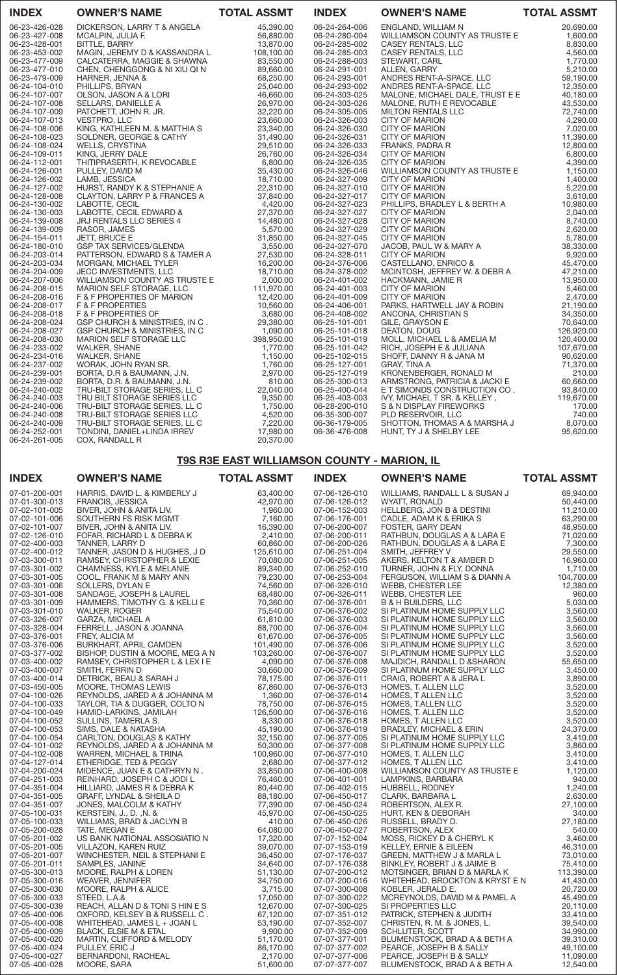| <b>INDEX</b>                   | <b>OWNER'S NAME</b>                                                                                                                                                                                                                                                                                                             | <b>TOTAL ASSMT</b> | <b>INDEX</b>                   | <b>OWNER'S NAME</b>                                                                                                                                                                                                                                                                                | <b>TOTAL ASSMT</b> |
|--------------------------------|---------------------------------------------------------------------------------------------------------------------------------------------------------------------------------------------------------------------------------------------------------------------------------------------------------------------------------|--------------------|--------------------------------|----------------------------------------------------------------------------------------------------------------------------------------------------------------------------------------------------------------------------------------------------------------------------------------------------|--------------------|
| 06-23-426-028<br>06-23-427-008 | DICKERSON, LARRY T & ANGELA<br><b>OWNER'S NAME<br/> MCALPIN, JUHREY T&amp; ANGELA<br/> MCALPIN, JUHREY T&amp; ANGELA<br/> MCALPIN, JUHREY T&amp; ANGELA<br/> S6,880.00<br/> MAGIN, JUHREY T&amp; KASSANDRA L<br/> CALCRIERRA, MAGGIE &amp; SHAWNA<br/> CHARGE &amp; SHAWNA 88,550.00<br/> CHEN, CHENGADIG &amp; NAWIN 88,56</b> | 45,390.00          | 06-24-264-006<br>06-24-280-004 | ENGLAND, WILLIAM N<br><b>OWNER'S NAME<br/> ENGLANS MELA ASSMT<br/> WILLIAMSON COUNTY AS TRUSTE E<br/> 20,60000<br/> CASEY RENTALS, LLC<br/> CASEY RENTALS, LLC<br/> SEXONO 6.60000<br/> CASEY RENTALS, LLC<br/> ANDRES RENT-A-SPACE, LLC<br/> ANDRES RENT-A-SPACE, LLC<br/> ANDRES RENT-A-SPAC</b> | 20,690.00          |
| 06-23-428-001                  |                                                                                                                                                                                                                                                                                                                                 |                    | 06-24-285-002                  |                                                                                                                                                                                                                                                                                                    |                    |
| 06-23-453-002                  |                                                                                                                                                                                                                                                                                                                                 |                    | 06-24-285-003                  |                                                                                                                                                                                                                                                                                                    |                    |
| 06-23-477-009<br>06-23-477-010 |                                                                                                                                                                                                                                                                                                                                 |                    | 06-24-288-003<br>06-24-291-001 |                                                                                                                                                                                                                                                                                                    |                    |
| 06-23-479-009                  |                                                                                                                                                                                                                                                                                                                                 |                    | 06-24-293-001                  |                                                                                                                                                                                                                                                                                                    |                    |
| 06-24-104-010                  |                                                                                                                                                                                                                                                                                                                                 |                    | 06-24-293-002                  |                                                                                                                                                                                                                                                                                                    |                    |
| 06-24-107-007                  |                                                                                                                                                                                                                                                                                                                                 |                    | 06-24-303-025                  |                                                                                                                                                                                                                                                                                                    |                    |
| 06-24-107-008                  |                                                                                                                                                                                                                                                                                                                                 |                    | 06-24-303-026                  |                                                                                                                                                                                                                                                                                                    |                    |
| 06-24-107-009                  |                                                                                                                                                                                                                                                                                                                                 |                    | 06-24-305-005                  |                                                                                                                                                                                                                                                                                                    |                    |
| 06-24-107-013                  |                                                                                                                                                                                                                                                                                                                                 |                    | 06-24-326-003                  |                                                                                                                                                                                                                                                                                                    |                    |
| 06-24-108-006                  |                                                                                                                                                                                                                                                                                                                                 |                    | 06-24-326-030                  |                                                                                                                                                                                                                                                                                                    |                    |
| 06-24-108-023                  |                                                                                                                                                                                                                                                                                                                                 |                    | 06-24-326-031                  |                                                                                                                                                                                                                                                                                                    |                    |
| 06-24-108-024                  |                                                                                                                                                                                                                                                                                                                                 |                    | 06-24-326-033                  |                                                                                                                                                                                                                                                                                                    |                    |
| 06-24-109-011                  |                                                                                                                                                                                                                                                                                                                                 |                    | 06-24-326-034                  |                                                                                                                                                                                                                                                                                                    |                    |
| 06-24-112-001                  |                                                                                                                                                                                                                                                                                                                                 |                    | 06-24-326-035                  |                                                                                                                                                                                                                                                                                                    |                    |
| 06-24-126-001                  |                                                                                                                                                                                                                                                                                                                                 |                    | 06-24-326-046                  |                                                                                                                                                                                                                                                                                                    |                    |
| 06-24-126-002                  |                                                                                                                                                                                                                                                                                                                                 |                    | 06-24-327-009                  |                                                                                                                                                                                                                                                                                                    |                    |
| 06-24-127-002                  |                                                                                                                                                                                                                                                                                                                                 |                    | 06-24-327-010                  |                                                                                                                                                                                                                                                                                                    |                    |
| 06-24-128-008                  |                                                                                                                                                                                                                                                                                                                                 |                    | 06-24-327-017                  |                                                                                                                                                                                                                                                                                                    |                    |
| 06-24-130-002                  |                                                                                                                                                                                                                                                                                                                                 |                    | 06-24-327-023<br>06-24-327-027 |                                                                                                                                                                                                                                                                                                    |                    |
| 06-24-130-003<br>06-24-139-008 |                                                                                                                                                                                                                                                                                                                                 |                    | 06-24-327-028                  |                                                                                                                                                                                                                                                                                                    |                    |
| 06-24-139-009                  |                                                                                                                                                                                                                                                                                                                                 |                    | 06-24-327-029                  |                                                                                                                                                                                                                                                                                                    |                    |
| 06-24-154-011                  |                                                                                                                                                                                                                                                                                                                                 |                    | 06-24-327-045                  |                                                                                                                                                                                                                                                                                                    |                    |
| 06-24-180-010                  |                                                                                                                                                                                                                                                                                                                                 |                    | 06-24-327-070                  |                                                                                                                                                                                                                                                                                                    |                    |
| 06-24-203-014                  |                                                                                                                                                                                                                                                                                                                                 |                    | 06-24-328-011                  |                                                                                                                                                                                                                                                                                                    |                    |
| 06-24-203-034                  |                                                                                                                                                                                                                                                                                                                                 |                    | 06-24-376-006                  |                                                                                                                                                                                                                                                                                                    |                    |
| 06-24-204-009                  |                                                                                                                                                                                                                                                                                                                                 |                    | 06-24-378-002                  |                                                                                                                                                                                                                                                                                                    |                    |
| 06-24-207-006                  |                                                                                                                                                                                                                                                                                                                                 |                    | 06-24-401-002                  |                                                                                                                                                                                                                                                                                                    |                    |
| 06-24-208-015                  |                                                                                                                                                                                                                                                                                                                                 |                    | 06-24-401-003                  |                                                                                                                                                                                                                                                                                                    |                    |
| 06-24-208-016                  |                                                                                                                                                                                                                                                                                                                                 |                    | 06-24-401-009                  |                                                                                                                                                                                                                                                                                                    |                    |
| 06-24-208-017                  |                                                                                                                                                                                                                                                                                                                                 |                    | 06-24-406-001                  |                                                                                                                                                                                                                                                                                                    |                    |
| 06-24-208-018                  |                                                                                                                                                                                                                                                                                                                                 |                    | 06-24-408-002                  |                                                                                                                                                                                                                                                                                                    |                    |
| 06-24-208-024                  |                                                                                                                                                                                                                                                                                                                                 |                    | 06-25-101-001                  |                                                                                                                                                                                                                                                                                                    |                    |
| 06-24-208-027                  |                                                                                                                                                                                                                                                                                                                                 |                    | 06-25-101-018                  |                                                                                                                                                                                                                                                                                                    |                    |
| 06-24-208-030                  |                                                                                                                                                                                                                                                                                                                                 |                    | 06-25-101-019                  |                                                                                                                                                                                                                                                                                                    |                    |
| 06-24-233-002<br>06-24-234-016 |                                                                                                                                                                                                                                                                                                                                 |                    | 06-25-101-042<br>06-25-102-015 |                                                                                                                                                                                                                                                                                                    |                    |
| 06-24-237-002                  |                                                                                                                                                                                                                                                                                                                                 |                    | 06-25-127-001                  |                                                                                                                                                                                                                                                                                                    |                    |
| 06-24-239-001                  |                                                                                                                                                                                                                                                                                                                                 |                    | 06-25-127-019                  |                                                                                                                                                                                                                                                                                                    |                    |
| 06-24-239-002                  |                                                                                                                                                                                                                                                                                                                                 |                    | 06-25-300-013                  |                                                                                                                                                                                                                                                                                                    |                    |
| 06-24-240-002                  |                                                                                                                                                                                                                                                                                                                                 |                    | 06-25-400-044                  |                                                                                                                                                                                                                                                                                                    |                    |
| 06-24-240-003                  |                                                                                                                                                                                                                                                                                                                                 |                    | 06-25-403-003                  |                                                                                                                                                                                                                                                                                                    |                    |
| 06-24-240-006                  |                                                                                                                                                                                                                                                                                                                                 |                    | 06-28-200-010                  |                                                                                                                                                                                                                                                                                                    |                    |
| 06-24-240-008                  |                                                                                                                                                                                                                                                                                                                                 |                    | 06-35-300-007                  |                                                                                                                                                                                                                                                                                                    |                    |
| 06-24-240-009                  |                                                                                                                                                                                                                                                                                                                                 |                    | 06-36-179-005                  |                                                                                                                                                                                                                                                                                                    |                    |
| 06-24-252-001                  |                                                                                                                                                                                                                                                                                                                                 |                    | 06-36-476-008                  |                                                                                                                                                                                                                                                                                                    |                    |
| 06-24-261-005                  |                                                                                                                                                                                                                                                                                                                                 |                    |                                |                                                                                                                                                                                                                                                                                                    |                    |

# T9S R3E EAST WILLIAMSON COUNTY - MARION, IL

| <b>INDEX</b>                   | <b>OWNER'S NAME</b>                                | <b>TOTAL ASSMT</b>    | <b>INDEX</b>                   | <b>OWNER'S NAME</b>                                        | <b>TOTAL ASSMT</b>     |
|--------------------------------|----------------------------------------------------|-----------------------|--------------------------------|------------------------------------------------------------|------------------------|
| 07-01-200-001                  | HARRIS, DAVID L. & KIMBERLY J                      | 63,400.00             | 07-06-126-010                  | WILLIAMS, RANDALL L & SUSAN J                              | 69,940.00              |
| 07-01-300-013                  | <b>FRANCIS, JESSICA</b>                            | 42,970.00             | 07-06-126-012                  | WYATT, RONALD                                              | 50,440.00              |
| 07-02-101-005                  | BIVER, JOHN & ANITA LIV.                           | 1,960.00              | 07-06-152-003                  | HELLBERG, JON B & DESTINI                                  | 11,210.00              |
| 07-02-101-006                  | SOUTHERN FS RISK MGMT                              | 7,160.00              | 07-06-176-001                  | CADLE, ADAM K & ERIKA S                                    | 63,290.00              |
| 07-02-101-007                  | BIVER, JOHN & ANITA LIV.                           | 16,390.00             | 07-06-200-007                  | FOSTER, GARY DEAN                                          | 48,950.00              |
| 07-02-126-010                  | FOFAR, RICHARD L & DEBRA K                         | 2,410.00              | 07-06-200-011                  | RATHBUN, DOUGLAS A & LARA E                                | 71,020.00              |
| 07-02-400-003                  | TANNER, LARRY D                                    | 60,860.00             | 07-06-200-026                  | RATHBUN, DOUGLAS A & LARA E                                | 7,300.00               |
| 07-02-400-012                  | TANNER, JASON D & HUGHES, J D                      | 125,610.00            | 07-06-251-004                  | SMITH, JEFFREY V                                           | 29,550.00              |
| 07-03-300-011                  | RAMSEY, CHRISTOPHER & LEXIE                        | 70,080.00             | 07-06-251-005                  | AKERS, KELTON T & AMBER D                                  | 16,960.00              |
| 07-03-301-002                  | CHAMNESS, KYLE & MELANIE                           | 89,340.00             | 07-06-252-010                  | TURNER, JOHN & FLY, DONNA                                  | 1,710.00               |
| 07-03-301-005                  | COOL, FRANK M & MARY ANN                           | 79,230.00             | 07-06-253-004                  | FERGUSON, WILLIAM S & DIANN A                              | 104,700.00             |
| 07-03-301-006                  | SOLLERS, DYLAN E                                   | 74,560.00             | 07-06-326-010                  | WEBB, CHESTER LEE                                          | 12,380.00              |
| 07-03-301-008                  | SANDAGE, JOSEPH & LAUREL                           | 68,480.00             | 07-06-326-011                  | WEBB, CHESTER LEE                                          | 960.00                 |
| 07-03-301-009                  | HAMMERS, TIMOTHY G. & KELLI E                      | 70,360.00             | 07-06-376-001                  | <b>B &amp; H BUILDERS, LLC</b>                             | 5,030.00               |
| 07-03-301-010                  | <b>WALKER, ROGER</b>                               | 75,540.00             | 07-06-376-002                  | SI PLATINUM HOME SUPPLY LLC                                | 3,560.00               |
| 07-03-326-007                  | GARZA, MICHAEL A                                   | 61,810.00             | 07-06-376-003                  | SI PLATINUM HOME SUPPLY LLC                                | 3,560.00               |
| 07-03-328-004                  | FERRELL, JASON & JOANNA                            | 88,700.00             | 07-06-376-004                  | SI PLATINUM HOME SUPPLY LLC                                | 3,560.00               |
| 07-03-376-001                  | FREY, ALICIA M                                     | 61,670.00             | 07-06-376-005                  | SI PLATINUM HOME SUPPLY LLC                                | 3,560.00               |
| 07-03-376-006                  | BURKHART, APRIL CAMDEN                             | 101,490.00            | 07-06-376-006                  | SI PLATINUM HOME SUPPLY LLC                                | 3,520.00               |
| 07-03-377-002                  | BISHOP, DUSTIN & MOORE, MEG A N                    | 103,260.00            | 07-06-376-007                  | SI PLATINUM HOME SUPPLY LLC                                | 3,520.00               |
| 07-03-400-002<br>07-03-400-007 | RAMSEY, CHRISTOPHER L & LEX I E<br>SMITH, FERRIN D | 4,090.00<br>30,660.00 | 07-06-376-008<br>07-06-376-009 | MAJDICH, RANDALL D & SHARON<br>SI PLATINUM HOME SUPPLY LLC | 55,650.00              |
| 07-03-400-014                  | DETRICK, BEAU & SARAH J                            | 78,175.00             | 07-06-376-011                  | CRAIG, ROBERT A & JERA L                                   | 3,450.00<br>3,890.00   |
| 07-03-450-005                  | MOORE, THOMAS LEWIS                                | 87,860.00             | 07-06-376-013                  | HOMES, T. ALLEN LLC                                        | 3,520.00               |
| 07-04-100-026                  | REYNOLDS, JARED A & JOHANNA M                      | 1,360.00              | 07-06-376-014                  | HOMES, T ALLEN LLC                                         | 3,520.00               |
| 07-04-100-033                  | TAYLOR, TIA & DUGGER, COLTO N                      | 78,750.00             | 07-06-376-015                  | HOMES, T.ALLEN LLC                                         | 3,520.00               |
| 07-04-100-049                  | HAMID-LARKINS, JAMILAH                             | 126,500.00            | 07-06-376-016                  | HOMES, T. ALLEN LLC                                        | 3,520.00               |
| 07-04-100-052                  | SULLINS, TAMERLA S.                                | 8,330.00              | 07-06-376-018                  | HOMES, T ALLEN LLC                                         | 3,520.00               |
| 07-04-100-053                  | SIMS, DALE & NATASHA                               | 45,190.00             | 07-06-376-019                  | BRADLEY, MICHAEL & ERIN                                    | 24,370.00              |
| 07-04-100-054                  | CARLTON, DOUGLAS & KATHY                           | 32,150.00             | 07-06-377-005                  | SI PLATINUM HOME SUPPLY LLC                                | 3,410.00               |
| 07-04-101-002                  | REYNOLDS, JARED A & JOHANNA M                      | 50,300.00             | 07-06-377-008                  | SI PLATINUM HOME SUPPLY LLC                                | 3,860.00               |
| 07-04-102-008                  | WARREN, MICHAEL & TRINA                            | 100,960.00            | 07-06-377-010                  | HOMES, T. ALLEN LLC                                        | 3,410.00               |
| 07-04-127-014                  | ETHERIDGE, TED & PEGGY                             | 2,680.00              | 07-06-377-012                  | HOMES, T ALLEN LLC                                         | 3,410.00               |
| 07-04-200-024                  | MIDENCE, JUAN E & CATHRYN N.                       | 33,850.00             | 07-06-400-008                  | WILLIAMSON COUNTY AS TRUSTE E                              | 1,120.00               |
| 07-04-251-003                  | REINHARD, JOSEPH C & JODI L                        | 76,460.00             | 07-06-401-001                  | LAMPKINS, BARBARA                                          | 940.00                 |
| 07-04-351-004                  | HILLIARD, JAMES R & DEBRA K                        | 80,440.00             | 07-06-402-015                  | HUBBELL, RODNEY                                            | 1,240.00               |
| 07-04-351-005                  | GRAFF, LYNDAL & SHEILA D                           | 88,180.00             | 07-06-450-017                  | CLARK, BARBARA L                                           | 2,630.00               |
| 07-04-351-007                  | JONES, MALCOLM & KATHY                             | 77,390.00             | 07-06-450-024                  | ROBERTSON, ALEX R.                                         | 27,100.00              |
| 07-05-100-031                  | KERSTEIN, J., D., N. &                             | 45,970.00             | 07-06-450-025                  | HURT, KEN & DEBORAH                                        | 340.00                 |
| 07-05-100-033                  | WILLIAMS, BRAD & JACLYN B                          | 410.00                | 07-06-450-026                  | RUSSELL, BRADY D.                                          | 27,180.00              |
| 07-05-200-028                  | TATE, MEGAN E                                      | 64,080.00             | 07-06-450-027                  | ROBERTSON, ALEX                                            | 540.00                 |
| 07-05-201-002                  | US BANK NATIONAL ASSOSIATIO N                      | 17,320.00             | 07-07-152-004                  | MOSS, RICKEY D & CHERYL K                                  | 3,460.00               |
| 07-05-201-005                  | VILLAZON, KAREN RUIZ                               | 39,070.00             | 07-07-153-019                  | KELLEY, ERNIE & EILEEN                                     | 46,310.00              |
| 07-05-201-007                  | WINCHESTER, NEIL & STEPHANI E                      | 36,450.00             | 07-07-176-037                  | GREEN, MATTHEW J & MARLA L                                 | 73,010.00              |
| 07-05-201-011                  | SAMPLES, JANINE                                    | 34,640.00             | 07-07-176-038                  | BINKLEY, ROBERT J & JAIME B                                | 75,410.00              |
| 07-05-300-013<br>07-05-300-016 | MOORE, RALPH & LOREN                               | 51,130.00             | 07-07-200-012                  | MOTSINGER, BRIAN D & MARLA K                               | 113,390.00             |
| 07-05-300-030                  | WEAVER, JENNIFER<br>MOORE, RALPH & ALICE           | 34,750.00<br>3,715.00 | 07-07-200-016<br>07-07-300-008 | WHITEHEAD, BROCKTON & KRYST E N<br>KOBLER, JERALD E.       | 41,430.00<br>20,720.00 |
| 07-05-300-033                  | STEED, L.A.&                                       | 17,050.00             | 07-07-300-022                  | MCREYNOLDS, DAVID M & PAMEL A                              | 45,490.00              |
| 07-05-300-039                  | REACH, ALLAN D & TONISHINES                        | 12,670.00             | 07-07-300-025                  | SI PROPERTIES LLC                                          | 20,110.00              |
| 07-05-400-006                  | OXFORD, KELSEY B & RUSSELL C.                      | 67,120.00             | 07-07-351-012                  | PATRICK, STEPHEN & JUDITH                                  | 33,410.00              |
| 07-05-400-008                  | WHITEHEAD, JAMES L + JOAN L                        | 53,190.00             | 07-07-352-007                  | CHRISTEN, R. M. & JONES, L.                                | 39,540.00              |
| 07-05-400-009                  | BLACK, ELSIE M & ETAL                              | 9,900.00              | 07-07-352-009                  | SCHLUTER, SCOTT                                            | 34,990.00              |
| 07-05-400-020                  | MARTIN, CLIFFORD & MELODY                          | 51,170.00             | 07-07-377-001                  | BLUMENSTOCK, BRAD A & BETH A                               | 39,310.00              |
| 07-05-400-024                  | PULLEY, ERIC J                                     | 86,170.00             | 07-07-377-002                  | PEARCE, JOSEPH B & SALLY                                   | 49,100.00              |
| 07-05-400-027                  | BERNARDONI, RACHEAL                                | 2.170.00              | 07-07-377-006                  | PEARCE, JOSEPH B & SALLY                                   | 11,090.00              |
| 07-05-400-028                  | MOORE, SARA                                        | 51,600.00             | 07-07-377-007                  | BLUMENSTOCK, BRAD A & BETH A                               | 12,540.00              |
|                                |                                                    |                       |                                |                                                            |                        |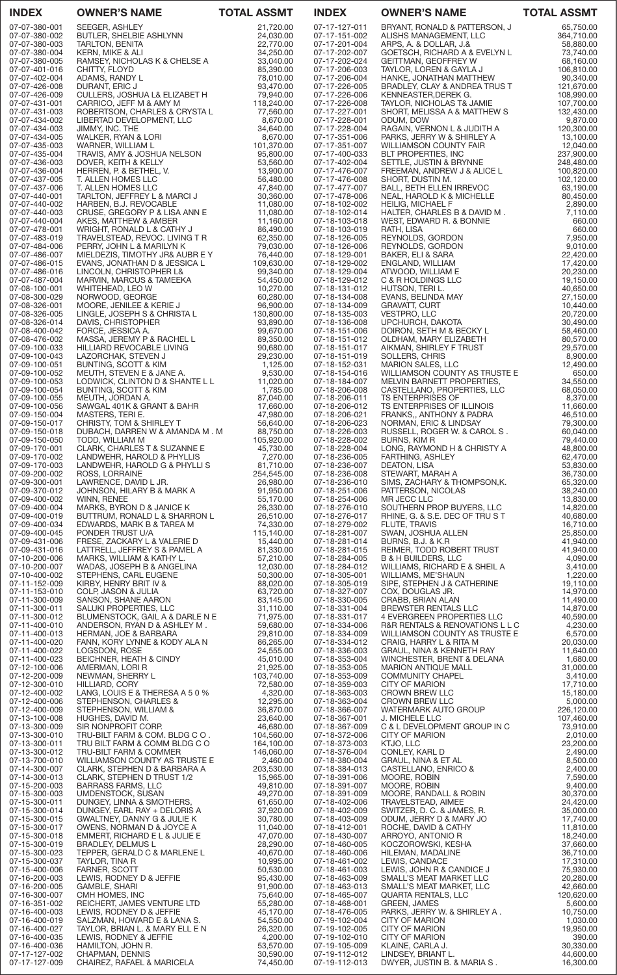| <b>INDEX</b>                   | <b>OWNER'S NAME</b>                                                                                                                                                                                                                                    | <b>TOTAL ASSMT</b>      | <b>INDEX</b>                   | <b>OWNER'S NAME</b>                                                                                                                                                                                                                                  | <b>TOTAL ASSMT</b>       |
|--------------------------------|--------------------------------------------------------------------------------------------------------------------------------------------------------------------------------------------------------------------------------------------------------|-------------------------|--------------------------------|------------------------------------------------------------------------------------------------------------------------------------------------------------------------------------------------------------------------------------------------------|--------------------------|
| 07-07-380-001                  | SEEGER, ASHLEY                                                                                                                                                                                                                                         | 21,720.00               | 07-17-127-011                  | BRYANT, RONALD & PATTERSON, J                                                                                                                                                                                                                        | 65,750.00                |
| 07-07-380-002<br>07-07-380-003 | BUTLER, SHELBIE ASHLYNN<br><b>TARLTON, BENITA</b>                                                                                                                                                                                                      | 24,030.00<br>22,770.00  | 07-17-151-002<br>07-17-201-004 | ALISHS MANAGEMENT, LLC<br>ARPS, A. & DOLLAR, J.&                                                                                                                                                                                                     | 364,710.00<br>58,880.00  |
| 07-07-380-004                  | KERN, MIKE & ALI                                                                                                                                                                                                                                       | 34,250.00               | 07-17-202-007                  | GOETSCH, RICHARD A & EVELYN L                                                                                                                                                                                                                        | 73,740.00                |
| 07-07-380-005                  | RAMSEY, NICHOLAS K & CHELSE A                                                                                                                                                                                                                          | 33,040.00               | 07-17-202-024                  | GEITTMAN, GEOFFREY W                                                                                                                                                                                                                                 | 68,160.00                |
| 07-07-401-016<br>07-07-402-004 | CHITTY, FLOYD<br>ADAMS, RANDY L                                                                                                                                                                                                                        | 85,390.00<br>78,010.00  | 07-17-206-003<br>07-17-206-004 | TAYLOR, LOREN & GAYLA J<br>HANKE, JONATHAN MATTHEW                                                                                                                                                                                                   | 106,810.00<br>90,340.00  |
| 07-07-426-008                  | DURANT, ERIC J                                                                                                                                                                                                                                         | 93,470.00               | 07-17-226-005                  | BRADLEY, CLAY & ANDREA TRUS T                                                                                                                                                                                                                        | 121,670.00               |
| 07-07-426-009<br>07-07-431-001 | CULLERS, JOSHUA L& ELIZABET H                                                                                                                                                                                                                          | 79,940.00<br>118,240.00 | 07-17-226-006                  | KENNEASTER, DEREK G.                                                                                                                                                                                                                                 | 108,990.00<br>107,700.00 |
| 07-07-431-003                  | CARRICO, JEFF M & AMY M<br>ROBERTSON, CHARLES & CRYSTA L                                                                                                                                                                                               | 77,560.00               | 07-17-226-008<br>07-17-227-001 | TAYLOR, NICHOLAS T& JAMIE<br>SHORT, MELISSA A & MATTHEW S                                                                                                                                                                                            | 132,430.00               |
| 07-07-434-002                  | LIBERTAD DEVELOPMENT, LLC                                                                                                                                                                                                                              | 8,670.00                | 07-17-228-001                  | ODUM, DOW                                                                                                                                                                                                                                            | 9,870.00                 |
| 07-07-434-003<br>07-07-434-005 | , nYAN & LORI<br>VYARNER, WILLIAM L<br>TRAVIS, AMY & JOSHUA NELSON<br>DOVER, KEITH & KELLY<br>IERREN, P. & BETHEL, V.<br>ALLEN HOMFS ! '<br>QLI F <sup>N</sup> !'                                                                                      | 34,640.00<br>8,670.00   | 07-17-228-004<br>07-17-351-006 | RAGAIN, VERNON L & JUDITH A<br>PARKS, JERRY W & SHIRLEY A                                                                                                                                                                                            | 120,300.00<br>13,100.00  |
| 07-07-435-003                  |                                                                                                                                                                                                                                                        | 101,370.00              | 07-17-351-007                  | WILLIAMSON COUNTY FAIR                                                                                                                                                                                                                               | 12,040.00                |
| 07-07-435-004                  |                                                                                                                                                                                                                                                        | 95,800.00               | 07-17-400-033                  | BLT PROPERTIES, INC                                                                                                                                                                                                                                  | 237,900.00               |
| 07-07-436-003<br>07-07-436-004 |                                                                                                                                                                                                                                                        | 53,560.00<br>13,900.00  | 07-17-402-004<br>07-17-476-007 | SETTLE, JUSTIN & BRYNNE<br>FREEMAN, ANDREW J & ALICE L                                                                                                                                                                                               | 248,480.00<br>100,820.00 |
| 07-07-437-005                  |                                                                                                                                                                                                                                                        | 56,480.00               | 07-17-476-008                  |                                                                                                                                                                                                                                                      | 102,120.00               |
| 07-07-437-006<br>07-07-440-001 | T. ALLEN HOMES LLC<br>TARLTON, JEFFREY L & MARCI J                                                                                                                                                                                                     | 47,840.00<br>30,360.00  | 07-17-477-007<br>07-17-478-006 | LITE DIANT, ANDREW J & ALICE L<br>SHORT, DUSTIN M.<br>BALL, BETH ELLEN IRREVOC<br>NEAL HADOLD K. LITELLEN                                                                                                                                            | 63,190.00<br>80,450.00   |
| 07-07-440-002                  | HARBEN, B.J. REVOCABLE                                                                                                                                                                                                                                 | 11,080.00               | 07-18-102-002                  | BALL, DETTI ELLLIVITIILIVOO<br>NEAL, HAROLD K & MICHELLE<br>HEILIG MICHAFI F<br><b>HEILIG, MICHAEL F</b>                                                                                                                                             | 2,890.00                 |
| 07-07-440-003                  | CRUSE, GREGORY P & LISA ANN E                                                                                                                                                                                                                          | 11,080.00               | 07-18-102-014                  | HEILIG, MICHALL F<br>HALTER, CHARLES B & DAVID M .<br>WEST, EDWARD R. & BONNIE                                                                                                                                                                       | 7,110.00                 |
| 07-07-440-004<br>07-07-478-001 | AKES, MATTHEW & AMBER<br>WRIGHT, RONALD L & CATHY J                                                                                                                                                                                                    | 11,160.00<br>86,490.00  | 07-18-103-018<br>07-18-103-019 | RATH, LISA                                                                                                                                                                                                                                           | 660.00<br>660.00         |
| 07-07-483-019                  | TRAVELSTEAD, REVOC. LIVING T R                                                                                                                                                                                                                         | 62,350.00               | 07-18-126-005                  | REYNOLDS, GORDON                                                                                                                                                                                                                                     | 7,950.00                 |
| 07-07-484-006<br>07-07-486-007 | PERRY, JOHN L & MARILYN K<br>MIELDEZIS, TIMOTHY JR& AUBR E Y                                                                                                                                                                                           | 79,030.00<br>76,440.00  | 07-18-126-006                  | REYNOLDS, GORDON                                                                                                                                                                                                                                     | 9,010.00<br>22,420.00    |
| 07-07-486-015                  | EVANS, JONATHAN D & JESSICA L                                                                                                                                                                                                                          | 109,630.00              | 07-18-129-001<br>07-18-129-002 | BAKER, ELI & SARA<br>ENGLAND, WILLIAM                                                                                                                                                                                                                | 17,420.00                |
| 07-07-486-016                  | LINCOLN, CHRISTOPHER L&                                                                                                                                                                                                                                | 99,340.00               | 07-18-129-004                  | ATWOOD, WILLIAM E                                                                                                                                                                                                                                    | 20,230.00                |
| 07-07-487-004<br>07-08-100-001 | MARVIN, MARCUS & TAMEEKA<br>WHITEHEAD, LEO W                                                                                                                                                                                                           | 54,450.00<br>10,270.00  | 07-18-129-012<br>07-18-131-012 | C & R HOLDINGS LLC<br>HUTSON, TERI L.                                                                                                                                                                                                                | 19,150.00<br>40,650.00   |
| 07-08-300-029                  | NORWOOD, GEORGE                                                                                                                                                                                                                                        | 60,280.00               | 07-18-134-008                  | EVANS, BELINDA MAY                                                                                                                                                                                                                                   | 27,150.00                |
| 07-08-326-001<br>07-08-326-005 | MOORE, JENILEE & KERIE J<br>LINGLE, JOSEPH S & CHRISTA L                                                                                                                                                                                               | 96,900.00<br>130,800.00 | 07-18-134-009<br>07-18-135-003 | <b>GRAVATT, CURT</b><br>VESTPRO, LLC                                                                                                                                                                                                                 | 10,440.00<br>20,720.00   |
| 07-08-326-014                  | DAVIS, CHRISTOPHER                                                                                                                                                                                                                                     | 93,890.00               | 07-18-136-008                  | UPCHURCH, DAKOTA                                                                                                                                                                                                                                     | 30,490.00                |
| 07-08-400-042                  | FORCE, JESSICA A.                                                                                                                                                                                                                                      | 99,670.00               | 07-18-151-006                  | DOIRON, SETH M & BECKY L                                                                                                                                                                                                                             | 58,460.00                |
| 07-08-476-002<br>07-09-100-033 | MASSA, JEREMY P & RACHEL L<br>HILLIARD REVOCABLE LIVING                                                                                                                                                                                                | 89,350.00<br>90,680.00  | 07-18-151-012<br>07-18-151-017 | OLDHAM, MARY ELIZABETH<br>AIKMAN, SHIRLEY F TRUST                                                                                                                                                                                                    | 80,570.00<br>29,570.00   |
| 07-09-100-043                  | LAZORCHAK, STEVEN J                                                                                                                                                                                                                                    | 29,230.00               | 07-18-151-019                  | SOLLERS, CHRIS                                                                                                                                                                                                                                       | 8,900.00                 |
| 07-09-100-051                  | BUNTING, SCOTT & KIM                                                                                                                                                                                                                                   | 1,125.00                | 07-18-152-031                  | <b>MARION SALES, LLC</b>                                                                                                                                                                                                                             | 12,490.00                |
| 07-09-100-052<br>07-09-100-053 | MEUTH, STEVEN E & JANE A.<br>LODWICK, CLINTON D & SHANTE L L                                                                                                                                                                                           | 9,530.00<br>11,020.00   | 07-18-154-016<br>07-18-184-007 | WILLIAMSON COUNTY AS TRUSTE E<br>MELVIN BARNETT PROPERTIES,                                                                                                                                                                                          | 650.00<br>34,550.00      |
| 07-09-100-054                  | BUNTING, SCOTT & KIM                                                                                                                                                                                                                                   | 1,785.00                | 07-18-206-008                  | CASTELLANO, PROPERTIES, LLC                                                                                                                                                                                                                          | 68,050.00                |
| 07-09-100-055<br>07-09-100-056 | MEUTH, JORDAN A.                                                                                                                                                                                                                                       | 87,040.00               | 07-18-206-011<br>07-18-206-012 | <b>TS ENTERPRISES OF</b>                                                                                                                                                                                                                             | 8,370.00<br>11,660.00    |
| 07-09-150-004                  | SAWGAL 401K & GRANT & BAHR $17,660.00$<br>MASTERS, TERI E. 47,980.00<br>CHRISTY, TOM & SHIRLEY T 56,640.00                                                                                                                                             |                         | 07-18-206-021                  | TS ENTERPRISES OF ILLINOIS<br>FRANKS,, ANTHONY & PADRA<br>NORMAN, ERIC & LINDSAY<br>RUSSELL, ROGER W. & CAROL S                                                                                                                                      | 46,510.00                |
| 07-09-150-017                  |                                                                                                                                                                                                                                                        |                         | 07-18-206-023                  |                                                                                                                                                                                                                                                      | 79,300.00                |
| 07-09-150-018<br>07-09-150-050 | DUBACH, DARREN W & AMANDA M.M<br>TODD, WILLIAM M                                                                                                                                                                                                       | 88,750.00<br>105,920.00 | 07-18-226-003<br>07-18-228-002 | BURNS, KIM R                                                                                                                                                                                                                                         | 60,040.00<br>79,440.00   |
| 07-09-170-001                  | TODD, WILLIAM M<br>CLARK, CHARLES T & SUZANNE E                                                                                                                                                                                                        | 45,730.00               | 07-18-228-004                  | BURNS, KIM R<br>LONG, RAYMOND H & CHRISTY A<br>EARTLING, ASLILEY                                                                                                                                                                                     | 48,800.00                |
| 07-09-170-002<br>07-09-170-003 | LANDWEHR, HAROLD & PHYLLIS                                                                                                                                                                                                                             | 7,270.00<br>81,710.00   | 07-18-236-005<br>07-18-236-007 |                                                                                                                                                                                                                                                      | 62,470.00<br>53,830.00   |
| 07-09-200-002                  |                                                                                                                                                                                                                                                        | 254,545.00              | 07-18-236-008                  |                                                                                                                                                                                                                                                      | 36,730.00                |
| 07-09-300-001                  | LANDWEHR, HAROLD G & PHYLLI S<br>ROSS, LORRAINE<br>LAWRENCE, DAVID L JR.<br>JOHNSON, HILARY B & MARK A<br>WINN RENFE                                                                                                                                   | 26,980.00               | 07-18-236-010                  | FARTHING, ASHLEY<br>DEATON, LISA<br>STEWART, MARAH A<br>SIMS, ZACHARY & THOMPSON,K.<br>PATTERSON, NICOLAS<br>MR JECC LLC<br>MR JECC LLC                                                                                                              | 65,320.00                |
| 07-09-370-012<br>07-09-400-002 | WINN, RENEE                                                                                                                                                                                                                                            | 91,950.00<br>55,170.00  | 07-18-251-006<br>07-18-254-006 |                                                                                                                                                                                                                                                      | 38,240.00<br>13,830.00   |
| 07-09-400-004                  | WINN, HENEE<br>MARKS, BYRON D & JANICE K                                                                                                                                                                                                               | 26,330.00               | 07-18-276-010                  | SOUTHERN PROP BUYERS, LLC                                                                                                                                                                                                                            | 14,820.00                |
| 07-09-400-019<br>07-09-400-034 | MARKS, BYRON D & JANICE K<br>BUTTRUM, RONALD L & SHARRON L<br>EDWARDS, MARK B & TAREA M<br>PONDER TRUST U/A<br>FRESE, ZACKARY L & VALERIE D<br>LATTRELL, JEFFREY S & PAMEL A<br>MARKS, WILLIAM & KATHY L.<br>WADAS, JOSEPH B & ANGELINA<br>STEPHENS, C | 26,510.00<br>74,330.00  | 07-18-276-017<br>07-18-279-002 | RHINE, G. & S.E. DEC OF TRU S T<br>FLUTE, TRAVIS<br>SWAN, JOSHUA ALLEN<br>BURNS, B.J. & K.R                                                                                                                                                          | 40,680.00<br>16,710.00   |
| 07-09-400-045                  |                                                                                                                                                                                                                                                        | 115,140.00              | 07-18-281-007                  |                                                                                                                                                                                                                                                      | 25,850.00                |
| 07-09-431-006                  |                                                                                                                                                                                                                                                        | 15,440.00               | 07-18-281-014                  | BURNS, B.J. & K.R<br>REIMER, TODD ROBERT TRUST<br>B & H BUILDERS, LLC<br>WILLIAMS, RICHARD E & SHEIL A<br>WILLIAMS, ME'SHAUN<br>SIPE, STEPHEN J & CATHERINE<br>COX, DOUGLAS JR.<br>CRABB, BRIAN ALAN<br>BREWSTER RENTALS LLC<br>BREWSTER RENTALS LLC | 41,940.00                |
| 07-09-431-016<br>07-10-200-006 |                                                                                                                                                                                                                                                        | 81,330.00<br>57,210.00  | 07-18-281-015<br>07-18-284-005 |                                                                                                                                                                                                                                                      | 41,940.00<br>4,090.00    |
| 07-10-200-007                  |                                                                                                                                                                                                                                                        | 12,030.00               | 07-18-284-012                  |                                                                                                                                                                                                                                                      | 3,410.00                 |
| 07-10-400-002<br>07-11-152-009 | KIRBY, HENRY BRIT IV &                                                                                                                                                                                                                                 | 50,300.00<br>88,020.00  | 07-18-305-001<br>07-18-305-019 |                                                                                                                                                                                                                                                      | 1,220.00<br>19,110.00    |
| 07-11-153-010                  | COLP, JASON & JULIA                                                                                                                                                                                                                                    | 63,720.00               | 07-18-327-007                  |                                                                                                                                                                                                                                                      | 14,970.00                |
| 07-11-300-009                  | SANSON, SHANE AARON<br>SALUKI PROPERTIES, LLC<br>BLUMENSTOCK, GAIL A & DARLE N E                                                                                                                                                                       | 83,145.00               | 07-18-330-005                  |                                                                                                                                                                                                                                                      | 11,490.00                |
| 07-11-300-011<br>07-11-300-012 |                                                                                                                                                                                                                                                        | 31,110.00<br>71,975.00  | 07-18-331-004<br>07-18-331-017 | 4 EVERGREEN PROPERTIES LLC                                                                                                                                                                                                                           | 14,870.00<br>40,590.00   |
| 07-11-400-010                  |                                                                                                                                                                                                                                                        | 59,680.00               | 07-18-334-006                  | R&R RENTALS & RENOVATIONS L L C                                                                                                                                                                                                                      | 4,230.00                 |
| 07-11-400-013<br>07-11-400-020 |                                                                                                                                                                                                                                                        |                         | 07-18-334-009<br>07-18-334-012 |                                                                                                                                                                                                                                                      | 6,570.00<br>20,030.00    |
| 07-11-400-022                  |                                                                                                                                                                                                                                                        |                         | 07-18-336-003                  |                                                                                                                                                                                                                                                      | 11,640.00                |
| 07-11-400-023                  |                                                                                                                                                                                                                                                        |                         | 07-18-353-004                  |                                                                                                                                                                                                                                                      | 1,680.00                 |
| 07-12-100-006<br>07-12-200-009 |                                                                                                                                                                                                                                                        |                         | 07-18-353-005<br>07-18-353-009 |                                                                                                                                                                                                                                                      | 31,000.00<br>3,410.00    |
| 07-12-300-010                  |                                                                                                                                                                                                                                                        |                         | 07-18-359-003                  |                                                                                                                                                                                                                                                      | 17,710.00                |
| 07-12-400-002<br>07-12-400-006 | HERMAN, JOE & BARBARA<br>FANN, KORY LYNNE & KODY ALA N<br>LOGSDON, ROSE<br>DEICHNER, HEATH & CINDY<br>BEICHNER, HEATH & CINDY<br>AMERMAN, LORI R<br>NEWMAN, SHERRY L<br>NEWMAN, SHERRY L<br>NEWMAN, SHERRY L<br>103,740.00<br>HILLIARD, CORY<br>CORY   |                         | 07-18-363-003<br>07-18-363-004 | R&R RENTALS & RENOVATIONS L L C<br>WILLIAMSON COUNTY AS TRUSTE E<br>CRAIG, HARRY L & RITA M<br>GRAUL, NINA & KENNETH RAY<br>WINCHESTER, BRENT & DELANA<br>MARION ANTIQUE MALL<br>COMMUNITY CHAPEL<br>CITY OF MARION<br>CROWN BREW LLC<br>CROWN B     | 15,180.00<br>5,000.00    |
| 07-12-400-009                  |                                                                                                                                                                                                                                                        |                         | 07-18-366-007                  |                                                                                                                                                                                                                                                      | 226,120.00               |
| 07-13-100-008                  |                                                                                                                                                                                                                                                        |                         | 07-18-367-001                  |                                                                                                                                                                                                                                                      | 107,460.00               |
| 07-13-300-009<br>07-13-300-010 |                                                                                                                                                                                                                                                        |                         | 07-18-367-009<br>07-18-372-006 |                                                                                                                                                                                                                                                      | 73,910.00<br>2,010.00    |
| 07-13-300-011                  | TRU BILT FARM & COMM BLDG CO                                                                                                                                                                                                                           | 164,100.00              | 07-18-373-003                  |                                                                                                                                                                                                                                                      | 23,200.00                |
| 07-13-300-012<br>07-13-700-010 | TRU-BILT FARM & COMMER<br>WILLIAMSON COUNTY AS TRUSTE E                                                                                                                                                                                                | 146,060.00<br>2,460.00  | 07-18-376-004<br>07-18-380-004 |                                                                                                                                                                                                                                                      | 2,490.00<br>8,500.00     |
| 07-14-300-007                  | CLARK, STEPHEN D & BARBARA A                                                                                                                                                                                                                           | 203,530.00              | 07-18-384-013                  |                                                                                                                                                                                                                                                      | 2,400.00                 |
| 07-14-300-013<br>07-15-200-003 | CLARK, STEPHEN D TRUST 1/2<br><b>BARRASS FARMS, LLC</b>                                                                                                                                                                                                | 15,965.00<br>49,810.00  | 07-18-391-006<br>07-18-391-007 |                                                                                                                                                                                                                                                      | 7,590.00<br>9,400.00     |
| 07-15-300-003                  | UMDENSTOCK, SUSAN                                                                                                                                                                                                                                      | 49,270.00               | 07-18-391-009                  |                                                                                                                                                                                                                                                      | 30,370.00                |
| 07-15-300-011                  | DUNGEY, LINNA & SMOTHERS,                                                                                                                                                                                                                              | 61,650.00               | 07-18-402-006                  |                                                                                                                                                                                                                                                      | 24,420.00                |
| 07-15-300-014<br>07-15-300-015 | DUNGEY, EARL RAY + DELORIS A<br><b>GWALTNEY, DANNY G &amp; JULIE K</b>                                                                                                                                                                                 | 37,920.00<br>30,780.00  | 07-18-402-009<br>07-18-403-009 | SWITZER, D. C. & JAMES, R.<br>ODUM, JERRY D & MARY JO                                                                                                                                                                                                | 35,000.00<br>17,740.00   |
| 07-15-300-017                  | OWENS, NORMAN D & JOYCE A                                                                                                                                                                                                                              | 11,040.00               | 07-18-412-001                  | ROCHE, DAVID & CATHY                                                                                                                                                                                                                                 | 11,810.00                |
| 07-15-300-018                  | EMMERT, RICHARD E L & JULIE E                                                                                                                                                                                                                          | 47,070.00               | 07-18-430-007                  | ARROYO, ANTONIO R<br>KOCZOROWSKI, KESHA                                                                                                                                                                                                              | 18,240.00                |
| 07-15-300-019<br>07-15-300-023 | BRADLEY, DELMUS L<br>TEPPER, GERALD C & MARLENE L                                                                                                                                                                                                      | 28,290.00<br>40,670.00  | 07-18-460-005<br>07-18-460-006 | HILEMAN, MADALINE                                                                                                                                                                                                                                    | 37,660.00<br>36,710.00   |
| 07-15-300-037                  | TAYLOR, TINA R                                                                                                                                                                                                                                         | 10,995.00               | 07-18-461-002                  | LEWIS, CANDACE                                                                                                                                                                                                                                       | 17,310.00                |
| 07-15-400-006<br>07-16-200-003 | <b>FARNER, SCOTT</b><br>LEWIS, RODNEY D & JEFFIE                                                                                                                                                                                                       | 50,530.00<br>95,430.00  | 07-18-461-003<br>07-18-463-009 | LEWIS, JOHN R & CANDICE J<br>SMALL'S MEAT MARKET LLC                                                                                                                                                                                                 | 75,930.00<br>20,280.00   |
| 07-16-200-005                  | GAMBLE, SHARI                                                                                                                                                                                                                                          | 91,900.00               | 07-18-463-013                  | SMALL'S MEAT MARKET, LLC                                                                                                                                                                                                                             | 42,660.00                |
| 07-16-300-007                  | CMH HOMES, INC                                                                                                                                                                                                                                         | 75,640.00               | 07-18-465-007                  | <b>QUARTA RENTALS, LLC</b>                                                                                                                                                                                                                           | 120,620.00               |
| 07-16-351-002<br>07-16-400-003 | REICHERT, JAMES VENTURE LTD<br>LEWIS, RODNEY D & JEFFIE                                                                                                                                                                                                | 55,280.00<br>45,170.00  | 07-18-468-001<br>07-18-476-005 | <b>GREEN, JAMES</b><br>PARKS, JERRY W. & SHIRLEY A.                                                                                                                                                                                                  | 5,600.00<br>10,750.00    |
| 07-16-400-019                  | SALZMAN, HOWARD E & LANA S.                                                                                                                                                                                                                            | 54,550.00               | 07-19-102-004                  | CITY OF MARION                                                                                                                                                                                                                                       | 1,030.00                 |
| 07-16-400-027<br>07-16-400-035 | TAYLOR, BRIAN L. & MARY ELL E N<br>LEWIS, RODNEY & JEFFIE                                                                                                                                                                                              | 26,320.00<br>4,200.00   | 07-19-102-005<br>07-19-102-010 | <b>CITY OF MARION</b><br><b>CITY OF MARION</b>                                                                                                                                                                                                       | 19,950.00<br>390.00      |
| 07-16-400-036                  | HAMILTON, JOHN R.                                                                                                                                                                                                                                      | 53,570.00               | 07-19-105-009                  | KLAINE, CARLA J.                                                                                                                                                                                                                                     | 30,330.00                |
| 07-17-127-002<br>07-17-127-009 | CHAPMAN, DENNIS<br>CHAIREZ, RAFAEL & MARICELA                                                                                                                                                                                                          | 30,590.00<br>74,450.00  | 07-19-112-012<br>07-19-112-013 | LINDSEY, BRIANT L.<br>DWYER, JUSTIN B. & MARIA S.                                                                                                                                                                                                    | 44,600.00<br>16,300.00   |
|                                |                                                                                                                                                                                                                                                        |                         |                                |                                                                                                                                                                                                                                                      |                          |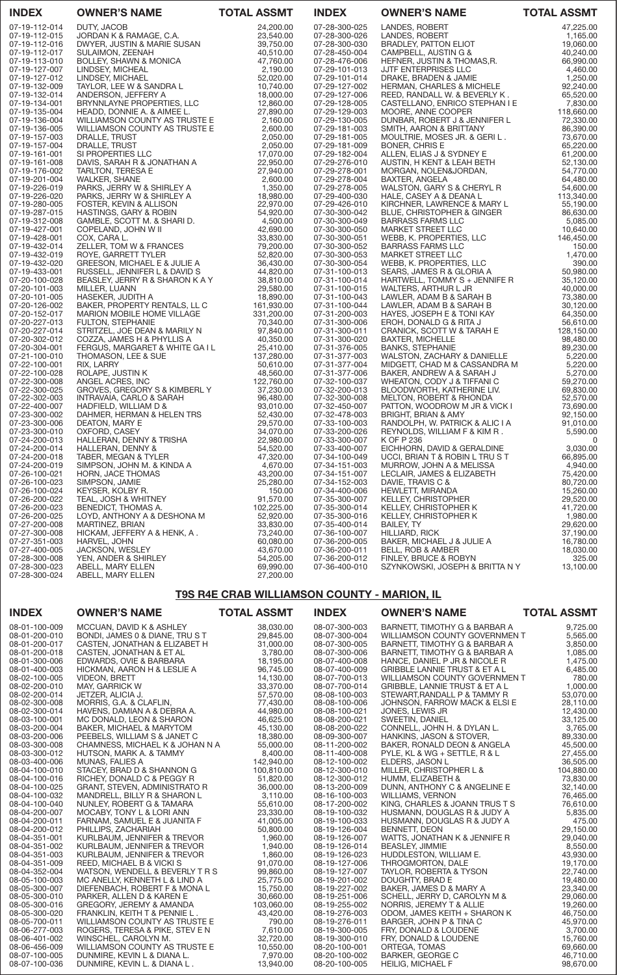| <b>INDEX</b>                   | <b>OWNER'S NAME</b>                                         | <b>TOTAL ASSMT</b>     | <b>INDEX</b>                   | <b>OWNER'S NAME</b>                                                                                                                       | <b>TOTAL ASSMT</b>     |
|--------------------------------|-------------------------------------------------------------|------------------------|--------------------------------|-------------------------------------------------------------------------------------------------------------------------------------------|------------------------|
| 07-19-112-014                  | DUTY, JACOB                                                 | 24,200.00              | 07-28-300-025                  | LANDES, ROBERT                                                                                                                            | 47,225.00              |
| 07-19-112-015                  | JORDAN K & RAMAGE, C.A.                                     | 23,540.00              | 07-28-300-026                  | LANDES, ROBERT                                                                                                                            | 1,165.00               |
| 07-19-112-016                  | DWYER, JUSTIN & MARIE SUSAN                                 | 39,750.00              | 07-28-300-030                  | BRADLEY, PATTON ELIOT                                                                                                                     | 19,060.00              |
| 07-19-112-017                  | SULAIMON, ZEENAH                                            | 40,510.00              | 07-28-450-004                  | CAMPBELL, AUSTIN G &                                                                                                                      | 40,240.00<br>66,990.00 |
| 07-19-113-010<br>07-19-127-007 | <b>BOLLEY, SHAWN &amp; MONICA</b><br>LINDSEY, MICHEAL       | 47,760.00<br>2,190.00  | 07-28-476-006<br>07-29-101-013 | HEFNER, JUSTIN & THOMAS,R.<br>JJTF ENTERPRISES LLC                                                                                        | 4,460.00               |
| 07-19-127-012                  | LINDSEY, MICHAEL                                            | 52,020.00              | 07-29-101-014                  | DRAKE, BRADEN & JAMIE                                                                                                                     | 1,250.00               |
| 07-19-132-009                  | TAYLOR, LEE W & SANDRA L                                    | 10,740.00              | 07-29-127-002                  | HERMAN, CHARLES & MICHELE                                                                                                                 | 92,240.00              |
| 07-19-132-014                  | ANDERSON, JEFFERY A                                         | 18,000.00              | 07-29-127-006                  | REED, RANDALL W. & BEVERLY K.                                                                                                             | 65,520.00              |
| 07-19-134-001                  | BRYNNLAYNE PROPERTIES, LLC                                  | 12,860.00              | 07-29-128-005                  | CASTELLANO, ENRICO STEPHAN I E                                                                                                            | 7,830.00               |
| 07-19-135-004                  | HEADD, DONNIE A. & AIMEE L.                                 | 27,890.00              | 07-29-129-003                  | MOORE, ANNE COOPER                                                                                                                        | 118,660.00             |
| 07-19-136-004                  | WILLIAMSON COUNTY AS TRUSTE E                               | 2,160.00               | 07-29-130-005                  | DUNBAR, ROBERT J & JENNIFER L                                                                                                             | 72,330.00              |
| 07-19-136-005                  | WILLIAMSON COUNTY AS TRUSTE E                               | 2,600.00               | 07-29-181-003                  | SMITH, AARON & BRITTANY                                                                                                                   | 86,390.00              |
| 07-19-157-003<br>07-19-157-004 | DRALLE, TRUST<br>DRALLE, TRUST                              | 2,050.00<br>2,050.00   | 07-29-181-005<br>07-29-181-009 | MOULTRIE, MOSES JR. & GERIL.<br>BONER, CHRIS E                                                                                            | 73,670.00<br>65,220.00 |
| 07-19-161-001                  | SI PROPERTIES LLC                                           | 17,070.00              | 07-29-182-004                  | ALLEN, ELIAS J & SYDNEY E                                                                                                                 | 61,200.00              |
| 07-19-161-008                  | DAVIS, SARAH R & JONATHAN A                                 | 22,950.00              | 07-29-276-010                  | AUSTIN, H KENT & LEAH BETH                                                                                                                | 52,130.00              |
| 07-19-176-002                  | <b>TARLTON, TERESA E</b>                                    | 27,940.00              | 07-29-278-001                  | MORGAN, NOLEN&JORDAN,                                                                                                                     | 54,770.00              |
| 07-19-201-004                  | <b>WALKER, SHANE</b>                                        | 2,600.00               | 07-29-278-004                  | BAXTER, ANGELA                                                                                                                            | 64,480.00              |
| 07-19-226-019                  | PARKS, JERRY W & SHIRLEY A                                  | 1,350.00               | 07-29-278-005                  | WALSTON, GARY S & CHERYL R                                                                                                                | 54,600.00              |
| 07-19-226-020                  | PARKS, JERRY W & SHIRLEY A                                  | 18,980.00              | 07-29-400-030                  | HALE, CASEY A & DEANA L                                                                                                                   | 113,340.00             |
| 07-19-280-005                  | FOSTER, KEVIN & ALLISON                                     | 22,970.00              | 07-29-426-010                  | KIRCHNER, LAWRENCE & MARY L                                                                                                               | 55,190.00              |
| 07-19-287-015<br>07-19-312-008 | HASTINGS, GARY & ROBIN<br>GAMBLE, SCOTT M. & SHARI D.       | 54,920.00<br>4,500.00  | 07-30-300-042<br>07-30-300-049 |                                                                                                                                           | 86,630.00<br>5,085.00  |
| 07-19-427-001                  | COPELAND, JOHN W II                                         | 42,690.00              | 07-30-300-050                  |                                                                                                                                           | 10,640.00              |
| 07-19-428-001                  | COX, CARA L.                                                | 33,830.00              | 07-30-300-051                  |                                                                                                                                           | 146,450.00             |
| 07-19-432-014                  | ZELLER, TOM W & FRANCES                                     | 79,200.00              | 07-30-300-052                  |                                                                                                                                           | 150.00                 |
| 07-19-432-019                  | ROYE, GARRETT TYLER                                         | 52,820.00              | 07-30-300-053                  | NUE, CHRISTOPHER & GINGER<br>BARRASS FARMS LLC<br>MARKET STREET LLC<br>WEBB, K. PROPERTIES, LLC<br>BARRASS FARMS LLC<br>MARKET STREET LLC | 1,470.00               |
| 07-19-432-020                  | GREESON, MICHAEL E & JULIE A                                | 36,430.00              | 07-30-300-054                  | WEBB, K. PROPERTIES, LLC                                                                                                                  | 390.00                 |
| 07-19-433-001                  | RUSSELL, JENNIFER L & DAVID S                               | 44,820.00              | 07-31-100-013                  | SEARS, JAMES R & GLORIA A                                                                                                                 | 50,980.00              |
| 07-20-100-028<br>07-20-101-003 | BEASLEY, JERRY R & SHARON K A Y<br>MILLER, LUANN            | 38,810.00<br>29,580.00 | 07-31-100-014<br>07-31-100-015 | HARTWELL, TOMMY S + JENNIFE R                                                                                                             | 35,120.00<br>40,000.00 |
| 07-20-101-005                  | HASEKER, JUDITH A                                           | 18,890.00              | 07-31-100-043                  | WALTERS, ARTHUR L JR<br>LAWLER, ADAM B & SARAH B                                                                                          | 73,380.00              |
| 07-20-126-002                  | BAKER, PROPERTY RENTALS, LL C                               | 161,930.00             | 07-31-100-044                  | LAWLER, ADAM B & SARAH B                                                                                                                  | 30,120.00              |
| 07-20-152-017                  | MARION MOBILE HOME VILLAGE                                  | 331,200.00             | 07-31-200-003                  | HAYES, JOSEPH E & TONI KAY                                                                                                                | 64,350.00              |
| 07-20-227-013                  | <b>FULTON, STEPHANIE</b>                                    | 70,340.00              | 07-31-300-006                  | EROH, DONALD G & RITA J                                                                                                                   | 56,610.00              |
| 07-20-227-014                  | STRITZEL, JOE DEAN & MARILY N                               | 97,840.00              | 07-31-300-011                  | CRANICK, SCOTT W & TARAH E                                                                                                                | 128,150.00             |
| 07-20-302-012<br>07-20-304-001 | COZZA, JAMES H & PHYLLIS A<br>FERGUS, MARGARET & WHITE GAIL | 40,350.00<br>25,410.00 | 07-31-300-020<br>07-31-376-005 | <b>BAXTER, MICHELLE</b><br><b>BANKS, STEPHANIE</b>                                                                                        | 98,480.00<br>89,230.00 |
| 07-21-100-010                  | THOMASON, LEE & SUE                                         | 137,280.00             | 07-31-377-003                  | WALSTON, ZACHARY & DANIELLE                                                                                                               | 5,220.00               |
| 07-22-100-001                  | RIX, LARRY                                                  | 50,610.00              | 07-31-377-004                  | MIDGETT, CHAD M & CASSANDRA M                                                                                                             | 5,220.00               |
| 07-22-100-028                  | ROLAPE, JUSTIN K                                            | 48,560.00              | 07-31-377-006                  | BAKER, ANDREW A & SARAH J                                                                                                                 | 5,270.00               |
| 07-22-300-008                  | ANGEL ACRES, INC                                            | 122,760.00             | 07-32-100-037                  | WHEATON, CODY J & TIFFANI C                                                                                                               | 59,270.00              |
| 07-22-300-025                  | GROVES, GREGORY S & KIMBERL Y                               | 37,230.00              | 07-32-200-013                  | BLOODWORTH, KATHERINE LIV.                                                                                                                | 69,830.00              |
| 07-22-302-003<br>07-22-400-007 | INTRAVAIA, CARLO & SARAH<br>HADFIELD, WILLIAM D &           | 96,480.00<br>93,010.00 | 07-32-300-008<br>07-32-450-007 | MELTON, ROBERT & RHONDA<br>PATTON, WOODROW M JR & VICK I                                                                                  | 52,570.00<br>73,690.00 |
| 07-23-300-002                  | DAHMER, HERMAN & HELEN TRS                                  | 52,430.00              | 07-32-478-003                  | <b>BRIGHT, BRIAN &amp; AMY</b>                                                                                                            | 92,150.00              |
| 07-23-300-006                  | DEATON, MARY E                                              | 29,570.00              | 07-33-100-003                  | RANDOLPH, W. PATRICK & ALIC I A                                                                                                           | 91,010.00              |
| 07-23-300-010                  | OXFORD, CASEY                                               | 34,070.00              | 07-33-200-026                  | REYNOLDS, WILLIAM F & KIM R.                                                                                                              | 5,590.00               |
| 07-24-200-013                  | HALLERAN, DENNY & TRISHA                                    | 22,980.00              | 07-33-300-007                  | K OF P 236                                                                                                                                | $\Omega$               |
| 07-24-200-014                  | HALLERAN, DENNY &                                           | 54,520.00              | 07-33-400-007                  | EICHHORN, DAVID & GERALDINE                                                                                                               | 3,030.00               |
| 07-24-200-018                  | TABER, MEGAN & TYLER                                        | 47,320.00              | 07-34-100-049                  | UCCI, BRIAN T & ROBIN L TRU S T                                                                                                           | 66,895.00              |
| 07-24-200-019<br>07-26-100-021 | SIMPSON, JOHN M. & KINDA A<br>HORN, JACE THOMAS             | 4,670.00<br>43,200.00  | 07-34-151-003<br>07-34-151-007 | MURROW, JOHN A & MELISSA<br>LECLAIR, JAMES & ELIZABETH                                                                                    | 4,940.00<br>75,420.00  |
| 07-26-100-023                  | SIMPSON, JAMIE                                              | 25,280.00              | 07-34-152-003                  | DAVIE, TRAVIS C &                                                                                                                         | 80,720.00              |
| 07-26-100-024                  | KEYSER, KOLBY R.                                            | 150.00                 | 07-34-400-006                  | HEWLETT, MIRANDA                                                                                                                          | 15,260.00              |
| 07-26-200-022                  | TEAL, JOSH & WHITNEY                                        | 91,570.00              | 07-35-300-007                  | KELLEY, CHRISTOPHER                                                                                                                       | 29,520.00              |
| 07-26-200-023                  | BENEDICT. THOMAS A.                                         | 102,225.00             | 07-35-300-014                  | KELLEY, CHRISTOPHER K                                                                                                                     | 41,720.00              |
| 07-26-200-025                  | LOYD, ANTHONY A & DESHONA M                                 | 52,920.00              | 07-35-300-016                  | KELLEY, CHRISTOPHER K                                                                                                                     | 1,980.00               |
| 07-27-200-008<br>07-27-300-008 | MARTINEZ, BRIAN<br>HICKAM, JEFFERY A & HENK, A.             | 33,830.00<br>73,240.00 | 07-35-400-014<br>07-36-100-007 | <b>BAILEY, TY</b><br><b>HILLIARD, RICK</b>                                                                                                | 29,620.00<br>37,190.00 |
| 07-27-351-003                  | HARVEL, JOHN                                                | 60,080.00              | 07-36-200-005                  | BAKER, MICHAEL J & JULIE A                                                                                                                | 16,780.00              |
| 07-27-400-005                  | JACKSON, WESLEY                                             | 43,670.00              | 07-36-200-011                  | BELL, ROB & AMBER                                                                                                                         | 18,030.00              |
| 07-28-300-008                  | YEN, ANDER & SHIRLEY                                        | 54,205.00              | 07-36-200-012                  | FINLEY, BRUCE & ROBYN                                                                                                                     | 325.00                 |
| 07-28-300-023<br>07.28.200.024 | ABELL, MARY ELLEN<br>A DELL MADVELLEN                       | 69,990.00<br>27.200.00 | 07-36-400-010                  | SZYNKOWSKI, JOSEPH & BRITTA N Y                                                                                                           | 13,100.00              |

# T9S R4E CRAB WILLIAMSON COUNTY - MARION, IL

07-28-300-024 ABELL, MARY ELLEN 27,200.00

| <b>OWNER'S NAME</b>             | <b>TOTAL ASSMT</b>                                                                                                                                                                                                                           | <b>INDEX</b>                                                                                                                                                                                                                                                                                                                                    | <b>OWNER'S NAME</b>                                                                                                                  | <b>TOTAL ASSMT</b>                                                                                                                                                                                                                                                                                                                                                                                         |
|---------------------------------|----------------------------------------------------------------------------------------------------------------------------------------------------------------------------------------------------------------------------------------------|-------------------------------------------------------------------------------------------------------------------------------------------------------------------------------------------------------------------------------------------------------------------------------------------------------------------------------------------------|--------------------------------------------------------------------------------------------------------------------------------------|------------------------------------------------------------------------------------------------------------------------------------------------------------------------------------------------------------------------------------------------------------------------------------------------------------------------------------------------------------------------------------------------------------|
| MCCUAN, DAVID K & ASHLEY        | 38,030.00                                                                                                                                                                                                                                    | 08-07-300-003                                                                                                                                                                                                                                                                                                                                   | BARNETT, TIMOTHY G & BARBAR A                                                                                                        | 9,725.00                                                                                                                                                                                                                                                                                                                                                                                                   |
| BONDI, JAMES 0 & DIANE, TRU S T | 29,845.00                                                                                                                                                                                                                                    | 08-07-300-004                                                                                                                                                                                                                                                                                                                                   |                                                                                                                                      | 5,565.00                                                                                                                                                                                                                                                                                                                                                                                                   |
| CASTEN, JONATHAN & ELIZABET H   | 31,000.00                                                                                                                                                                                                                                    | 08-07-300-005                                                                                                                                                                                                                                                                                                                                   | BARNETT, TIMOTHY G & BARBAR A                                                                                                        | 3,850.00                                                                                                                                                                                                                                                                                                                                                                                                   |
| CASTEN, JONATHAN & ET AL        |                                                                                                                                                                                                                                              | 08-07-300-006                                                                                                                                                                                                                                                                                                                                   |                                                                                                                                      | 1,085.00                                                                                                                                                                                                                                                                                                                                                                                                   |
|                                 |                                                                                                                                                                                                                                              | 08-07-400-008                                                                                                                                                                                                                                                                                                                                   | HANCE, DANIEL P JR & NICOLE R                                                                                                        | 1,475.00                                                                                                                                                                                                                                                                                                                                                                                                   |
| HICKMAN, AARON H & LESLIE A     |                                                                                                                                                                                                                                              |                                                                                                                                                                                                                                                                                                                                                 |                                                                                                                                      | 6,485.00                                                                                                                                                                                                                                                                                                                                                                                                   |
|                                 |                                                                                                                                                                                                                                              |                                                                                                                                                                                                                                                                                                                                                 |                                                                                                                                      | 780.00                                                                                                                                                                                                                                                                                                                                                                                                     |
|                                 |                                                                                                                                                                                                                                              |                                                                                                                                                                                                                                                                                                                                                 |                                                                                                                                      | 1,000.00                                                                                                                                                                                                                                                                                                                                                                                                   |
|                                 |                                                                                                                                                                                                                                              |                                                                                                                                                                                                                                                                                                                                                 |                                                                                                                                      | 53,070.00                                                                                                                                                                                                                                                                                                                                                                                                  |
|                                 |                                                                                                                                                                                                                                              |                                                                                                                                                                                                                                                                                                                                                 |                                                                                                                                      | 28,110.00                                                                                                                                                                                                                                                                                                                                                                                                  |
|                                 |                                                                                                                                                                                                                                              |                                                                                                                                                                                                                                                                                                                                                 |                                                                                                                                      | 12,430.00                                                                                                                                                                                                                                                                                                                                                                                                  |
| MC DONALD, LEON & SHARON        |                                                                                                                                                                                                                                              |                                                                                                                                                                                                                                                                                                                                                 |                                                                                                                                      | 33,125.00                                                                                                                                                                                                                                                                                                                                                                                                  |
|                                 |                                                                                                                                                                                                                                              |                                                                                                                                                                                                                                                                                                                                                 |                                                                                                                                      | 3,765.00                                                                                                                                                                                                                                                                                                                                                                                                   |
|                                 |                                                                                                                                                                                                                                              | 08-09-300-007                                                                                                                                                                                                                                                                                                                                   |                                                                                                                                      | 89,330.00                                                                                                                                                                                                                                                                                                                                                                                                  |
|                                 |                                                                                                                                                                                                                                              | 08-11-200-002                                                                                                                                                                                                                                                                                                                                   | BAKER, RONALD DEON & ANGELA                                                                                                          | 45,500.00                                                                                                                                                                                                                                                                                                                                                                                                  |
| HUTSON, MARK A. & TAMMY         |                                                                                                                                                                                                                                              | 08-11-400-008                                                                                                                                                                                                                                                                                                                                   | PYLE, KL & WG + SETTLE, R & L                                                                                                        | 27,455.00                                                                                                                                                                                                                                                                                                                                                                                                  |
| <b>MUNAS, FALIES A</b>          |                                                                                                                                                                                                                                              | 08-12-100-002                                                                                                                                                                                                                                                                                                                                   | ELDERS, JASON L                                                                                                                      | 36,505.00                                                                                                                                                                                                                                                                                                                                                                                                  |
| STACEY, BRAD D & SHANNON G      | 100,810.00                                                                                                                                                                                                                                   | 08-12-300-010                                                                                                                                                                                                                                                                                                                                   | MILLER, CHRISTOPHER L &                                                                                                              | 104,880.00                                                                                                                                                                                                                                                                                                                                                                                                 |
| RICHEY, DONALD C & PEGGY R      | 51,820.00                                                                                                                                                                                                                                    | 08-12-300-012                                                                                                                                                                                                                                                                                                                                   | HUMM, ELIZABETH &                                                                                                                    | 73,830.00                                                                                                                                                                                                                                                                                                                                                                                                  |
| GRANT, STEVEN, ADMINISTRATO R   | 36,000.00                                                                                                                                                                                                                                    | 08-13-200-009                                                                                                                                                                                                                                                                                                                                   | DUNN, ANTHONY C & ANGELINE E                                                                                                         | 32,140.00                                                                                                                                                                                                                                                                                                                                                                                                  |
|                                 |                                                                                                                                                                                                                                              | 08-16-100-003                                                                                                                                                                                                                                                                                                                                   | <b>WILLIAMS, VERNON</b>                                                                                                              | 76,465.00                                                                                                                                                                                                                                                                                                                                                                                                  |
| NUNLEY, ROBERT G & TAMARA       |                                                                                                                                                                                                                                              | 08-17-200-002                                                                                                                                                                                                                                                                                                                                   | KING, CHARLES & JOANN TRUS T S                                                                                                       | 76,610.00                                                                                                                                                                                                                                                                                                                                                                                                  |
| MOCABY, TONY L & LORI ANN       | 23,330.00                                                                                                                                                                                                                                    | 08-19-100-032                                                                                                                                                                                                                                                                                                                                   | HUSMANN, DOUGLAS R & JUDY A                                                                                                          | 5,835.00                                                                                                                                                                                                                                                                                                                                                                                                   |
| FARNAM, SAMUEL E & JUANITA F    |                                                                                                                                                                                                                                              | 08-19-100-033                                                                                                                                                                                                                                                                                                                                   | HUSMANN, DOUGLAS R & JUDY A                                                                                                          | 475.00                                                                                                                                                                                                                                                                                                                                                                                                     |
| PHILLIPS, ZACHARIAH             |                                                                                                                                                                                                                                              | 08-19-126-004                                                                                                                                                                                                                                                                                                                                   | BENNETT, DEON                                                                                                                        | 29,150.00                                                                                                                                                                                                                                                                                                                                                                                                  |
| KURLBAUM, JENNIFER & TREVOR     | 1.960.00                                                                                                                                                                                                                                     | 08-19-126-007                                                                                                                                                                                                                                                                                                                                   |                                                                                                                                      | 29,040.00                                                                                                                                                                                                                                                                                                                                                                                                  |
| KURLBAUM, JENNIFER & TREVOR     | 1,940.00                                                                                                                                                                                                                                     | 08-19-126-014                                                                                                                                                                                                                                                                                                                                   | <b>BEASLEY, JIMMIE</b>                                                                                                               | 8,550.00                                                                                                                                                                                                                                                                                                                                                                                                   |
| KURLBAUM, JENNIFER & TREVOR     |                                                                                                                                                                                                                                              | 08-19-126-023                                                                                                                                                                                                                                                                                                                                   |                                                                                                                                      | 43,930.00                                                                                                                                                                                                                                                                                                                                                                                                  |
| REED, MICHAEL B & VICKI S       | 91,070.00                                                                                                                                                                                                                                    | 08-19-127-006                                                                                                                                                                                                                                                                                                                                   | THROGMORTON, DALE                                                                                                                    | 19,170.00                                                                                                                                                                                                                                                                                                                                                                                                  |
|                                 |                                                                                                                                                                                                                                              | 08-19-127-007                                                                                                                                                                                                                                                                                                                                   | <b>TAYLOR, ROBERTA &amp; TYSON</b>                                                                                                   | 22,740.00                                                                                                                                                                                                                                                                                                                                                                                                  |
| MC ANELLY, KENNETH L & LIND A   | 25,775.00                                                                                                                                                                                                                                    | 08-19-201-002                                                                                                                                                                                                                                                                                                                                   | DOUGHTY, BRAD E                                                                                                                      | 19,480.00                                                                                                                                                                                                                                                                                                                                                                                                  |
| DIEFENBACH, ROBERT F & MONAL    | 15,750.00                                                                                                                                                                                                                                    | 08-19-227-002                                                                                                                                                                                                                                                                                                                                   | BAKER, JAMES D & MARY A                                                                                                              | 23,340.00                                                                                                                                                                                                                                                                                                                                                                                                  |
| PARKER, ALLEN D & KAREN E       | 30,660.00                                                                                                                                                                                                                                    | 08-19-251-006                                                                                                                                                                                                                                                                                                                                   | SCHELL, JERRY D, CAROLYN M &                                                                                                         | 29,060.00                                                                                                                                                                                                                                                                                                                                                                                                  |
| GREGORY, JEREMY & AMANDA        | 103,060.00                                                                                                                                                                                                                                   | 08-19-255-002                                                                                                                                                                                                                                                                                                                                   | NORRIS, JEREMY T & ALLIE                                                                                                             | 19,260.00                                                                                                                                                                                                                                                                                                                                                                                                  |
| FRANKLIN, KEITH T & PENNIE L.   | 43,420.00                                                                                                                                                                                                                                    | 08-19-276-003                                                                                                                                                                                                                                                                                                                                   | ODOM, JAMES KEITH + SHARON K                                                                                                         | 46,750.00                                                                                                                                                                                                                                                                                                                                                                                                  |
| WILLIAMSON COUNTY AS TRUSTE E   | 790.00                                                                                                                                                                                                                                       | 08-19-276-011                                                                                                                                                                                                                                                                                                                                   | BARGER, JOHN P & TINA C                                                                                                              | 45,970.00                                                                                                                                                                                                                                                                                                                                                                                                  |
| ROGERS, TERESA & PIKE, STEV E N |                                                                                                                                                                                                                                              | 08-19-300-005                                                                                                                                                                                                                                                                                                                                   | FRY, DONALD & LOUDENE                                                                                                                | 3,700.00                                                                                                                                                                                                                                                                                                                                                                                                   |
| WINSCHEL, CAROLYN M.            | 32,720.00                                                                                                                                                                                                                                    | 08-19-300-010                                                                                                                                                                                                                                                                                                                                   | FRY, DONALD & LOUDENE                                                                                                                | 15,760.00                                                                                                                                                                                                                                                                                                                                                                                                  |
| WILLIAMSON COUNTY AS TRUSTE E   | 10,550.00                                                                                                                                                                                                                                    | 08-20-100-001                                                                                                                                                                                                                                                                                                                                   | ORTEGA, TOMAS                                                                                                                        | 69,660.00                                                                                                                                                                                                                                                                                                                                                                                                  |
| DUNMIRE, KEVIN L & DIANA L.     | 7,970.00                                                                                                                                                                                                                                     | 08-20-100-002                                                                                                                                                                                                                                                                                                                                   | <b>BARKER, GEORGE C</b>                                                                                                              | 46,710.00                                                                                                                                                                                                                                                                                                                                                                                                  |
| DUNMIRE, KEVIN L. & DIANA L.    | 13,940.00                                                                                                                                                                                                                                    | 08-20-100-005                                                                                                                                                                                                                                                                                                                                   | <b>HEILIG, MICHAEL F</b>                                                                                                             | 98,670.00                                                                                                                                                                                                                                                                                                                                                                                                  |
|                                 | EDWARDS, OVIE & BARBARA<br><b>VIDEON, BRETT</b><br>MAY, GARRICK W<br>JETZER, ALICIA J.<br>MORRIS, G.A. & CLAFLIN,<br>HAVENS, DAMIAN A & DEBRA A.<br>BAKER, MICHAEL & MARYTOM<br>PEEBELS, WILLIAM S & JANET C<br>MANDRELL, BILLY R & SHARON L | 3,780.00<br>18,195.00<br>96,745.00<br>14,130.00<br>33,370.00<br>57,570.00<br>77,430.00<br>44.980.00<br>46,625.00<br>45,130.00<br>18,380.00<br>55,000.00<br>CHAMNESS, MICHAEL K & JOHAN N A<br>8,400.00<br>142,940.00<br>3,110.00<br>55,610.00<br>41,005.00<br>50,800.00<br>1,860.00<br>99,860,00<br>WATSON, WENDELL & BEVERLY T R S<br>7,610.00 | 08-07-400-009<br>08-07-700-013<br>08-07-700-014<br>08-08-100-003<br>08-08-100-006<br>08-08-100-021<br>08-08-200-021<br>08-08-200-022 | WILLIAMSON COUNTY GOVERNMEN T<br>BARNETT, TIMOTHY G & BARBAR A<br><b>GRIBBLE LANNIE TRUST &amp; ET A L</b><br>WILLIAMSON COUNTY GOVERNMEN T<br>GRIBBLE, LANNIE TRUST & ET A L<br>STEWART, RANDALL P & TAMMY R<br>JOHNSON, FARROW MACK & ELSI E<br>JONES, LEWIS JR<br>SWEETIN, DANIEL<br>CONNELL, JOHN H. & DYLAN L.<br>HANKINS, JASON & STOVER,<br>WATTS, JONATHAN K & JENNIFE R<br>HUDDLESTON, WILLIAM E. |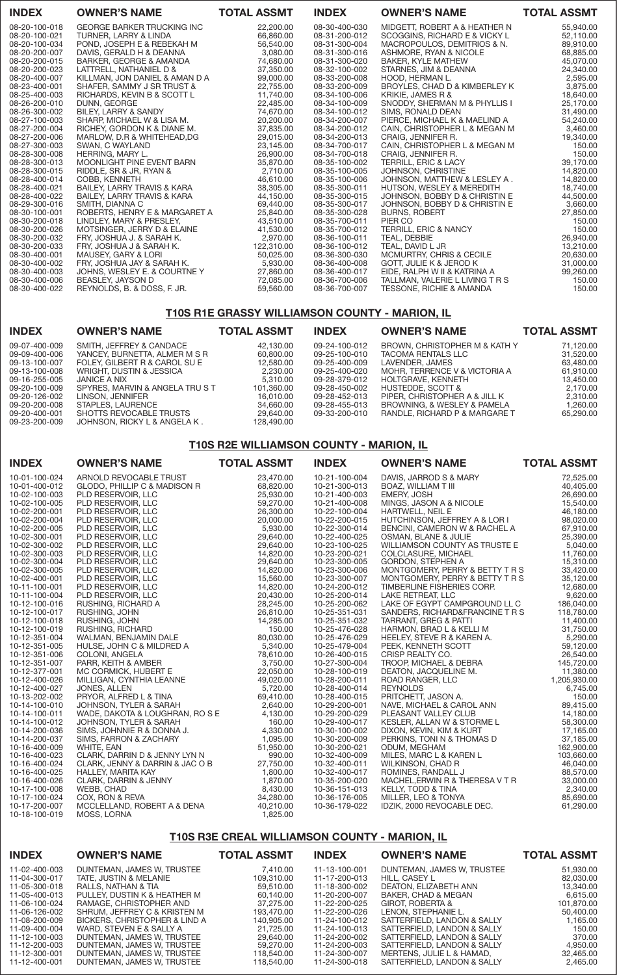| <b>INDEX</b>  | <b>OWNER'S NAME</b>                    | <b>TOTAL ASSMT</b> | <b>INDEX</b>  | <b>OWNER'S NAME</b>                 | <b>TOTAL ASSMT</b> |
|---------------|----------------------------------------|--------------------|---------------|-------------------------------------|--------------------|
| 08-20-100-018 | <b>GEORGE BARKER TRUCKING INC</b>      | 22,200.00          | 08-30-400-030 | MIDGETT, ROBERT A & HEATHER N       | 55,940.00          |
| 08-20-100-021 | TURNER, LARRY & LINDA                  | 66,860.00          | 08-31-200-012 | SCOGGINS, RICHARD E & VICKY L       | 52,110.00          |
| 08-20-100-034 | POND, JOSEPH E & REBEKAH M             | 56,540,00          | 08-31-300-004 | MACROPOULOS, DEMITRIOS & N.         | 89,910.00          |
| 08-20-200-007 | DAVIS, GERALD H & DEANNA               | 3.080.00           | 08-31-300-016 | ASHMORE, RYAN & NICOLE              | 68,885.00          |
| 08-20-200-015 | BARKER, GEORGE & AMANDA                | 74,680.00          | 08-31-300-020 | BAKER, KYLE MATHEW                  | 45,070.00          |
| 08-20-200-023 | LATTRELL, NATHANIEL D &                | 37,350.00          | 08-32-100-002 | STARNES, JIM & DEANNA               | 24,340.00          |
| 08-20-400-007 | KILLMAN, JON DANIEL & AMAN D A         | 99,000.00          | 08-33-200-008 | HOOD, HERMAN L.                     | 2,595.00           |
| 08-23-400-001 | SHAFER, SAMMY J SR TRUST &             | 22,755.00          | 08-33-200-009 | BROYLES, CHAD D & KIMBERLEY K       | 3,875.00           |
| 08-25-400-003 | RICHARDS, KEVIN B & SCOTT L            | 11,740.00          | 08-34-100-006 | KRIKIE, JAMES R &                   | 18,640.00          |
| 08-26-200-010 | DUNN, GEORGE                           | 22,485.00          | 08-34-100-009 | SNODDY, SHERMAN M & PHYLLIS I       | 25,170.00          |
| 08-26-300-002 | BILEY, LARRY & SANDY                   | 74.670.00          | 08-34-100-012 | SIMS, RONALD DEAN                   | 31,490.00          |
| 08-27-100-003 | SHARP, MICHAEL W & LISA M.             | 20,200.00          | 08-34-200-007 | PIERCE, MICHAEL K & MAELIND A       | 54,240.00          |
| 08-27-200-004 | RICHEY, GORDON K & DIANE M.            | 37,835.00          | 08-34-200-012 | CAIN, CHRISTOPHER L & MEGAN M       | 3,460.00           |
| 08-27-200-006 | MARLOW, D.R & WHITEHEAD, DG            | 29,015.00          | 08-34-200-013 | CRAIG. JENNIFER R.                  | 19,340.00          |
| 08-27-300-003 | SWAN, C WAYLAND                        | 23,145.00          | 08-34-700-017 | CAIN, CHRISTOPHER L & MEGAN M       | 150.00             |
| 08-28-300-008 | HERRING, MARY L.                       | 26,900.00          | 08-34-700-018 | CRAIG, JENNIFER R.                  | 150.00             |
| 08-28-300-013 | MOONLIGHT PINE EVENT BARN              | 35,870.00          | 08-35-100-002 | <b>TERRILL, ERIC &amp; LACY</b>     | 39,170.00          |
| 08-28-300-015 | RIDDLE, SR & JR, RYAN &                | 2.710.00           | 08-35-100-005 | JOHNSON, CHRISTINE                  | 14,820.00          |
| 08-28-400-014 | COBB, KENNETH                          | 46,610.00          | 08-35-100-006 | JOHNSON, MATTHEW & LESLEY A.        | 14,820,00          |
| 08-28-400-021 | <b>BAILEY, LARRY TRAVIS &amp; KARA</b> | 38,305.00          | 08-35-300-011 | HUTSON, WESLEY & MEREDITH           | 18,740.00          |
| 08-28-400-022 | BAILEY, LARRY TRAVIS & KARA            | 44,150.00          | 08-35-300-015 | JOHNSON, BOBBY D & CHRISTIN E       | 44,500.00          |
| 08-29-300-016 | SMITH, DIANNA C                        | 69,440.00          | 08-35-300-017 | JOHNSON, BOBBY D & CHRISTIN E       | 3,660.00           |
| 08-30-100-001 | ROBERTS, HENRY E & MARGARET A          | 25,840.00          | 08-35-300-028 | <b>BURNS, ROBERT</b>                | 27,850.00          |
| 08-30-200-018 | LINDLEY, MARY & PRESLEY,               | 43,510.00          | 08-35-700-011 | PIER CO                             | 150.00             |
| 08-30-200-026 | MOTSINGER, JERRY D & ELAINE            | 41,530.00          | 08-35-700-012 | <b>TERRILL, ERIC &amp; NANCY</b>    | 150.00             |
| 08-30-200-032 | FRY, JOSHUA J. & SARAH K.              | 2,970.00           | 08-36-100-011 | TEAL, DEBBIE                        | 26,940.00          |
| 08-30-200-033 | FRY, JOSHUA J & SARAH K.               | 122,310.00         | 08-36-100-012 | TEAL, DAVID L JR                    | 13,210.00          |
| 08-30-400-001 | <b>MAUSEY, GARY &amp; LORI</b>         | 50,025.00          | 08-36-300-030 | <b>MCMURTRY, CHRIS &amp; CECILE</b> | 20,630.00          |
| 08-30-400-002 | FRY, JOSHUA JAY & SARAH K.             | 5.930.00           | 08-36-400-008 | GOTT, JULIE K & JEROD K             | 31,000.00          |
| 08-30-400-003 | JOHNS, WESLEY E. & COURTNE Y           | 27,860.00          | 08-36-400-017 | EIDE, RALPH W II & KATRINA A        | 99,260.00          |
| 08-30-400-006 | BEASLEY, JAYSON D                      | 72,085.00          | 08-36-700-006 | TALLMAN, VALERIE L LIVING T R S     | 150.00             |
| 08-30-400-022 | REYNOLDS, B. & DOSS, F. JR.            | 59,560,00          | 08-36-700-007 | <b>TESSONE, RICHIE &amp; AMANDA</b> | 150.00             |

# T10S R1E GRASSY WILLIAMSON COUNTY - MARION, IL

| <b>INDEX</b>  | <b>OWNER'S NAME</b>           | <b>TOTAL ASSMT</b> | <b>INDEX</b>  | <b>OWNER'S NAME</b>           | <b>TOTAL ASSMT</b> |
|---------------|-------------------------------|--------------------|---------------|-------------------------------|--------------------|
| 09-07-400-009 | SMITH, JEFFREY & CANDACE      | 42.130.00          | 09-24-100-012 | BROWN, CHRISTOPHER M & KATH Y | 71,120.00          |
| 09-09-400-006 | YANCEY, BURNETTA, ALMER M S R | 60,800,00          | 09-25-100-010 | TACOMA RENTALS LLC            | 31,520.00          |
| 09-13-100-007 | FOLEY, GILBERT R & CAROL SU E | 12,580.00          | 09-25-400-009 | LAVENDER, JAMES               | 63,480.00          |
| 09-13-100-008 | WRIGHT, DUSTIN & JESSICA      | 2,230.00           | 09-25-400-020 | MOHR, TERRENCE V & VICTORIA A | 61,910.00          |
| 09-16-255-005 | JANICE A NIX                  | 5.310.00           | 09-28-379-012 | HOLTGRAVE, KENNETH            | 13,450.00          |
| 09-20-100-009 | SPYRES, MARVIN & ANGELA TRUST | 101,360.00         | 09-28-450-002 | HUSTEDDE, SCOTT &             | 2,170.00           |
| 09-20-126-002 | LINSON, JENNIFER              | 16.010.00          | 09-28-452-013 | PIPER, CHRISTOPHER A & JILL K | 2,310.00           |
| 09-20-200-008 | STAPLES, LAURENCE             | 34.660.00          | 09-28-455-013 | BROWNING, & WESLEY & PAMELA   | 1,260.00           |
| 09-20-400-001 | SHOTTS REVOCABLE TRUSTS       | 29.640.00          | 09-33-200-010 | RANDLE, RICHARD P & MARGARE T | 65,290.00          |
| 09-23-200-009 | JOHNSON. RICKY L & ANGELA K.  | 128.490.00         |               |                               |                    |

## T10S R2E WILLIAMSON COUNTY - MARION, IL

| <b>INDEX</b>  | <b>OWNER'S NAME</b>             | <b>TOTAL ASSMT</b> | <b>INDEX</b>  | <b>OWNER'S NAME</b>             | <b>TOTAL ASSMT</b> |
|---------------|---------------------------------|--------------------|---------------|---------------------------------|--------------------|
| 10-01-100-024 | ARNOLD REVOCABLE TRUST          | 23,470.00          | 10-21-100-004 | DAVIS, JARROD S & MARY          | 72,525.00          |
| 10-01-400-012 | GLODO, PHILLIP C & MADISON R    | 68,820.00          | 10-21-300-013 | BOAZ, WILLIAM T III             | 40,405.00          |
| 10-02-100-003 | PLD RESERVOIR, LLC              | 25,930.00          | 10-21-400-003 | <b>EMERY, JOSH</b>              | 26,690.00          |
| 10-02-100-005 | PLD RESERVOIR, LLC              | 59,270.00          | 10-21-400-008 | MINGS, JASON A & NICOLE         | 15,540.00          |
| 10-02-200-001 | PLD RESERVOIR, LLC              | 26,300.00          | 10-22-100-004 | <b>HARTWELL, NEIL E</b>         | 46,180.00          |
| 10-02-200-004 | PLD RESERVOIR, LLC              | 20,000.00          | 10-22-200-015 | HUTCHINSON, JEFFREY A & LOR I   | 98,020.00          |
| 10-02-200-005 | PLD RESERVOIR, LLC              | 5,930.00           | 10-22-300-014 | BENCINI, CAMERON W & RACHEL A   | 67,910.00          |
| 10-02-300-001 | PLD RESERVOIR, LLC              | 29,640.00          | 10-22-400-025 | OSMAN, BLANE & JULIE            | 25,390.00          |
| 10-02-300-002 | PLD RESERVOIR, LLC              | 29,640.00          | 10-23-100-025 | WILLIAMSON COUNTY AS TRUSTE E   | 5,040.00           |
| 10-02-300-003 | PLD RESERVOIR, LLC              | 14,820.00          | 10-23-200-021 | COLCLASURE, MICHAEL             | 11,760.00          |
| 10-02-300-004 | PLD RESERVOIR, LLC              | 29,640.00          | 10-23-300-005 | GORDON, STEPHEN A               | 15,310.00          |
| 10-02-300-005 | PLD RESERVOIR, LLC              | 14,820.00          | 10-23-300-006 | MONTGOMERY, PERRY & BETTY T R S | 33,420.00          |
| 10-02-400-001 | PLD RESERVOIR, LLC              | 15,560.00          | 10-23-300-007 | MONTGOMERY, PERRY & BETTY T R S | 35,120.00          |
| 10-11-100-001 | PLD RESERVOIR, LLC              | 14,820.00          | 10-24-200-012 | TIMBERLINE FISHERIES CORP.      | 12,680.00          |
| 10-11-100-004 | PLD RESERVOIR, LLC              | 20,430.00          | 10-25-200-014 | LAKE RETREAT, LLC               | 9,620.00           |
| 10-12-100-016 | RUSHING, RICHARD A              | 28,245.00          | 10-25-200-062 | LAKE OF EGYPT CAMPGROUND LL C   | 186,040.00         |
| 10-12-100-017 | RUSHING, JOHN                   | 26,810.00          | 10-25-351-031 | SANDERS, RICHARD&FRANCINE T R S | 118,780.00         |
| 10-12-100-018 | RUSHING, JOHN                   | 14,285.00          | 10-25-351-032 | TARRANT, GREG & PATTI           | 11,400.00          |
| 10-12-100-019 | RUSHING, RICHARD                | 150.00             | 10-25-476-028 | HARMON, BRAD L & KELLI M        | 31,750.00          |
| 10-12-351-004 | WALMAN, BENJAMIN DALE           | 80,030.00          | 10-25-476-029 | HEELEY, STEVE R & KAREN A.      | 5,290.00           |
| 10-12-351-005 | HULSE, JOHN C & MILDRED A       | 5,340.00           | 10-25-479-004 | PEEK, KENNETH SCOTT             | 59,120.00          |
| 10-12-351-006 | COLONI, ANGELA                  | 78,610.00          | 10-26-400-015 | CRISP REALTY CO.                | 26,540.00          |
| 10-12-351-007 | PARR, KEITH & AMBER             | 3,750.00           | 10-27-300-004 | TROOP, MICHAEL & DEBRA          | 145,720.00         |
| 10-12-377-001 | MC CORMICK, HUBERT E            | 22,050.00          | 10-28-100-019 | DEATON, JACQUELINE M.           | 11,380.00          |
| 10-12-400-026 | MILLIGAN, CYNTHIA LEANNE        | 49,020.00          | 10-28-200-011 | ROAD RANGER, LLC                | 1,205,930.00       |
| 10-12-400-027 | JONES, ALLEN                    | 5,720.00           | 10-28-400-014 | <b>REYNOLDS</b>                 | 6,745.00           |
| 10-13-202-002 | PRYOR, ALFRED L & TINA          | 69,410.00          | 10-28-400-015 | PRITCHETT, JASON A.             | 150.00             |
| 10-14-100-010 | JOHNSON, TYLER & SARAH          | 2,640.00           | 10-29-200-001 | NAVE, MICHAEL & CAROL ANN       | 89,415.00          |
| 10-14-100-011 | WADE, DAKOTA & LOUGHRAN, RO S E | 4,130.00           | 10-29-200-029 | PLEASANT VALLEY CLUB            | 14,180.00          |
| 10-14-100-012 | JOHNSON, TYLER & SARAH          | 160.00             | 10-29-400-017 | KESLER, ALLAN W & STORME L      | 58,300.00          |
| 10-14-200-036 | SIMS, JOHNNIE R & DONNA J.      | 4,330.00           | 10-30-100-002 | DIXON, KEVIN, KIM & KURT        | 17,165.00          |
| 10-14-200-037 | SIMS, FARRON & ZACHARY          | 1,095.00           | 10-30-200-009 | PERKINS, TONI N & THOMAS D      | 37,185.00          |
| 10-16-400-009 | WHITE, EAN                      | 51,950.00          | 10-30-200-021 | ODUM, MEGHAM                    | 162,900.00         |
| 10-16-400-023 | CLARK, DARRIN D & JENNY LYN N   | 990.00             | 10-32-400-009 | MILES, MARC L & KAREN L         | 103,660.00         |
| 10-16-400-024 | CLARK, JENNY & DARRIN & JAC O B | 27,750.00          | 10-32-400-011 | <b>WILKINSON, CHAD R</b>        | 46,040.00          |
| 10-16-400-025 | HALLEY, MARITA KAY              | 1,800.00           | 10-32-400-017 | ROMINES, RANDALL J              | 88,570.00          |
| 10-16-400-026 | CLARK, DARRIN & JENNY           | 1,870.00           | 10-35-200-020 | MACHEL, ERWIN R & THERESA V T R | 33,000.00          |
| 10-17-100-008 | WEBB, CHAD                      | 8,430.00           | 10-36-151-013 | KELLY, TODD & TINA              | 2,340.00           |
| 10-17-100-024 | COX, RON & REVA                 | 34,280.00          | 10-36-176-005 | MILLER, LEO & TONYA             | 85,690.00          |
| 10-17-200-007 | MCCLELLAND, ROBERT A & DENA     | 40,210.00          | 10-36-179-022 | IDZIK, 2000 REVOCABLE DEC.      | 61,290.00          |
| 10-18-100-019 | MOSS, LORNA                     | 1,825.00           |               |                                 |                    |

# T10S R3E CREAL WILLIAMSON COUNTY - MARION, IL

| <b>OWNER'S NAME</b>           | <b>TOTAL ASSMT</b> | <b>INDEX</b>  | <b>OWNER'S NAME</b>         | <b>TOTAL ASSMT</b> |
|-------------------------------|--------------------|---------------|-----------------------------|--------------------|
| DUNTEMAN, JAMES W, TRUSTEE    | 7.410.00           | 11-13-100-001 | DUNTEMAN, JAMES W, TRUSTEE  | 51,930.00          |
| TATE. JUSTIN & MELANIE        | 109.310.00         | 11-17-200-013 | HILL. CASEY L               | 82,030.00          |
| RALLS. NATHAN & TIA           | 59.510.00          | 11-18-300-002 | DEATON. ELIZABETH ANN       | 13,340.00          |
| PULLEY, DUSTIN K & HEATHER M  | 60.140.00          | 11-20-200-007 | BAKER, CHAD & MEGAN         | 6,615.00           |
| RAMAGE, CHRISTOPHER AND       | 37,275.00          | 11-22-200-025 | GIROT, ROBERTA &            | 101,870.00         |
| SHRUM, JEFFREY C & KRISTEN M  | 193.470.00         | 11-22-200-026 | LENON. STEPHANIE L.         | 50,400.00          |
| BICKERS, CHRISTOPHER & LIND A | 140.905.00         | 11-24-100-012 | SATTERFIELD, LANDON & SALLY | 1,165.00           |
| WARD, STEVEN E & SALLY A      | 21.725.00          | 11-24-100-013 | SATTERFIELD, LANDON & SALLY | 150.00             |
| DUNTEMAN, JAMES W, TRUSTEE    | 29.640.00          | 11-24-200-002 | SATTERFIELD, LANDON & SALLY | 370.00             |
| DUNTEMAN, JAMES W, TRUSTEE    | 59.270.00          | 11-24-200-003 | SATTERFIELD, LANDON & SALLY | 4,950.00           |
| DUNTEMAN, JAMES W, TRUSTEE    | 118.540.00         | 11-24-300-007 | MERTENS, JULIE L & HAMAD,   | 32,465.00          |
| DUNTEMAN, JAMES W, TRUSTEE    | 118.540.00         | 11-24-300-018 | SATTERFIELD, LANDON & SALLY | 2,465.00           |
|                               |                    |               |                             |                    |